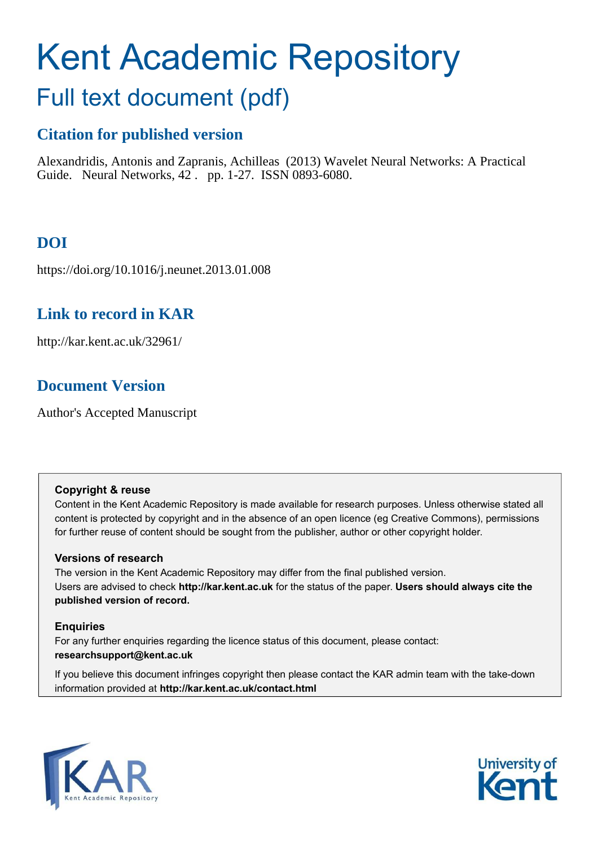# Kent Academic Repository

# Full text document (pdf)

# **Citation for published version**

Alexandridis, Antonis and Zapranis, Achilleas (2013) Wavelet Neural Networks: A Practical Guide. Neural Networks, 42 . pp. 1-27. ISSN 0893-6080.

# **DOI**

https://doi.org/10.1016/j.neunet.2013.01.008

# **Link to record in KAR**

http://kar.kent.ac.uk/32961/

# **Document Version**

Author's Accepted Manuscript

## **Copyright & reuse**

Content in the Kent Academic Repository is made available for research purposes. Unless otherwise stated all content is protected by copyright and in the absence of an open licence (eg Creative Commons), permissions for further reuse of content should be sought from the publisher, author or other copyright holder.

## **Versions of research**

The version in the Kent Academic Repository may differ from the final published version. Users are advised to check **http://kar.kent.ac.uk** for the status of the paper. **Users should always cite the published version of record.**

## **Enquiries**

For any further enquiries regarding the licence status of this document, please contact: **researchsupport@kent.ac.uk**

If you believe this document infringes copyright then please contact the KAR admin team with the take-down information provided at **http://kar.kent.ac.uk/contact.html**



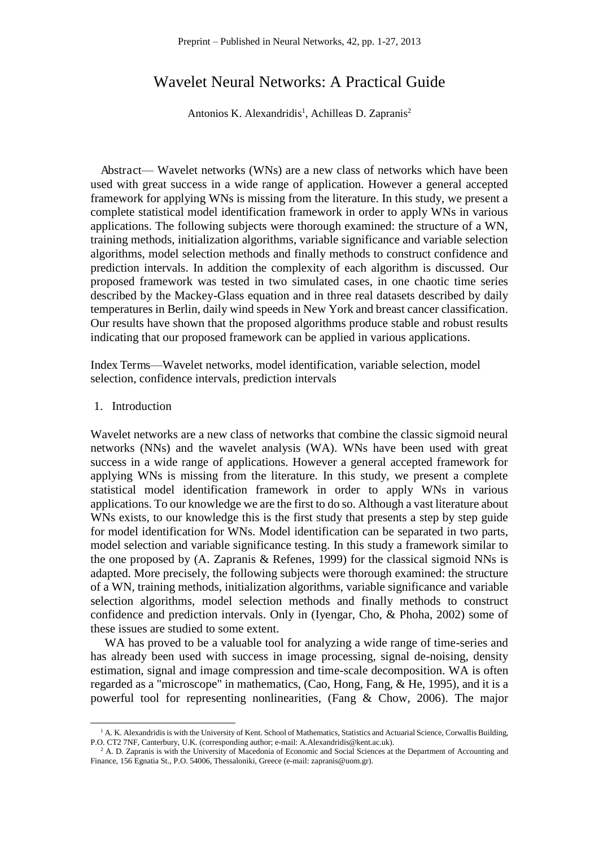# Wavelet Neural Networks: A Practical Guide

Antonios K. Alexandridis<sup>1</sup>, Achilleas D. Zapranis<sup>2</sup>

Abstract— Wavelet networks (WNs) are a new class of networks which have been used with great success in a wide range of application. However a general accepted framework for applying WNs is missing from the literature. In this study, we present a complete statistical model identification framework in order to apply WNs in various applications. The following subjects were thorough examined: the structure of a WN, training methods, initialization algorithms, variable significance and variable selection algorithms, model selection methods and finally methods to construct confidence and prediction intervals. In addition the complexity of each algorithm is discussed. Our proposed framework was tested in two simulated cases, in one chaotic time series described by the Mackey-Glass equation and in three real datasets described by daily temperatures in Berlin, daily wind speeds in New York and breast cancer classification. Our results have shown that the proposed algorithms produce stable and robust results indicating that our proposed framework can be applied in various applications.

Index Terms—Wavelet networks, model identification, variable selection, model selection, confidence intervals, prediction intervals

#### 1. Introduction

-

Wavelet networks are a new class of networks that combine the classic sigmoid neural networks (NNs) and the wavelet analysis (WA). WNs have been used with great success in a wide range of applications. However a general accepted framework for applying WNs is missing from the literature. In this study, we present a complete statistical model identification framework in order to apply WNs in various applications. To our knowledge we are the first to do so. Although a vast literature about WNs exists, to our knowledge this is the first study that presents a step by step guide for model identification for WNs. Model identification can be separated in two parts, model selection and variable significance testing. In this study a framework similar to the one proposed by (A. Zapranis & Refenes, 1999) for the classical sigmoid NNs is adapted. More precisely, the following subjects were thorough examined: the structure of a WN, training methods, initialization algorithms, variable significance and variable selection algorithms, model selection methods and finally methods to construct confidence and prediction intervals. Only in (Iyengar, Cho, & Phoha, 2002) some of these issues are studied to some extent.

WA has proved to be a valuable tool for analyzing a wide range of time-series and has already been used with success in image processing, signal de-noising, density estimation, signal and image compression and time-scale decomposition. WA is often regarded as a "microscope" in mathematics, (Cao, Hong, Fang, & He, 1995), and it is a powerful tool for representing nonlinearities, (Fang & Chow, 2006). The major

<sup>&</sup>lt;sup>1</sup> A. K. Alexandridis is with the University of Kent. School of Mathematics, Statistics and Actuarial Science, Corwallis Building, P.O. CT2 7NF, Canterbury, U.K. (corresponding author; e-mail: A.Alexandridis@kent.ac.uk).

<sup>2</sup> A. D. Zapranis is with the University of Macedonia of Economic and Social Sciences at the Department of Accounting and Finance, 156 Egnatia St., P.O. 54006, Thessaloniki, Greece (e-mail: zapranis@uom.gr).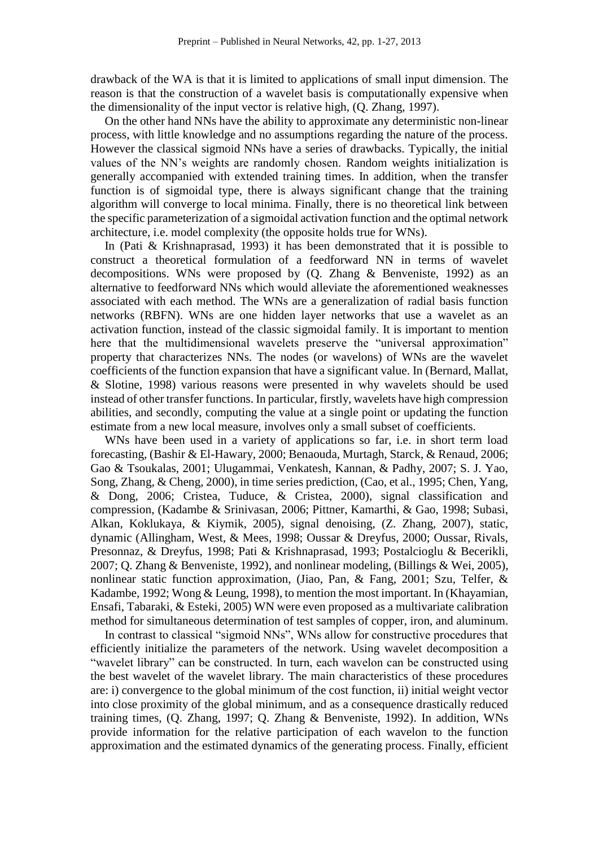drawback of the WA is that it is limited to applications of small input dimension. The reason is that the construction of a wavelet basis is computationally expensive when the dimensionality of the input vector is relative high, (Q. Zhang, 1997).

On the other hand NNs have the ability to approximate any deterministic non-linear process, with little knowledge and no assumptions regarding the nature of the process. However the classical sigmoid NNs have a series of drawbacks. Typically, the initial values of the NN's weights are randomly chosen. Random weights initialization is generally accompanied with extended training times. In addition, when the transfer function is of sigmoidal type, there is always significant change that the training algorithm will converge to local minima. Finally, there is no theoretical link between the specific parameterization of a sigmoidal activation function and the optimal network architecture, i.e. model complexity (the opposite holds true for WNs).

In (Pati & Krishnaprasad, 1993) it has been demonstrated that it is possible to construct a theoretical formulation of a feedforward NN in terms of wavelet decompositions. WNs were proposed by (Q. Zhang & Benveniste, 1992) as an alternative to feedforward NNs which would alleviate the aforementioned weaknesses associated with each method. The WNs are a generalization of radial basis function networks (RBFN). WNs are one hidden layer networks that use a wavelet as an activation function, instead of the classic sigmoidal family. It is important to mention here that the multidimensional wavelets preserve the "universal approximation" property that characterizes NNs. The nodes (or wavelons) of WNs are the wavelet coefficients of the function expansion that have a significant value. In (Bernard, Mallat, & Slotine, 1998) various reasons were presented in why wavelets should be used instead of other transfer functions. In particular, firstly, wavelets have high compression abilities, and secondly, computing the value at a single point or updating the function estimate from a new local measure, involves only a small subset of coefficients.

WNs have been used in a variety of applications so far, i.e. in short term load forecasting, (Bashir & El-Hawary, 2000; Benaouda, Murtagh, Starck, & Renaud, 2006; Gao & Tsoukalas, 2001; Ulugammai, Venkatesh, Kannan, & Padhy, 2007; S. J. Yao, Song, Zhang, & Cheng, 2000), in time series prediction, (Cao, et al., 1995; Chen, Yang, & Dong, 2006; Cristea, Tuduce, & Cristea, 2000), signal classification and compression, (Kadambe & Srinivasan, 2006; Pittner, Kamarthi, & Gao, 1998; Subasi, Alkan, Koklukaya, & Kiymik, 2005), signal denoising, (Z. Zhang, 2007), static, dynamic (Allingham, West, & Mees, 1998; Oussar & Dreyfus, 2000; Oussar, Rivals, Presonnaz, & Dreyfus, 1998; Pati & Krishnaprasad, 1993; Postalcioglu & Becerikli, 2007; Q. Zhang & Benveniste, 1992), and nonlinear modeling, (Billings & Wei, 2005), nonlinear static function approximation, (Jiao, Pan, & Fang, 2001; Szu, Telfer, & Kadambe, 1992; Wong & Leung, 1998), to mention the most important. In (Khayamian, Ensafi, Tabaraki, & Esteki, 2005) WN were even proposed as a multivariate calibration method for simultaneous determination of test samples of copper, iron, and aluminum.

In contrast to classical "sigmoid NNs", WNs allow for constructive procedures that efficiently initialize the parameters of the network. Using wavelet decomposition a "wavelet library" can be constructed. In turn, each wavelon can be constructed using the best wavelet of the wavelet library. The main characteristics of these procedures are: i) convergence to the global minimum of the cost function, ii) initial weight vector into close proximity of the global minimum, and as a consequence drastically reduced training times, (Q. Zhang, 1997; Q. Zhang & Benveniste, 1992). In addition, WNs provide information for the relative participation of each wavelon to the function approximation and the estimated dynamics of the generating process. Finally, efficient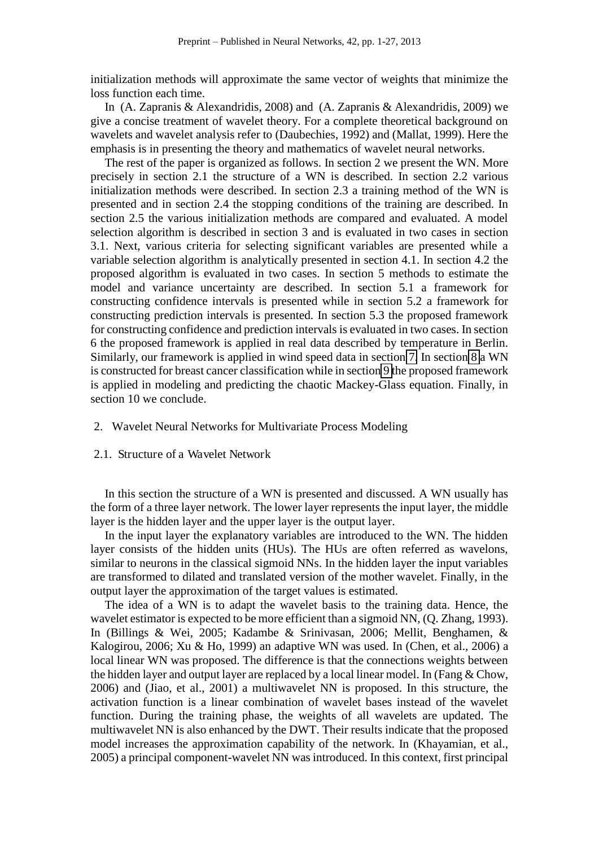initialization methods will approximate the same vector of weights that minimize the loss function each time.

In (A. Zapranis & Alexandridis, 2008) and (A. Zapranis & Alexandridis, 2009) we give a concise treatment of wavelet theory. For a complete theoretical background on wavelets and wavelet analysis refer to (Daubechies, 1992) and (Mallat, 1999). Here the emphasis is in presenting the theory and mathematics of wavelet neural networks.

The rest of the paper is organized as follows. In section 2 we present the WN. More precisely in section 2.1 the structure of a WN is described. In section 2.2 various initialization methods were described. In section 2.3 a training method of the WN is presented and in section 2.4 the stopping conditions of the training are described. In section 2.5 the various initialization methods are compared and evaluated. A model selection algorithm is described in section 3 and is evaluated in two cases in section 3.1. Next, various criteria for selecting significant variables are presented while a variable selection algorithm is analytically presented in section 4.1. In section 4.2 the proposed algorithm is evaluated in two cases. In section 5 methods to estimate the model and variance uncertainty are described. In section 5.1 a framework for constructing confidence intervals is presented while in section 5.2 a framework for constructing prediction intervals is presented. In section 5.3 the proposed framework for constructing confidence and prediction intervals is evaluated in two cases. In section 6 the proposed framework is applied in real data described by temperature in Berlin. Similarly, our framework is applied in wind speed data in section [7.](#page-31-0) In section [8](#page-33-0) a WN is constructed for breast cancer classification while in section [9](#page-35-0) the proposed framework is applied in modeling and predicting the chaotic Mackey-Glass equation. Finally, in section 10 we conclude.

#### 2. Wavelet Neural Networks for Multivariate Process Modeling

#### 2.1. Structure of a Wavelet Network

In this section the structure of a WN is presented and discussed. A WN usually has the form of a three layer network. The lower layer represents the input layer, the middle layer is the hidden layer and the upper layer is the output layer.

In the input layer the explanatory variables are introduced to the WN. The hidden layer consists of the hidden units (HUs). The HUs are often referred as wavelons, similar to neurons in the classical sigmoid NNs. In the hidden layer the input variables are transformed to dilated and translated version of the mother wavelet. Finally, in the output layer the approximation of the target values is estimated.

The idea of a WN is to adapt the wavelet basis to the training data. Hence, the wavelet estimator is expected to be more efficient than a sigmoid NN, (Q. Zhang, 1993). In (Billings & Wei, 2005; Kadambe & Srinivasan, 2006; Mellit, Benghamen, & Kalogirou, 2006; Xu & Ho, 1999) an adaptive WN was used. In (Chen, et al., 2006) a local linear WN was proposed. The difference is that the connections weights between the hidden layer and output layer are replaced by a local linear model. In (Fang & Chow, 2006) and (Jiao, et al., 2001) a multiwavelet NN is proposed. In this structure, the activation function is a linear combination of wavelet bases instead of the wavelet function. During the training phase, the weights of all wavelets are updated. The multiwavelet NN is also enhanced by the DWT. Their results indicate that the proposed model increases the approximation capability of the network. In (Khayamian, et al., 2005) a principal component-wavelet NN was introduced. In this context, first principal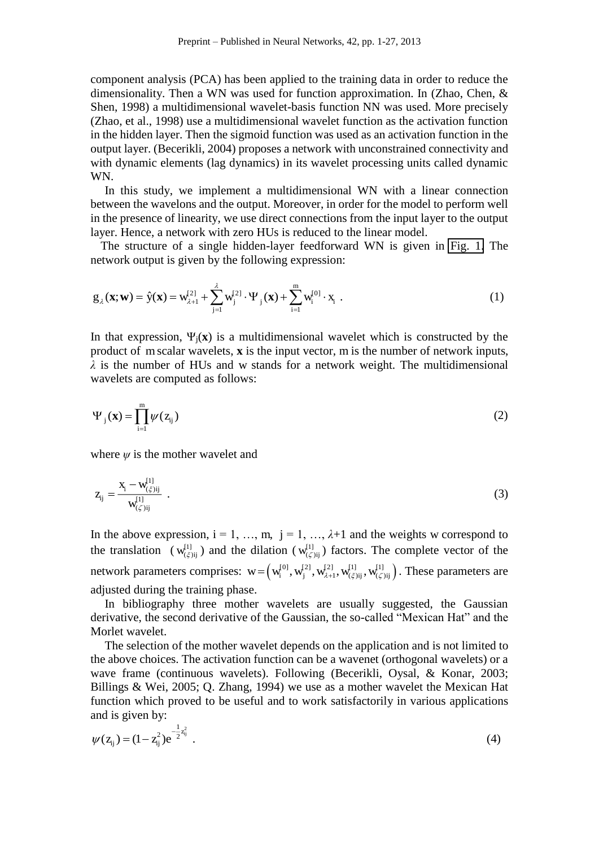component analysis (PCA) has been applied to the training data in order to reduce the dimensionality. Then a WN was used for function approximation. In (Zhao, Chen, & Shen, 1998) a multidimensional wavelet-basis function NN was used. More precisely (Zhao, et al., 1998) use a multidimensional wavelet function as the activation function in the hidden layer. Then the sigmoid function was used as an activation function in the output layer. (Becerikli, 2004) proposes a network with unconstrained connectivity and with dynamic elements (lag dynamics) in its wavelet processing units called dynamic WN.

In this study, we implement a multidimensional WN with a linear connection between the wavelons and the output. Moreover, in order for the model to perform well in the presence of linearity, we use direct connections from the input layer to the output layer. Hence, a network with zero HUs is reduced to the linear model.

The structure of a single hidden-layer feedforward WN is given in [Fig. 1.](#page-40-0) The network output is given by the following expression:

$$
g_{\lambda}(\mathbf{x}; \mathbf{w}) = \hat{y}(\mathbf{x}) = w_{\lambda+1}^{[2]} + \sum_{j=1}^{\lambda} w_j^{[2]} \cdot \Psi_j(\mathbf{x}) + \sum_{i=1}^{m} w_i^{[0]} \cdot x_i
$$
 (1)

In that expression,  $\Psi_i(\mathbf{x})$  is a multidimensional wavelet which is constructed by the product of mscalar wavelets, **x** is the input vector, m is the number of network inputs,  $\lambda$  is the number of HUs and w stands for a network weight. The multidimensional wavelets are computed as follows:

$$
\Psi_{j}(\mathbf{x}) = \prod_{i=1}^{m} \psi(z_{ij})
$$
 (2)

where  $\psi$  is the mother wavelet and

$$
z_{ij} = \frac{x_i - w_{(\xi)ij}^{[1]}}{w_{(\xi)ij}^{[1]}} \tag{3}
$$

In the above expression,  $i = 1, ..., m$ ,  $j = 1, ..., \lambda+1$  and the weights w correspond to the translation ( $w_{(\xi)}^{[1]}$ ) and the dilation ( $w_{(\zeta)}^{[1]}$ ) factors. The complete vector of the network parameters comprises:  $w = (w_i^{[0]}, w_j^{[2]}, w_{\lambda+1}^{[2]}, w_{(\xi)ij}^{[1]}, w_{(\xi)ij}^{[1]})$ . These parameters are adjusted during the training phase.

In bibliography three mother wavelets are usually suggested, the Gaussian derivative, the second derivative of the Gaussian, the so-called "Mexican Hat" and the Morlet wavelet.

The selection of the mother wavelet depends on the application and is not limited to the above choices. The activation function can be a wavenet (orthogonal wavelets) or a wave frame (continuous wavelets). Following (Becerikli, Oysal, & Konar, 2003; Billings & Wei, 2005; Q. Zhang, 1994) we use as a mother wavelet the Mexican Hat function which proved to be useful and to work satisfactorily in various applications and is given by:

$$
\psi(z_{ij}) = (1 - z_{ij}^2) e^{-\frac{1}{2} z_{ij}^2} \tag{4}
$$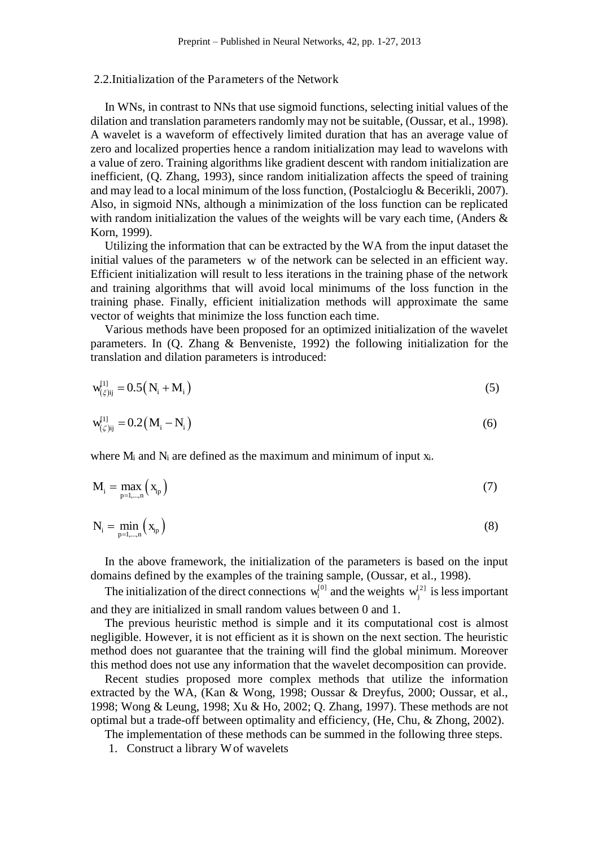#### 2.2.Initialization of the Parameters of the Network

In WNs, in contrast to NNs that use sigmoid functions, selecting initial values of the dilation and translation parameters randomly may not be suitable, (Oussar, et al., 1998). A wavelet is a waveform of effectively limited duration that has an average value of zero and localized properties hence a random initialization may lead to wavelons with a value of zero. Training algorithms like gradient descent with random initialization are inefficient, (Q. Zhang, 1993), since random initialization affects the speed of training and may lead to a local minimum of the loss function, (Postalcioglu & Becerikli, 2007). Also, in sigmoid NNs, although a minimization of the loss function can be replicated with random initialization the values of the weights will be vary each time, (Anders  $\&$ Korn, 1999).

Utilizing the information that can be extracted by the WA from the input dataset the initial values of the parameters w of the network can be selected in an efficient way. Efficient initialization will result to less iterations in the training phase of the network and training algorithms that will avoid local minimums of the loss function in the training phase. Finally, efficient initialization methods will approximate the same vector of weights that minimize the loss function each time.

Various methods have been proposed for an optimized initialization of the wavelet parameters. In (Q. Zhang & Benveniste, 1992) the following initialization for the translation and dilation parameters is introduced:

$$
w_{(\xi)ij}^{[1]} = 0.5(N_i + M_i)
$$
\n(5)

$$
w_{(\zeta)ij}^{[1]} = 0.2(M_i - N_i) \tag{6}
$$

where  $M_i$  and  $N_i$  are defined as the maximum and minimum of input  $x_i$ .

$$
M_i = \max_{p=1,\dots,n} \left( x_{ip} \right) \tag{7}
$$

$$
N_i = \min_{p=1,\dots,n} \left( x_{ip} \right) \tag{8}
$$

In the above framework, the initialization of the parameters is based on the input domains defined by the examples of the training sample, (Oussar, et al., 1998).

The initialization of the direct connections  $w_i^{[0]}$  and the weights  $w_j^{[2]}$  is less important and they are initialized in small random values between 0 and 1.

The previous heuristic method is simple and it its computational cost is almost negligible. However, it is not efficient as it is shown on the next section. The heuristic method does not guarantee that the training will find the global minimum. Moreover this method does not use any information that the wavelet decomposition can provide.

Recent studies proposed more complex methods that utilize the information extracted by the WA, (Kan & Wong, 1998; Oussar & Dreyfus, 2000; Oussar, et al., 1998; Wong & Leung, 1998; Xu & Ho, 2002; Q. Zhang, 1997). These methods are not optimal but a trade-off between optimality and efficiency, (He, Chu, & Zhong, 2002).

The implementation of these methods can be summed in the following three steps.

1. Construct a library W of wavelets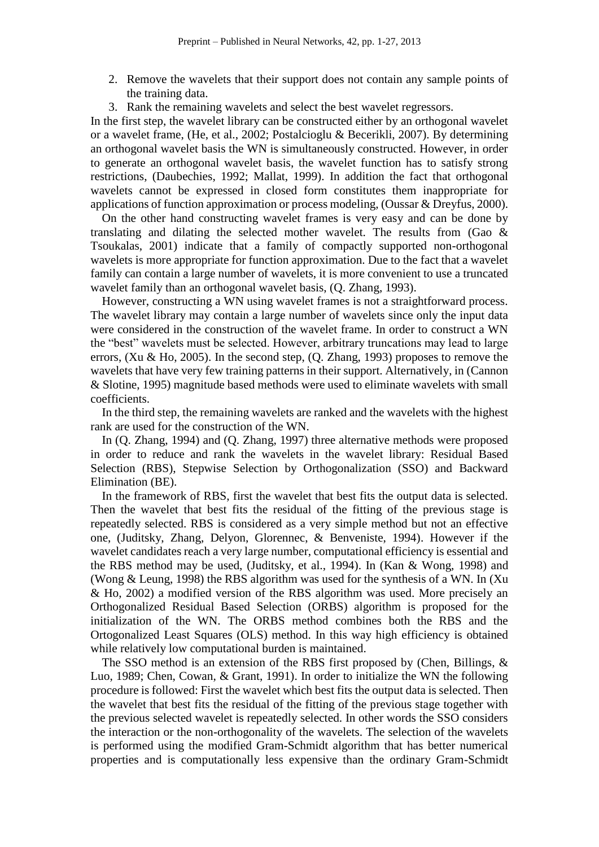- 2. Remove the wavelets that their support does not contain any sample points of the training data.
- 3. Rank the remaining wavelets and select the best wavelet regressors.

In the first step, the wavelet library can be constructed either by an orthogonal wavelet or a wavelet frame, (He, et al., 2002; Postalcioglu & Becerikli, 2007). By determining an orthogonal wavelet basis the WN is simultaneously constructed. However, in order to generate an orthogonal wavelet basis, the wavelet function has to satisfy strong restrictions, (Daubechies, 1992; Mallat, 1999). In addition the fact that orthogonal wavelets cannot be expressed in closed form constitutes them inappropriate for applications of function approximation or process modeling, (Oussar & Dreyfus, 2000).

On the other hand constructing wavelet frames is very easy and can be done by translating and dilating the selected mother wavelet. The results from (Gao & Tsoukalas, 2001) indicate that a family of compactly supported non-orthogonal wavelets is more appropriate for function approximation. Due to the fact that a wavelet family can contain a large number of wavelets, it is more convenient to use a truncated wavelet family than an orthogonal wavelet basis, (Q. Zhang, 1993).

However, constructing a WN using wavelet frames is not a straightforward process. The wavelet library may contain a large number of wavelets since only the input data were considered in the construction of the wavelet frame. In order to construct a WN the "best" wavelets must be selected. However, arbitrary truncations may lead to large errors, (Xu & Ho, 2005). In the second step, (Q. Zhang, 1993) proposes to remove the wavelets that have very few training patterns in their support. Alternatively, in (Cannon & Slotine, 1995) magnitude based methods were used to eliminate wavelets with small coefficients.

In the third step, the remaining wavelets are ranked and the wavelets with the highest rank are used for the construction of the WN.

In (Q. Zhang, 1994) and (Q. Zhang, 1997) three alternative methods were proposed in order to reduce and rank the wavelets in the wavelet library: Residual Based Selection (RBS), Stepwise Selection by Orthogonalization (SSO) and Backward Elimination (BE).

In the framework of RBS, first the wavelet that best fits the output data is selected. Then the wavelet that best fits the residual of the fitting of the previous stage is repeatedly selected. RBS is considered as a very simple method but not an effective one, (Juditsky, Zhang, Delyon, Glorennec, & Benveniste, 1994). However if the wavelet candidates reach a very large number, computational efficiency is essential and the RBS method may be used, (Juditsky, et al., 1994). In (Kan & Wong, 1998) and (Wong & Leung, 1998) the RBS algorithm was used for the synthesis of a WN. In (Xu & Ho, 2002) a modified version of the RBS algorithm was used. More precisely an Orthogonalized Residual Based Selection (ORBS) algorithm is proposed for the initialization of the WN. The ORBS method combines both the RBS and the Ortogonalized Least Squares (OLS) method. In this way high efficiency is obtained while relatively low computational burden is maintained.

The SSO method is an extension of the RBS first proposed by (Chen, Billings, & Luo, 1989; Chen, Cowan, & Grant, 1991). In order to initialize the WN the following procedure is followed: First the wavelet which best fits the output data is selected. Then the wavelet that best fits the residual of the fitting of the previous stage together with the previous selected wavelet is repeatedly selected. In other words the SSO considers the interaction or the non-orthogonality of the wavelets. The selection of the wavelets is performed using the modified Gram-Schmidt algorithm that has better numerical properties and is computationally less expensive than the ordinary Gram-Schmidt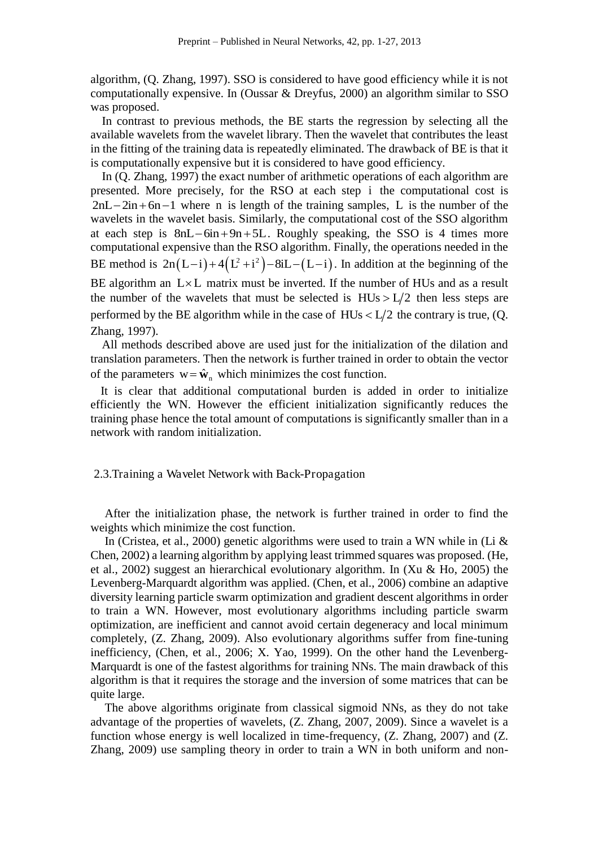algorithm, (Q. Zhang, 1997). SSO is considered to have good efficiency while it is not computationally expensive. In (Oussar & Dreyfus, 2000) an algorithm similar to SSO was proposed.

In contrast to previous methods, the BE starts the regression by selecting all the available wavelets from the wavelet library. Then the wavelet that contributes the least in the fitting of the training data is repeatedly eliminated. The drawback of BE is that it is computationally expensive but it is considered to have good efficiency.

In (Q. Zhang, 1997) the exact number of arithmetic operations of each algorithm are presented. More precisely, for the RSO at each step i the computational cost is  $2nL - 2in + 6n - 1$  where n is length of the training samples, L is the number of the wavelets in the wavelet basis. Similarly, the computational cost of the SSO algorithm at each step is  $8nL - 6n + 9n + 5L$ . Roughly speaking, the SSO is 4 times more computational expensive than the RSO algorithm. Finally, the operations needed in the BE method is  $2n(L-i)+4(L^2+i^2)-8iL-(L-i)$ . In addition at the beginning of the BE algorithm an  $L \times L$  matrix must be inverted. If the number of HUs and as a result the number of the wavelets that must be selected is  $HUs > L/2$  then less steps are performed by the BE algorithm while in the case of  $HUs < L/2$  the contrary is true, (Q. Zhang, 1997).

All methods described above are used just for the initialization of the dilation and translation parameters. Then the network is further trained in order to obtain the vector of the parameters  $w = \hat{w}_n$  which minimizes the cost function.

It is clear that additional computational burden is added in order to initialize efficiently the WN. However the efficient initialization significantly reduces the training phase hence the total amount of computations is significantly smaller than in a network with random initialization.

#### 2.3.Training a Wavelet Network with Back-Propagation

After the initialization phase, the network is further trained in order to find the weights which minimize the cost function.

In (Cristea, et al., 2000) genetic algorithms were used to train a WN while in (Li  $\&$ Chen, 2002) a learning algorithm by applying least trimmed squares was proposed. (He, et al., 2002) suggest an hierarchical evolutionary algorithm. In (Xu & Ho, 2005) the Levenberg-Marquardt algorithm was applied. (Chen, et al., 2006) combine an adaptive diversity learning particle swarm optimization and gradient descent algorithms in order to train a WN. However, most evolutionary algorithms including particle swarm optimization, are inefficient and cannot avoid certain degeneracy and local minimum completely, (Z. Zhang, 2009). Also evolutionary algorithms suffer from fine-tuning inefficiency, (Chen, et al., 2006; X. Yao, 1999). On the other hand the Levenberg-Marquardt is one of the fastest algorithms for training NNs. The main drawback of this algorithm is that it requires the storage and the inversion of some matrices that can be quite large.

The above algorithms originate from classical sigmoid NNs, as they do not take advantage of the properties of wavelets, (Z. Zhang, 2007, 2009). Since a wavelet is a function whose energy is well localized in time-frequency, (Z. Zhang, 2007) and (Z. Zhang, 2009) use sampling theory in order to train a WN in both uniform and non-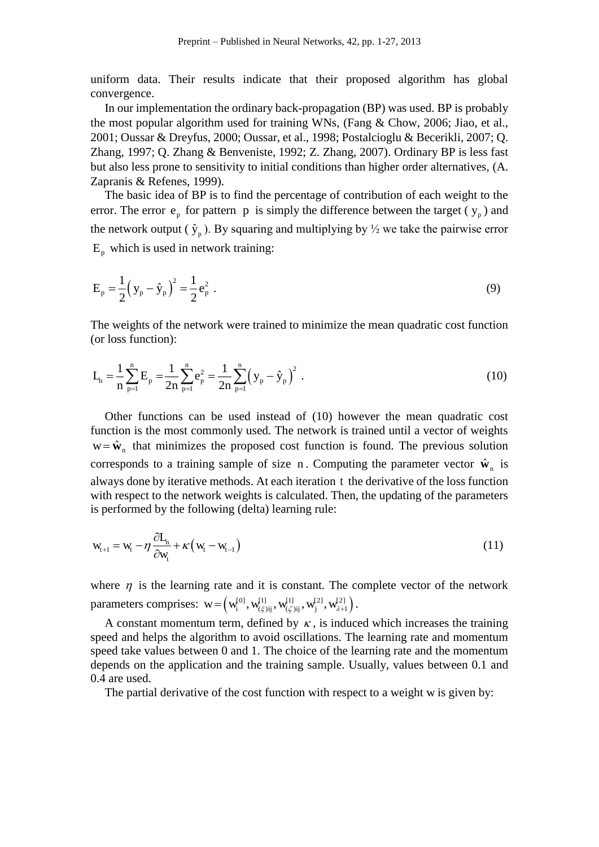uniform data. Their results indicate that their proposed algorithm has global convergence.

In our implementation the ordinary back-propagation (BP) was used. BP is probably the most popular algorithm used for training WNs, (Fang & Chow, 2006; Jiao, et al., 2001; Oussar & Dreyfus, 2000; Oussar, et al., 1998; Postalcioglu & Becerikli, 2007; Q. Zhang, 1997; Q. Zhang & Benveniste, 1992; Z. Zhang, 2007). Ordinary BP is less fast but also less prone to sensitivity to initial conditions than higher order alternatives, (A. Zapranis & Refenes, 1999).

The basic idea of BP is to find the percentage of contribution of each weight to the error. The error  $e_p$  for pattern p is simply the difference between the target ( $y_p$ ) and the network output ( $\hat{y}_p$ ). By squaring and multiplying by  $\frac{1}{2}$  we take the pairwise error  $E_p$  which is used in network training:

$$
E_p = \frac{1}{2} (y_p - \hat{y}_p)^2 = \frac{1}{2} e_p^2.
$$
 (9)

The weights of the network were trained to minimize the mean quadratic cost function (or loss function):

$$
L_{n} = \frac{1}{n} \sum_{p=1}^{n} E_{p} = \frac{1}{2n} \sum_{p=1}^{n} e_{p}^{2} = \frac{1}{2n} \sum_{p=1}^{n} (y_{p} - \hat{y}_{p})^{2}.
$$
 (10)

Other functions can be used instead of (10) however the mean quadratic cost function is the most commonly used. The network is trained until a vector of weights  $w = \hat{w}_n$  that minimizes the proposed cost function is found. The previous solution corresponds to a training sample of size n. Computing the parameter vector  $\hat{\mathbf{w}}_n$  is always done by iterative methods. At each iteration t the derivative of the loss function with respect to the network weights is calculated. Then, the updating of the parameters is performed by the following (delta) learning rule:

$$
w_{t+1} = w_t - \eta \frac{\partial L_h}{\partial w_t} + \kappa (w_t - w_{t-1})
$$
\n(11)

where  $\eta$  is the learning rate and it is constant. The complete vector of the network parameters comprises:  $w = (w_i^{[0]}, w_{(\xi)ij}^{[1]}, w_{(\zeta)ij}^{[1]}, w_j^{[2]}, w_{\lambda+1}^{[2]})$ .

A constant momentum term, defined by  $\kappa$ , is induced which increases the training speed and helps the algorithm to avoid oscillations. The learning rate and momentum speed take values between 0 and 1. The choice of the learning rate and the momentum depends on the application and the training sample. Usually, values between 0.1 and 0.4 are used.

The partial derivative of the cost function with respect to a weight w is given by: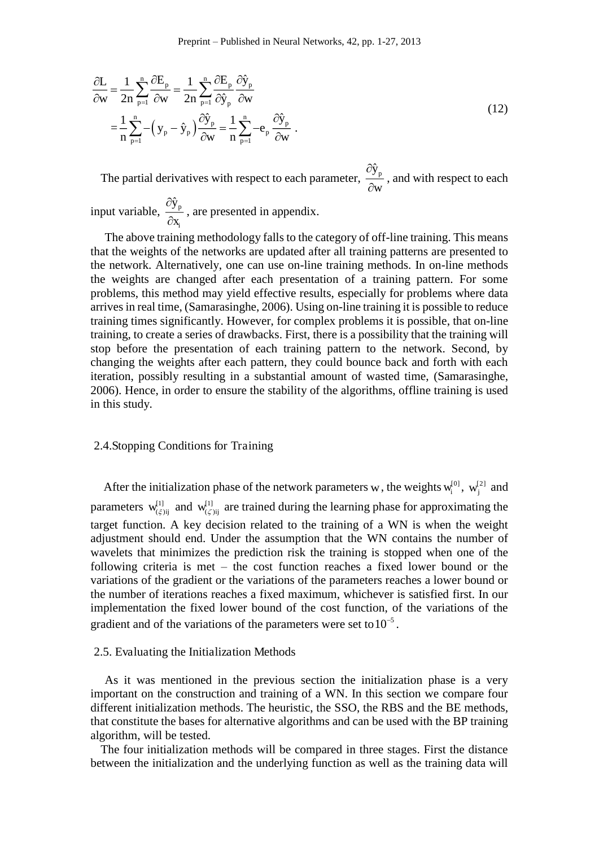$$
\frac{\partial L}{\partial w} = \frac{1}{2n} \sum_{p=1}^{n} \frac{\partial E_p}{\partial w} = \frac{1}{2n} \sum_{p=1}^{n} \frac{\partial E_p}{\partial \hat{y}_p} \frac{\partial \hat{y}_p}{\partial w} \n= \frac{1}{n} \sum_{p=1}^{n} -\left(y_p - \hat{y}_p\right) \frac{\partial \hat{y}_p}{\partial w} = \frac{1}{n} \sum_{p=1}^{n} -e_p \frac{\partial \hat{y}_p}{\partial w} .
$$
\n(12)

The partial derivatives with respect to each parameter,  $\frac{\partial \hat{y}_p}{\partial x}$ w д  $\frac{\partial^2 y}{\partial w}$ , and with respect to each

input variable,  $\hat{\text{y}}_{\text{p}}$ i y x д  $\frac{\partial \mathcal{L}_{\text{p}}}{\partial x}$ , are presented in appendix.

The above training methodology falls to the category of off-line training. This means that the weights of the networks are updated after all training patterns are presented to the network. Alternatively, one can use on-line training methods. In on-line methods the weights are changed after each presentation of a training pattern. For some problems, this method may yield effective results, especially for problems where data arrives in real time, (Samarasinghe, 2006). Using on-line training it is possible to reduce training times significantly. However, for complex problems it is possible, that on-line training, to create a series of drawbacks. First, there is a possibility that the training will stop before the presentation of each training pattern to the network. Second, by changing the weights after each pattern, they could bounce back and forth with each iteration, possibly resulting in a substantial amount of wasted time, (Samarasinghe, 2006). Hence, in order to ensure the stability of the algorithms, offline training is used in this study.

#### 2.4.Stopping Conditions for Training

After the initialization phase of the network parameters w, the weights  $w_i^{[0]}$ ,  $w_j^{[2]}$  and parameters  $w_{(\xi)}^{[1]}$  and  $w_{(\xi)}^{[1]}$  are trained during the learning phase for approximating the target function. A key decision related to the training of a WN is when the weight adjustment should end. Under the assumption that the WN contains the number of wavelets that minimizes the prediction risk the training is stopped when one of the following criteria is met – the cost function reaches a fixed lower bound or the variations of the gradient or the variations of the parameters reaches a lower bound or the number of iterations reaches a fixed maximum, whichever is satisfied first. In our implementation the fixed lower bound of the cost function, of the variations of the gradient and of the variations of the parameters were set to  $10^{-5}$ .

#### 2.5. Evaluating the Initialization Methods

As it was mentioned in the previous section the initialization phase is a very important on the construction and training of a WN. In this section we compare four different initialization methods. The heuristic, the SSO, the RBS and the BE methods, that constitute the bases for alternative algorithms and can be used with the BP training algorithm, will be tested.

The four initialization methods will be compared in three stages. First the distance between the initialization and the underlying function as well as the training data will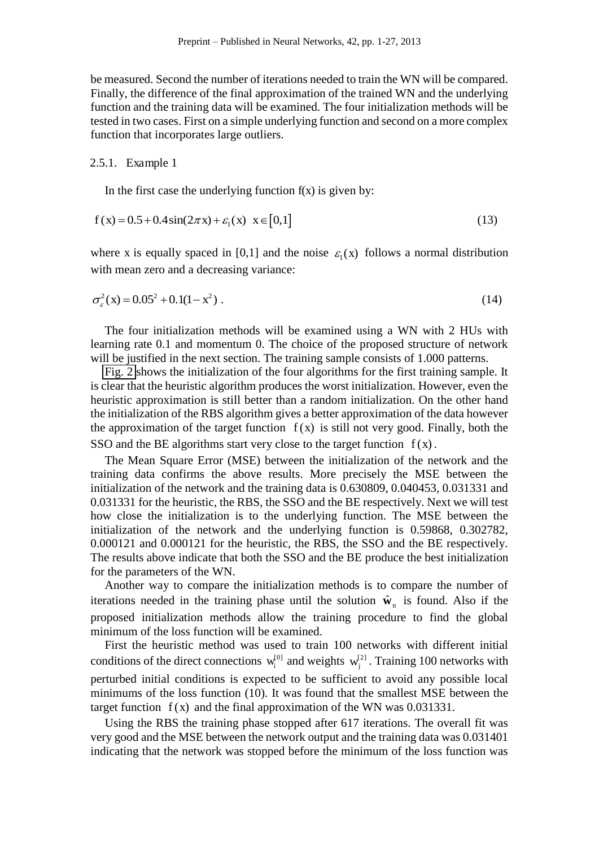be measured. Second the number of iterations needed to train the WN will be compared. Finally, the difference of the final approximation of the trained WN and the underlying function and the training data will be examined. The four initialization methods will be tested in two cases. First on a simple underlying function and second on a more complex function that incorporates large outliers.

#### 2.5.1. Example 1

In the first case the underlying function  $f(x)$  is given by:

$$
f(x) = 0.5 + 0.4\sin(2\pi x) + \varepsilon_1(x) \quad x \in [0,1]
$$
 (13)

where x is equally spaced in [0,1] and the noise  $\varepsilon_1(x)$  follows a normal distribution with mean zero and a decreasing variance:

$$
\sigma_{\varepsilon}^{2}(x) = 0.05^{2} + 0.1(1 - x^{2}).
$$
\n(14)

The four initialization methods will be examined using a WN with 2 HUs with learning rate 0.1 and momentum 0. The choice of the proposed structure of network will be justified in the next section. The training sample consists of 1.000 patterns.

[Fig. 2](#page-40-1) shows the initialization of the four algorithms for the first training sample. It is clear that the heuristic algorithm produces the worst initialization. However, even the heuristic approximation is still better than a random initialization. On the other hand the initialization of the RBS algorithm gives a better approximation of the data however the approximation of the target function  $f(x)$  is still not very good. Finally, both the SSO and the BE algorithms start very close to the target function  $f(x)$ .

The Mean Square Error (MSE) between the initialization of the network and the training data confirms the above results. More precisely the MSE between the initialization of the network and the training data is 0.630809, 0.040453, 0.031331 and 0.031331 for the heuristic, the RBS, the SSO and the BE respectively. Next we will test how close the initialization is to the underlying function. The MSE between the initialization of the network and the underlying function is 0.59868, 0.302782, 0.000121 and 0.000121 for the heuristic, the RBS, the SSO and the BE respectively. The results above indicate that both the SSO and the BE produce the best initialization for the parameters of the WN.

Another way to compare the initialization methods is to compare the number of iterations needed in the training phase until the solution  $\hat{\mathbf{w}}_n$  is found. Also if the proposed initialization methods allow the training procedure to find the global minimum of the loss function will be examined.

First the heuristic method was used to train 100 networks with different initial conditions of the direct connections  $w_i^{[0]}$  and weights  $w_j^{[2]}$ . Training 100 networks with perturbed initial conditions is expected to be sufficient to avoid any possible local minimums of the loss function (10). It was found that the smallest MSE between the target function  $f(x)$  and the final approximation of the WN was 0.031331.

Using the RBS the training phase stopped after 617 iterations. The overall fit was very good and the MSE between the network output and the training data was 0.031401 indicating that the network was stopped before the minimum of the loss function was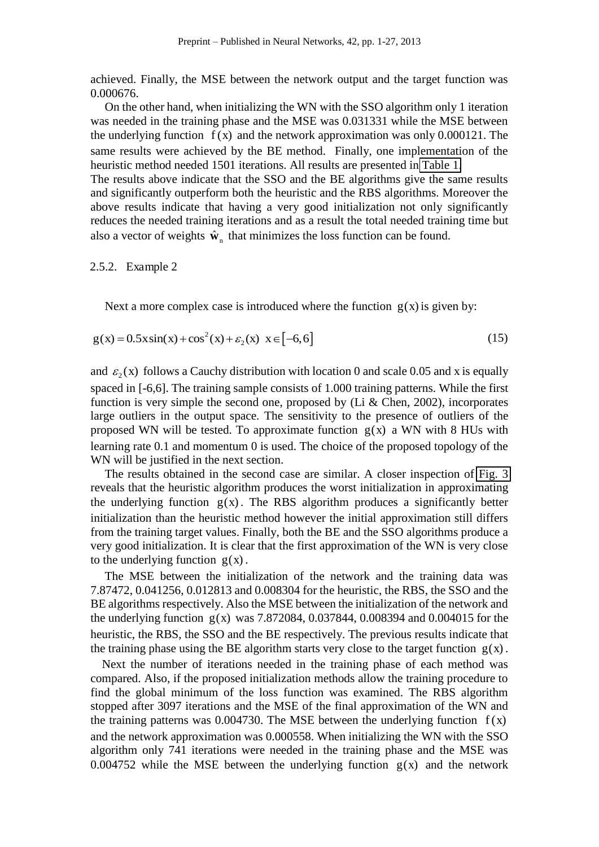achieved. Finally, the MSE between the network output and the target function was 0.000676.

On the other hand, when initializing the WN with the SSO algorithm only 1 iteration was needed in the training phase and the MSE was 0.031331 while the MSE between the underlying function  $f(x)$  and the network approximation was only 0.000121. The same results were achieved by the BE method. Finally, one implementation of the heuristic method needed 1501 iterations. All results are presented in [Table 1.](#page-48-0)

The results above indicate that the SSO and the BE algorithms give the same results and significantly outperform both the heuristic and the RBS algorithms. Moreover the above results indicate that having a very good initialization not only significantly reduces the needed training iterations and as a result the total needed training time but also a vector of weights  $\hat{\mathbf{w}}_n$  that minimizes the loss function can be found.

#### 2.5.2. Example 2

<span id="page-11-0"></span>Next a more complex case is introduced where the function  $g(x)$  is given by:

$$
g(x) = 0.5x\sin(x) + \cos^{2}(x) + \varepsilon_{2}(x) \quad x \in [-6, 6]
$$
 (15)

and  $\varepsilon_2$ (x) follows a Cauchy distribution with location 0 and scale 0.05 and x is equally spaced in [-6,6]. The training sample consists of 1.000 training patterns. While the first function is very simple the second one, proposed by  $(L<sub>i</sub> & Chen, 2002)$ , incorporates large outliers in the output space. The sensitivity to the presence of outliers of the proposed WN will be tested. To approximate function  $g(x)$  a WN with 8 HUs with learning rate 0.1 and momentum 0 is used. The choice of the proposed topology of the WN will be justified in the next section.

The results obtained in the second case are similar. A closer inspection of [Fig. 3](#page-41-0)  reveals that the heuristic algorithm produces the worst initialization in approximating the underlying function  $g(x)$ . The RBS algorithm produces a significantly better initialization than the heuristic method however the initial approximation still differs from the training target values. Finally, both the BE and the SSO algorithms produce a very good initialization. It is clear that the first approximation of the WN is very close to the underlying function  $g(x)$ .

The MSE between the initialization of the network and the training data was 7.87472, 0.041256, 0.012813 and 0.008304 for the heuristic, the RBS, the SSO and the BE algorithms respectively. Also the MSE between the initialization of the network and the underlying function  $g(x)$  was 7.872084, 0.037844, 0.008394 and 0.004015 for the heuristic, the RBS, the SSO and the BE respectively. The previous results indicate that the training phase using the BE algorithm starts very close to the target function  $g(x)$ .

Next the number of iterations needed in the training phase of each method was compared. Also, if the proposed initialization methods allow the training procedure to find the global minimum of the loss function was examined. The RBS algorithm stopped after 3097 iterations and the MSE of the final approximation of the WN and the training patterns was 0.004730. The MSE between the underlying function  $f(x)$ and the network approximation was 0.000558. When initializing the WN with the SSO algorithm only 741 iterations were needed in the training phase and the MSE was 0.004752 while the MSE between the underlying function  $g(x)$  and the network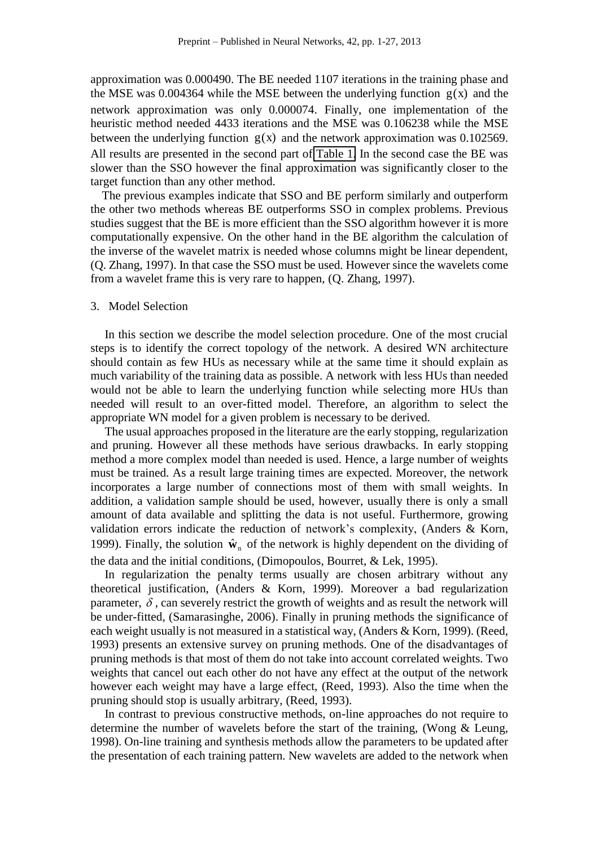approximation was 0.000490. The BE needed 1107 iterations in the training phase and the MSE was 0.004364 while the MSE between the underlying function  $g(x)$  and the network approximation was only 0.000074. Finally, one implementation of the heuristic method needed 4433 iterations and the MSE was 0.106238 while the MSE between the underlying function  $g(x)$  and the network approximation was 0.102569. All results are presented in the second part of [Table 1.](#page-48-0) In the second case the BE was slower than the SSO however the final approximation was significantly closer to the target function than any other method.

The previous examples indicate that SSO and BE perform similarly and outperform the other two methods whereas BE outperforms SSO in complex problems. Previous studies suggest that the BE is more efficient than the SSO algorithm however it is more computationally expensive. On the other hand in the BE algorithm the calculation of the inverse of the wavelet matrix is needed whose columns might be linear dependent, (Q. Zhang, 1997). In that case the SSO must be used. However since the wavelets come from a wavelet frame this is very rare to happen, (Q. Zhang, 1997).

#### 3. Model Selection

In this section we describe the model selection procedure. One of the most crucial steps is to identify the correct topology of the network. A desired WN architecture should contain as few HUs as necessary while at the same time it should explain as much variability of the training data as possible. A network with less HUs than needed would not be able to learn the underlying function while selecting more HUs than needed will result to an over-fitted model. Therefore, an algorithm to select the appropriate WN model for a given problem is necessary to be derived.

The usual approaches proposed in the literature are the early stopping, regularization and pruning. However all these methods have serious drawbacks. In early stopping method a more complex model than needed is used. Hence, a large number of weights must be trained. As a result large training times are expected. Moreover, the network incorporates a large number of connections most of them with small weights. In addition, a validation sample should be used, however, usually there is only a small amount of data available and splitting the data is not useful. Furthermore, growing validation errors indicate the reduction of network's complexity, (Anders & Korn, 1999). Finally, the solution  $\hat{\mathbf{w}}_n$  of the network is highly dependent on the dividing of the data and the initial conditions, (Dimopoulos, Bourret, & Lek, 1995).

In regularization the penalty terms usually are chosen arbitrary without any theoretical justification, (Anders & Korn, 1999). Moreover a bad regularization parameter,  $\delta$ , can severely restrict the growth of weights and as result the network will be under-fitted, (Samarasinghe, 2006). Finally in pruning methods the significance of each weight usually is not measured in a statistical way, (Anders & Korn, 1999). (Reed, 1993) presents an extensive survey on pruning methods. One of the disadvantages of pruning methods is that most of them do not take into account correlated weights. Two weights that cancel out each other do not have any effect at the output of the network however each weight may have a large effect, (Reed, 1993). Also the time when the pruning should stop is usually arbitrary, (Reed, 1993).

In contrast to previous constructive methods, on-line approaches do not require to determine the number of wavelets before the start of the training, (Wong & Leung, 1998). On-line training and synthesis methods allow the parameters to be updated after the presentation of each training pattern. New wavelets are added to the network when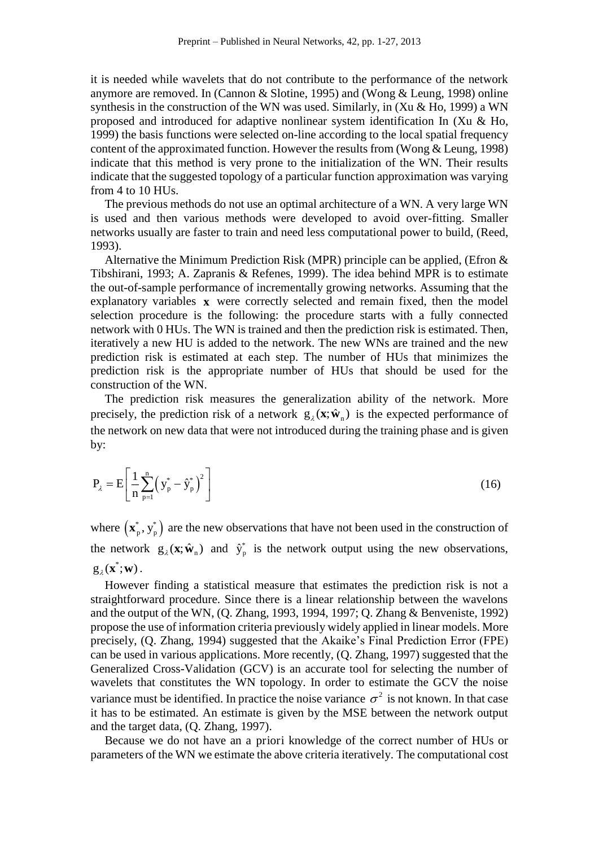it is needed while wavelets that do not contribute to the performance of the network anymore are removed. In (Cannon & Slotine, 1995) and (Wong & Leung, 1998) online synthesis in the construction of the WN was used. Similarly, in  $(Xu \& Ho. 1999)$  a WN proposed and introduced for adaptive nonlinear system identification In (Xu & Ho, 1999) the basis functions were selected on-line according to the local spatial frequency content of the approximated function. However the results from (Wong & Leung, 1998) indicate that this method is very prone to the initialization of the WN. Their results indicate that the suggested topology of a particular function approximation was varying from 4 to 10 HUs.

The previous methods do not use an optimal architecture of a WN. A very large WN is used and then various methods were developed to avoid over-fitting. Smaller networks usually are faster to train and need less computational power to build, (Reed, 1993).

Alternative the Minimum Prediction Risk (MPR) principle can be applied, (Efron & Tibshirani, 1993; A. Zapranis & Refenes, 1999). The idea behind MPR is to estimate the out-of-sample performance of incrementally growing networks. Assuming that the explanatory variables **x** were correctly selected and remain fixed, then the model selection procedure is the following: the procedure starts with a fully connected network with 0 HUs. The WN is trained and then the prediction risk is estimated. Then, iteratively a new HU is added to the network. The new WNs are trained and the new prediction risk is estimated at each step. The number of HUs that minimizes the prediction risk is the appropriate number of HUs that should be used for the construction of the WN.

The prediction risk measures the generalization ability of the network. More precisely, the prediction risk of a network  $g_\lambda(x; \hat{w}_n)$  is the expected performance of the network on new data that were not introduced during the training phase and is given by:

$$
P_{\lambda} = E \left[ \frac{1}{n} \sum_{p=1}^{n} \left( y_{p}^{*} - \hat{y}_{p}^{*} \right)^{2} \right]
$$
 (16)

where  $(\mathbf{x}_p^*, y_p^*)$  are the new observations that have not been used in the construction of the network  $g_{\lambda}(\mathbf{x}; \hat{\mathbf{w}}_n)$  and  $\hat{y}_p^*$  is the network output using the new observations,  $g_{\lambda}(\mathbf{x}^*; \mathbf{w})$ .

However finding a statistical measure that estimates the prediction risk is not a straightforward procedure. Since there is a linear relationship between the wavelons and the output of the WN, (Q. Zhang, 1993, 1994, 1997; Q. Zhang & Benveniste, 1992) propose the use of information criteria previously widely applied in linear models. More precisely, (Q. Zhang, 1994) suggested that the Akaike's Final Prediction Error (FPE) can be used in various applications. More recently, (Q. Zhang, 1997) suggested that the Generalized Cross-Validation (GCV) is an accurate tool for selecting the number of wavelets that constitutes the WN topology. In order to estimate the GCV the noise variance must be identified. In practice the noise variance  $\sigma^2$  is not known. In that case it has to be estimated. An estimate is given by the MSE between the network output and the target data, (Q. Zhang, 1997).

Because we do not have an a priori knowledge of the correct number of HUs or parameters of the WN we estimate the above criteria iteratively. The computational cost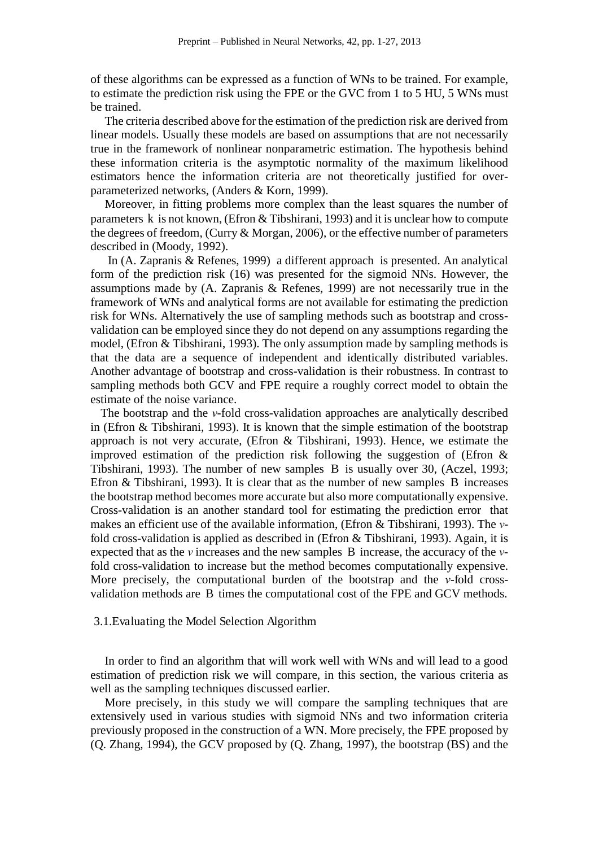of these algorithms can be expressed as a function of WNs to be trained. For example, to estimate the prediction risk using the FPE or the GVC from 1 to 5 HU, 5 WNs must be trained.

The criteria described above for the estimation of the prediction risk are derived from linear models. Usually these models are based on assumptions that are not necessarily true in the framework of nonlinear nonparametric estimation. The hypothesis behind these information criteria is the asymptotic normality of the maximum likelihood estimators hence the information criteria are not theoretically justified for overparameterized networks, (Anders & Korn, 1999).

Moreover, in fitting problems more complex than the least squares the number of parameters k is not known, (Efron & Tibshirani, 1993) and it is unclear how to compute the degrees of freedom, (Curry & Morgan, 2006), or the effective number of parameters described in (Moody, 1992).

 In (A. Zapranis & Refenes, 1999) a different approach is presented. An analytical form of the prediction risk (16) was presented for the sigmoid NNs. However, the assumptions made by (A. Zapranis & Refenes, 1999) are not necessarily true in the framework of WNs and analytical forms are not available for estimating the prediction risk for WNs. Alternatively the use of sampling methods such as bootstrap and crossvalidation can be employed since they do not depend on any assumptions regarding the model, (Efron & Tibshirani, 1993). The only assumption made by sampling methods is that the data are a sequence of independent and identically distributed variables. Another advantage of bootstrap and cross-validation is their robustness. In contrast to sampling methods both GCV and FPE require a roughly correct model to obtain the estimate of the noise variance.

The bootstrap and the *v*-fold cross-validation approaches are analytically described in (Efron & Tibshirani, 1993). It is known that the simple estimation of the bootstrap approach is not very accurate, (Efron & Tibshirani, 1993). Hence, we estimate the improved estimation of the prediction risk following the suggestion of (Efron  $\&$ Tibshirani, 1993). The number of new samples B is usually over 30, (Aczel, 1993; Efron & Tibshirani, 1993). It is clear that as the number of new samples <sup>B</sup> increases the bootstrap method becomes more accurate but also more computationally expensive. Cross-validation is an another standard tool for estimating the prediction error that makes an efficient use of the available information, (Efron & Tibshirani, 1993). The *ち*fold cross-validation is applied as described in (Efron & Tibshirani, 1993). Again, it is expected that as the *v* increases and the new samples B increase, the accuracy of the *v*fold cross-validation to increase but the method becomes computationally expensive. More precisely, the computational burden of the bootstrap and the  $\nu$ -fold crossvalidation methods are B times the computational cost of the FPE and GCV methods.

#### 3.1.Evaluating the Model Selection Algorithm

In order to find an algorithm that will work well with WNs and will lead to a good estimation of prediction risk we will compare, in this section, the various criteria as well as the sampling techniques discussed earlier.

More precisely, in this study we will compare the sampling techniques that are extensively used in various studies with sigmoid NNs and two information criteria previously proposed in the construction of a WN. More precisely, the FPE proposed by (Q. Zhang, 1994), the GCV proposed by (Q. Zhang, 1997), the bootstrap (BS) and the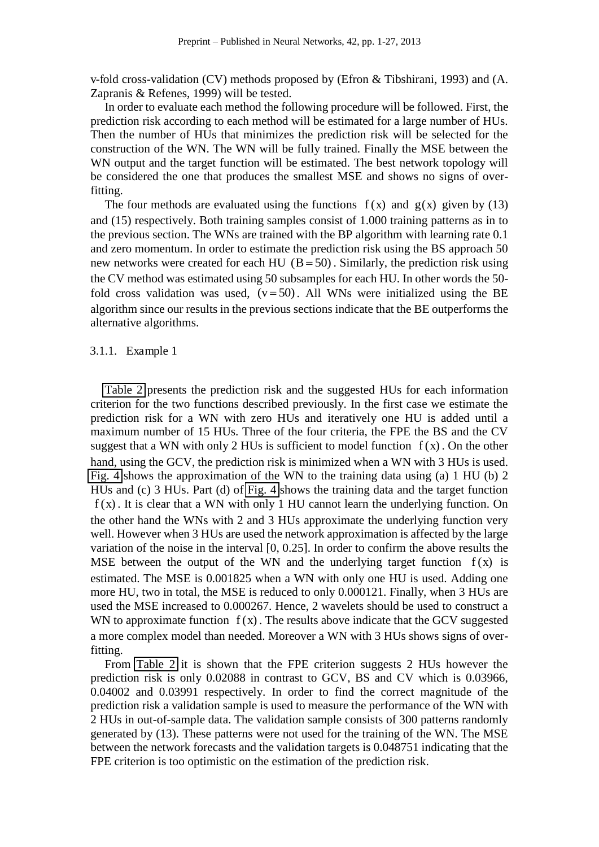v-fold cross-validation (CV) methods proposed by (Efron & Tibshirani, 1993) and (A. Zapranis & Refenes, 1999) will be tested.

In order to evaluate each method the following procedure will be followed. First, the prediction risk according to each method will be estimated for a large number of HUs. Then the number of HUs that minimizes the prediction risk will be selected for the construction of the WN. The WN will be fully trained. Finally the MSE between the WN output and the target function will be estimated. The best network topology will be considered the one that produces the smallest MSE and shows no signs of overfitting.

The four methods are evaluated using the functions  $f(x)$  and  $g(x)$  given by (13) and (15) respectively. Both training samples consist of 1.000 training patterns as in to the previous section. The WNs are trained with the BP algorithm with learning rate 0.1 and zero momentum. In order to estimate the prediction risk using the BS approach 50 new networks were created for each HU ( $B = 50$ ). Similarly, the prediction risk using the CV method was estimated using 50 subsamples for each HU. In other words the 50 fold cross validation was used,  $(v = 50)$ . All WNs were initialized using the BE algorithm since our results in the previous sections indicate that the BE outperforms the alternative algorithms.

#### 3.1.1. Example 1

[Table 2](#page-48-1) presents the prediction risk and the suggested HUs for each information criterion for the two functions described previously. In the first case we estimate the prediction risk for a WN with zero HUs and iteratively one HU is added until a maximum number of 15 HUs. Three of the four criteria, the FPE the BS and the CV suggest that a WN with only 2 HUs is sufficient to model function  $f(x)$ . On the other hand, using the GCV, the prediction risk is minimized when a WN with 3 HUs is used. [Fig. 4](#page-41-1) shows the approximation of the WN to the training data using (a) 1 HU (b) 2 HUs and (c) 3 HUs. Part (d) of [Fig. 4](#page-41-1) shows the training data and the target function  $f(x)$ . It is clear that a WN with only 1 HU cannot learn the underlying function. On the other hand the WNs with 2 and 3 HUs approximate the underlying function very well. However when 3 HUs are used the network approximation is affected by the large variation of the noise in the interval [0, 0.25]. In order to confirm the above results the MSE between the output of the WN and the underlying target function  $f(x)$  is estimated. The MSE is 0.001825 when a WN with only one HU is used. Adding one more HU, two in total, the MSE is reduced to only 0.000121. Finally, when 3 HUs are used the MSE increased to 0.000267. Hence, 2 wavelets should be used to construct a WN to approximate function  $f(x)$ . The results above indicate that the GCV suggested a more complex model than needed. Moreover a WN with 3 HUs shows signs of overfitting.

From [Table 2](#page-48-1) it is shown that the FPE criterion suggests 2 HUs however the prediction risk is only 0.02088 in contrast to GCV, BS and CV which is 0.03966, 0.04002 and 0.03991 respectively. In order to find the correct magnitude of the prediction risk a validation sample is used to measure the performance of the WN with 2 HUs in out-of-sample data. The validation sample consists of 300 patterns randomly generated by (13). These patterns were not used for the training of the WN. The MSE between the network forecasts and the validation targets is 0.048751 indicating that the FPE criterion is too optimistic on the estimation of the prediction risk.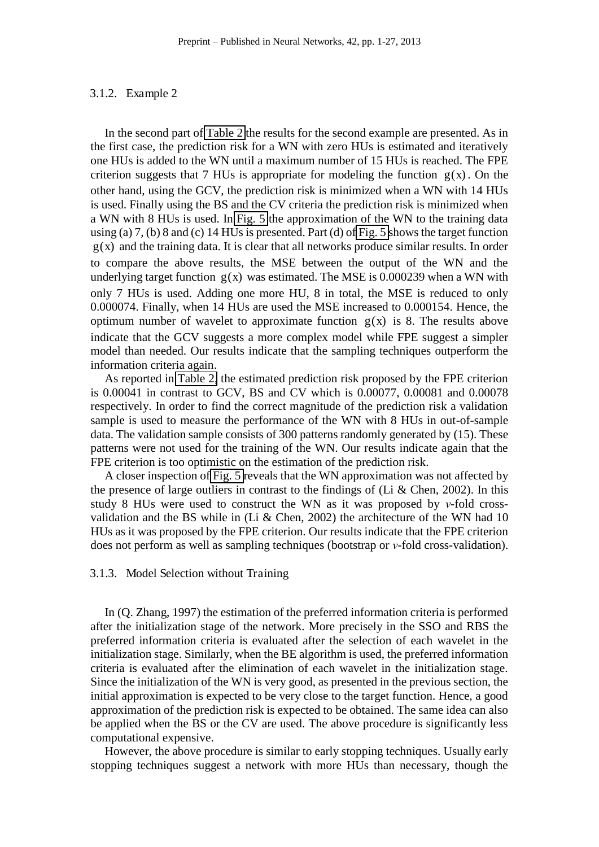#### 3.1.2. Example 2

In the second part of [Table 2](#page-48-1) the results for the second example are presented. As in the first case, the prediction risk for a WN with zero HUs is estimated and iteratively one HUs is added to the WN until a maximum number of 15 HUs is reached. The FPE criterion suggests that 7 HUs is appropriate for modeling the function  $g(x)$ . On the other hand, using the GCV, the prediction risk is minimized when a WN with 14 HUs is used. Finally using the BS and the CV criteria the prediction risk is minimized when a WN with 8 HUs is used. In [Fig. 5](#page-42-0) the approximation of the WN to the training data using (a) 7, (b) 8 and (c) 14 HUs is presented. Part (d) o[f Fig. 5](#page-42-0) shows the target function  $g(x)$  and the training data. It is clear that all networks produce similar results. In order to compare the above results, the MSE between the output of the WN and the underlying target function  $g(x)$  was estimated. The MSE is 0.000239 when a WN with only 7 HUs is used. Adding one more HU, 8 in total, the MSE is reduced to only 0.000074. Finally, when 14 HUs are used the MSE increased to 0.000154. Hence, the optimum number of wavelet to approximate function  $g(x)$  is 8. The results above indicate that the GCV suggests a more complex model while FPE suggest a simpler model than needed. Our results indicate that the sampling techniques outperform the information criteria again.

As reported in [Table 2,](#page-48-1) the estimated prediction risk proposed by the FPE criterion is 0.00041 in contrast to GCV, BS and CV which is 0.00077, 0.00081 and 0.00078 respectively. In order to find the correct magnitude of the prediction risk a validation sample is used to measure the performance of the WN with 8 HUs in out-of-sample data. The validation sample consists of 300 patterns randomly generated by (15). These patterns were not used for the training of the WN. Our results indicate again that the FPE criterion is too optimistic on the estimation of the prediction risk.

A closer inspection of [Fig. 5](#page-42-0) reveals that the WN approximation was not affected by the presence of large outliers in contrast to the findings of (Li  $&$  Chen, 2002). In this study 8 HUs were used to construct the WN as it was proposed by *v*-fold crossvalidation and the BS while in (Li & Chen, 2002) the architecture of the WN had 10 HUs as it was proposed by the FPE criterion. Our results indicate that the FPE criterion does not perform as well as sampling techniques (bootstrap or *v*-fold cross-validation).

#### 3.1.3. Model Selection without Training

In (Q. Zhang, 1997) the estimation of the preferred information criteria is performed after the initialization stage of the network. More precisely in the SSO and RBS the preferred information criteria is evaluated after the selection of each wavelet in the initialization stage. Similarly, when the BE algorithm is used, the preferred information criteria is evaluated after the elimination of each wavelet in the initialization stage. Since the initialization of the WN is very good, as presented in the previous section, the initial approximation is expected to be very close to the target function. Hence, a good approximation of the prediction risk is expected to be obtained. The same idea can also be applied when the BS or the CV are used. The above procedure is significantly less computational expensive.

However, the above procedure is similar to early stopping techniques. Usually early stopping techniques suggest a network with more HUs than necessary, though the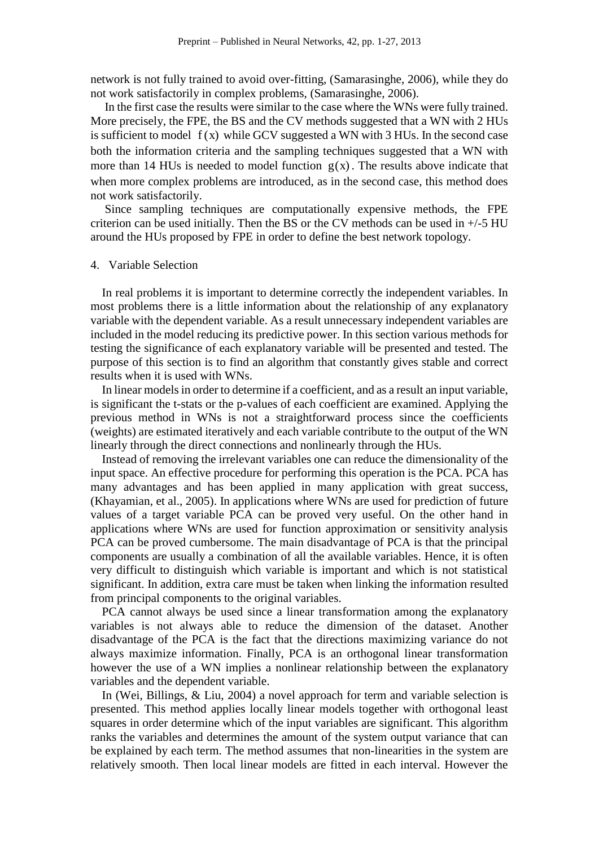network is not fully trained to avoid over-fitting, (Samarasinghe, 2006), while they do not work satisfactorily in complex problems, (Samarasinghe, 2006).

In the first case the results were similar to the case where the WNs were fully trained. More precisely, the FPE, the BS and the CV methods suggested that a WN with 2 HUs is sufficient to model  $f(x)$  while GCV suggested a WN with 3 HUs. In the second case both the information criteria and the sampling techniques suggested that a WN with more than 14 HUs is needed to model function  $g(x)$ . The results above indicate that when more complex problems are introduced, as in the second case, this method does not work satisfactorily.

Since sampling techniques are computationally expensive methods, the FPE criterion can be used initially. Then the BS or the CV methods can be used in +/-5 HU around the HUs proposed by FPE in order to define the best network topology.

#### 4. Variable Selection

In real problems it is important to determine correctly the independent variables. In most problems there is a little information about the relationship of any explanatory variable with the dependent variable. As a result unnecessary independent variables are included in the model reducing its predictive power. In this section various methods for testing the significance of each explanatory variable will be presented and tested. The purpose of this section is to find an algorithm that constantly gives stable and correct results when it is used with WNs.

In linear models in order to determine if a coefficient, and as a result an input variable, is significant the t-stats or the p-values of each coefficient are examined. Applying the previous method in WNs is not a straightforward process since the coefficients (weights) are estimated iteratively and each variable contribute to the output of the WN linearly through the direct connections and nonlinearly through the HUs.

Instead of removing the irrelevant variables one can reduce the dimensionality of the input space. An effective procedure for performing this operation is the PCA. PCA has many advantages and has been applied in many application with great success, (Khayamian, et al., 2005). In applications where WNs are used for prediction of future values of a target variable PCA can be proved very useful. On the other hand in applications where WNs are used for function approximation or sensitivity analysis PCA can be proved cumbersome. The main disadvantage of PCA is that the principal components are usually a combination of all the available variables. Hence, it is often very difficult to distinguish which variable is important and which is not statistical significant. In addition, extra care must be taken when linking the information resulted from principal components to the original variables.

PCA cannot always be used since a linear transformation among the explanatory variables is not always able to reduce the dimension of the dataset. Another disadvantage of the PCA is the fact that the directions maximizing variance do not always maximize information. Finally, PCA is an orthogonal linear transformation however the use of a WN implies a nonlinear relationship between the explanatory variables and the dependent variable.

In (Wei, Billings, & Liu, 2004) a novel approach for term and variable selection is presented. This method applies locally linear models together with orthogonal least squares in order determine which of the input variables are significant. This algorithm ranks the variables and determines the amount of the system output variance that can be explained by each term. The method assumes that non-linearities in the system are relatively smooth. Then local linear models are fitted in each interval. However the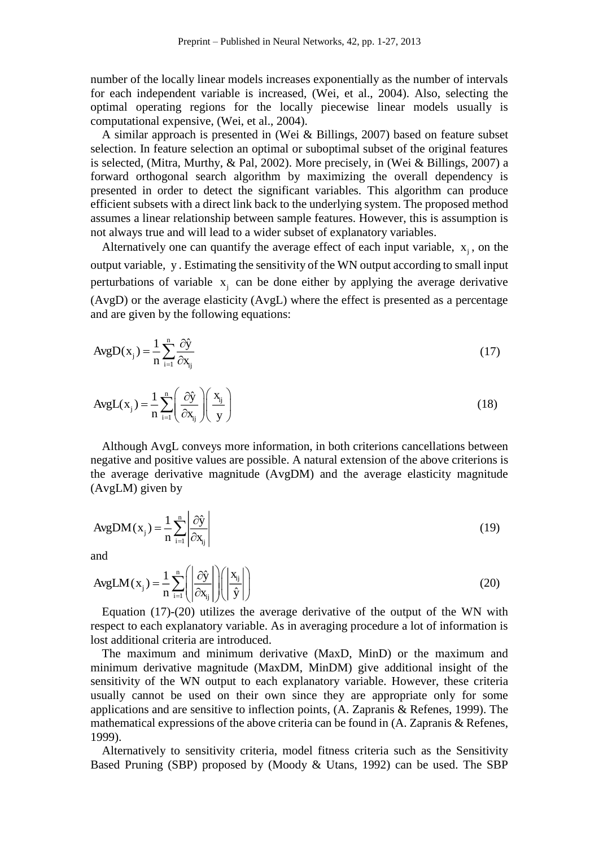number of the locally linear models increases exponentially as the number of intervals for each independent variable is increased, (Wei, et al., 2004). Also, selecting the optimal operating regions for the locally piecewise linear models usually is computational expensive, (Wei, et al., 2004).

A similar approach is presented in (Wei & Billings, 2007) based on feature subset selection. In feature selection an optimal or suboptimal subset of the original features is selected, (Mitra, Murthy, & Pal, 2002). More precisely, in (Wei & Billings, 2007) a forward orthogonal search algorithm by maximizing the overall dependency is presented in order to detect the significant variables. This algorithm can produce efficient subsets with a direct link back to the underlying system. The proposed method assumes a linear relationship between sample features. However, this is assumption is not always true and will lead to a wider subset of explanatory variables.

Alternatively one can quantify the average effect of each input variable,  $x_j$ , on the output variable, <sup>y</sup> . Estimating the sensitivity of the WN output according to small input perturbations of variable  $x_j$  can be done either by applying the average derivative (AvgD) or the average elasticity (AvgL) where the effect is presented as a percentage and are given by the following equations:

$$
AvgD(x_j) = \frac{1}{n} \sum_{i=1}^{n} \frac{\partial \hat{y}}{\partial x_{ij}}
$$
(17)

$$
AvgL(x_j) = \frac{1}{n} \sum_{i=1}^{n} \left( \frac{\partial \hat{y}}{\partial x_{ij}} \right) \left( \frac{x_{ij}}{y} \right)
$$
(18)

Although AvgL conveys more information, in both criterions cancellations between negative and positive values are possible. A natural extension of the above criterions is the average derivative magnitude (AvgDM) and the average elasticity magnitude (AvgLM) given by

$$
AvgDM(x_j) = \frac{1}{n} \sum_{i=1}^{n} \left| \frac{\partial \hat{y}}{\partial x_{ij}} \right|
$$
 (19)

and

$$
AvgLM(x_j) = \frac{1}{n} \sum_{i=1}^{n} \left( \left| \frac{\partial \hat{y}}{\partial x_{ij}} \right| \right) \left( \left| \frac{x_{ij}}{\hat{y}} \right| \right)
$$
(20)

Equation  $(17)-(20)$  utilizes the average derivative of the output of the WN with respect to each explanatory variable. As in averaging procedure a lot of information is lost additional criteria are introduced.

The maximum and minimum derivative (MaxD, MinD) or the maximum and minimum derivative magnitude (MaxDM, MinDM) give additional insight of the sensitivity of the WN output to each explanatory variable. However, these criteria usually cannot be used on their own since they are appropriate only for some applications and are sensitive to inflection points, (A. Zapranis & Refenes, 1999). The mathematical expressions of the above criteria can be found in (A. Zapranis & Refenes, 1999).

Alternatively to sensitivity criteria, model fitness criteria such as the Sensitivity Based Pruning (SBP) proposed by (Moody & Utans, 1992) can be used. The SBP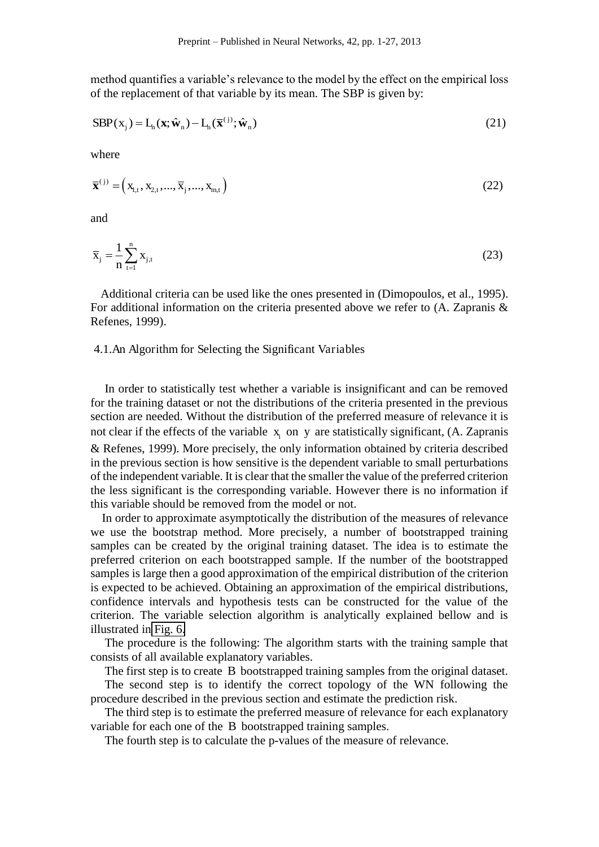method quantifies a variable's relevance to the model by the effect on the empirical loss of the replacement of that variable by its mean. The SBP is given by:

$$
SBP(x_j) = L_n(\mathbf{x}; \hat{\mathbf{w}}_n) - L_n(\overline{\mathbf{x}}^{(j)}; \hat{\mathbf{w}}_n)
$$
\n(21)

where

$$
\overline{\mathbf{x}}^{(j)} = (x_{1,t}, x_{2,t}, ..., \overline{x}_j, ..., x_{m,t})
$$
\n(22)

and

$$
\overline{x}_{j} = \frac{1}{n} \sum_{t=1}^{n} x_{j,t}
$$
 (23)

Additional criteria can be used like the ones presented in (Dimopoulos, et al., 1995). For additional information on the criteria presented above we refer to (A. Zapranis & Refenes, 1999).

#### 4.1.An Algorithm for Selecting the Significant Variables

In order to statistically test whether a variable is insignificant and can be removed for the training dataset or not the distributions of the criteria presented in the previous section are needed. Without the distribution of the preferred measure of relevance it is not clear if the effects of the variable  $x_i$  on y are statistically significant, (A. Zapranis & Refenes, 1999). More precisely, the only information obtained by criteria described in the previous section is how sensitive is the dependent variable to small perturbations of the independent variable. It is clear that the smaller the value of the preferred criterion the less significant is the corresponding variable. However there is no information if this variable should be removed from the model or not.

In order to approximate asymptotically the distribution of the measures of relevance we use the bootstrap method. More precisely, a number of bootstrapped training samples can be created by the original training dataset. The idea is to estimate the preferred criterion on each bootstrapped sample. If the number of the bootstrapped samples is large then a good approximation of the empirical distribution of the criterion is expected to be achieved. Obtaining an approximation of the empirical distributions, confidence intervals and hypothesis tests can be constructed for the value of the criterion. The variable selection algorithm is analytically explained bellow and is illustrated in [Fig. 6.](#page-43-0)

The procedure is the following: The algorithm starts with the training sample that consists of all available explanatory variables.

The first step is to create B bootstrapped training samples from the original dataset. The second step is to identify the correct topology of the WN following the

procedure described in the previous section and estimate the prediction risk.

The third step is to estimate the preferred measure of relevance for each explanatory variable for each one of the B bootstrapped training samples.

The fourth step is to calculate the p-values of the measure of relevance.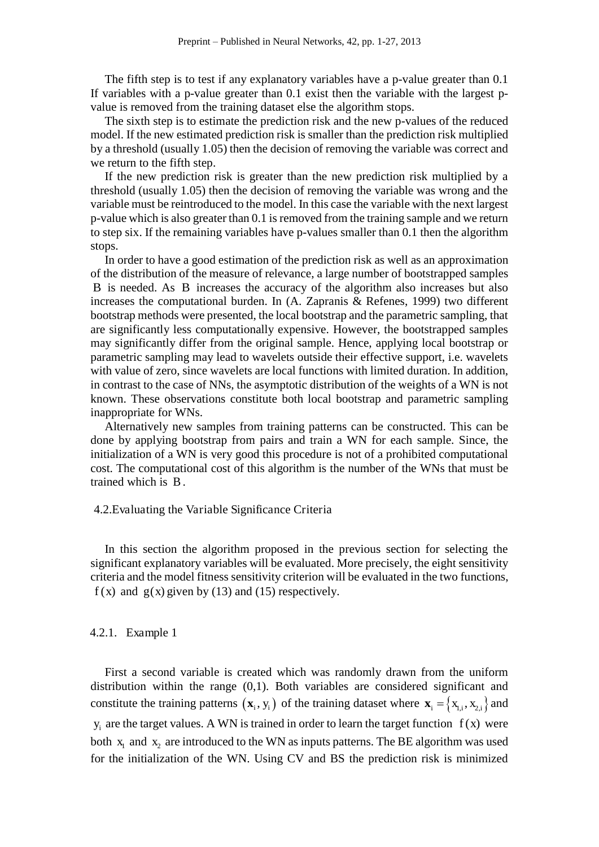The fifth step is to test if any explanatory variables have a p-value greater than 0.1 If variables with a p-value greater than 0.1 exist then the variable with the largest pvalue is removed from the training dataset else the algorithm stops.

The sixth step is to estimate the prediction risk and the new p-values of the reduced model. If the new estimated prediction risk is smaller than the prediction risk multiplied by a threshold (usually 1.05) then the decision of removing the variable was correct and we return to the fifth step.

If the new prediction risk is greater than the new prediction risk multiplied by a threshold (usually 1.05) then the decision of removing the variable was wrong and the variable must be reintroduced to the model. In this case the variable with the next largest p-value which is also greater than 0.1 is removed from the training sample and we return to step six. If the remaining variables have p-values smaller than 0.1 then the algorithm stops.

In order to have a good estimation of the prediction risk as well as an approximation of the distribution of the measure of relevance, a large number of bootstrapped samples <sup>B</sup> is needed. As B increases the accuracy of the algorithm also increases but also increases the computational burden. In (A. Zapranis & Refenes, 1999) two different bootstrap methods were presented, the local bootstrap and the parametric sampling, that are significantly less computationally expensive. However, the bootstrapped samples may significantly differ from the original sample. Hence, applying local bootstrap or parametric sampling may lead to wavelets outside their effective support, i.e. wavelets with value of zero, since wavelets are local functions with limited duration. In addition, in contrast to the case of NNs, the asymptotic distribution of the weights of a WN is not known. These observations constitute both local bootstrap and parametric sampling inappropriate for WNs.

Alternatively new samples from training patterns can be constructed. This can be done by applying bootstrap from pairs and train a WN for each sample. Since, the initialization of a WN is very good this procedure is not of a prohibited computational cost. The computational cost of this algorithm is the number of the WNs that must be trained which is B.

#### 4.2.Evaluating the Variable Significance Criteria

In this section the algorithm proposed in the previous section for selecting the significant explanatory variables will be evaluated. More precisely, the eight sensitivity criteria and the model fitness sensitivity criterion will be evaluated in the two functions,  $f(x)$  and  $g(x)$  given by (13) and (15) respectively.

4.2.1. Example 1

First a second variable is created which was randomly drawn from the uniform distribution within the range (0,1). Both variables are considered significant and constitute the training patterns  $(\mathbf{x}_i, y_i)$  of the training dataset where  $\mathbf{x}_i = \{x_{i,i}, x_{2,i}\}$  and  $y_i$  are the target values. A WN is trained in order to learn the target function  $f(x)$  were both  $x_1$  and  $x_2$  are introduced to the WN as inputs patterns. The BE algorithm was used for the initialization of the WN. Using CV and BS the prediction risk is minimized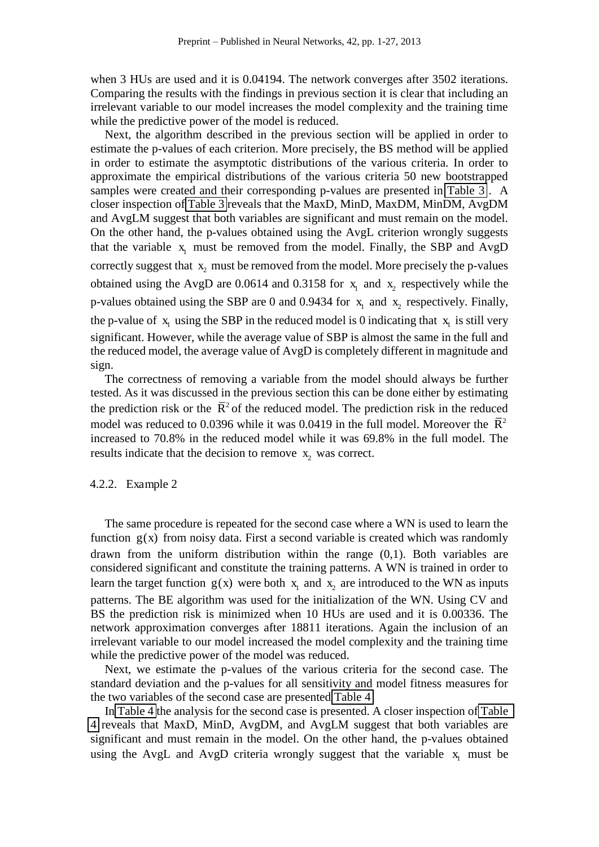when 3 HUs are used and it is 0.04194. The network converges after 3502 iterations. Comparing the results with the findings in previous section it is clear that including an irrelevant variable to our model increases the model complexity and the training time while the predictive power of the model is reduced.

Next, the algorithm described in the previous section will be applied in order to estimate the p-values of each criterion. More precisely, the BS method will be applied in order to estimate the asymptotic distributions of the various criteria. In order to approximate the empirical distributions of the various criteria 50 new bootstrapped samples were created and their corresponding p-values are presented in [Table 3](#page-48-2) . A closer inspection of [Table 3](#page-48-2) reveals that the MaxD, MinD, MaxDM, MinDM, AvgDM and AvgLM suggest that both variables are significant and must remain on the model. On the other hand, the p-values obtained using the AvgL criterion wrongly suggests that the variable  $x_1$  must be removed from the model. Finally, the SBP and AvgD correctly suggest that  $x_2$  must be removed from the model. More precisely the p-values obtained using the AvgD are 0.0614 and 0.3158 for  $x_1$  and  $x_2$  respectively while the p-values obtained using the SBP are 0 and 0.9434 for  $x_1$  and  $x_2$  respectively. Finally, the p-value of  $x_1$  using the SBP in the reduced model is 0 indicating that  $x_1$  is still very significant. However, while the average value of SBP is almost the same in the full and the reduced model, the average value of AvgD is completely different in magnitude and sign.

The correctness of removing a variable from the model should always be further tested. As it was discussed in the previous section this can be done either by estimating the prediction risk or the  $\overline{R}^2$  of the reduced model. The prediction risk in the reduced model was reduced to 0.0396 while it was 0.0419 in the full model. Moreover the  $\overline{R}^2$ increased to 70.8% in the reduced model while it was 69.8% in the full model. The results indicate that the decision to remove  $x_2$  was correct.

#### 4.2.2. Example 2

The same procedure is repeated for the second case where a WN is used to learn the function  $g(x)$  from noisy data. First a second variable is created which was randomly drawn from the uniform distribution within the range (0,1). Both variables are considered significant and constitute the training patterns. A WN is trained in order to learn the target function  $g(x)$  were both  $x_1$  and  $x_2$  are introduced to the WN as inputs patterns. The BE algorithm was used for the initialization of the WN. Using CV and BS the prediction risk is minimized when 10 HUs are used and it is 0.00336. The network approximation converges after 18811 iterations. Again the inclusion of an irrelevant variable to our model increased the model complexity and the training time while the predictive power of the model was reduced.

Next, we estimate the p-values of the various criteria for the second case. The standard deviation and the p-values for all sensitivity and model fitness measures for the two variables of the second case are presented [Table 4](#page-49-0) 

In [Table 4](#page-49-0) the analysis for the second case is presented. A closer inspection of [Table](#page-49-0)  [4](#page-49-0) reveals that MaxD, MinD, AvgDM, and AvgLM suggest that both variables are significant and must remain in the model. On the other hand, the p-values obtained using the AvgL and AvgD criteria wrongly suggest that the variable  $x_1$  must be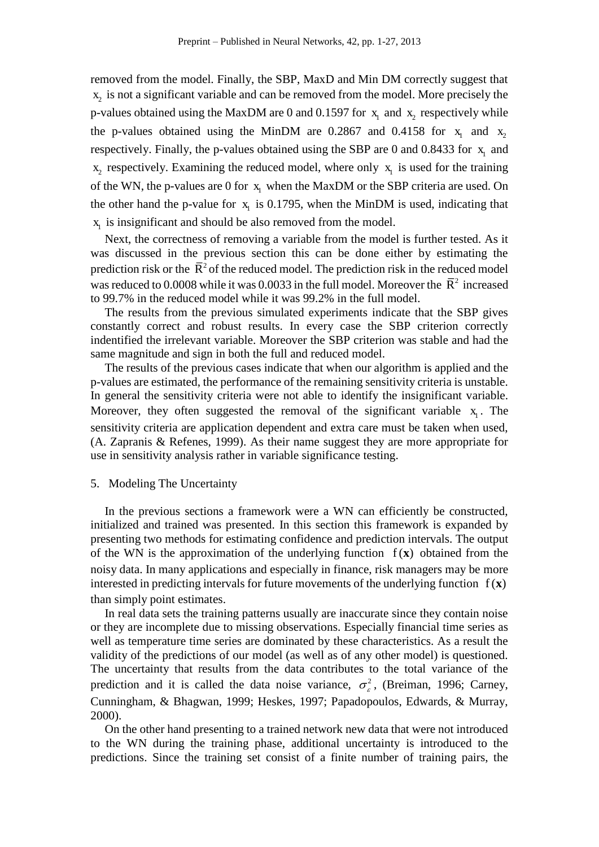removed from the model. Finally, the SBP, MaxD and Min DM correctly suggest that  $x<sub>2</sub>$  is not a significant variable and can be removed from the model. More precisely the p-values obtained using the MaxDM are 0 and 0.1597 for  $x_1$  and  $x_2$  respectively while the p-values obtained using the MinDM are 0.2867 and 0.4158 for  $x_1$  and  $x_2$ respectively. Finally, the p-values obtained using the SBP are 0 and 0.8433 for  $x_1$  and  $x_2$  respectively. Examining the reduced model, where only  $x_1$  is used for the training of the WN, the p-values are 0 for  $x_1$  when the MaxDM or the SBP criteria are used. On the other hand the p-value for  $x<sub>1</sub>$  is 0.1795, when the MinDM is used, indicating that  $x<sub>1</sub>$  is insignificant and should be also removed from the model.

Next, the correctness of removing a variable from the model is further tested. As it was discussed in the previous section this can be done either by estimating the prediction risk or the  $\overline{R}^2$  of the reduced model. The prediction risk in the reduced model was reduced to 0.0008 while it was 0.0033 in the full model. Moreover the  $\overline{R}^2$  increased to 99.7% in the reduced model while it was 99.2% in the full model.

The results from the previous simulated experiments indicate that the SBP gives constantly correct and robust results. In every case the SBP criterion correctly indentified the irrelevant variable. Moreover the SBP criterion was stable and had the same magnitude and sign in both the full and reduced model.

The results of the previous cases indicate that when our algorithm is applied and the p-values are estimated, the performance of the remaining sensitivity criteria is unstable. In general the sensitivity criteria were not able to identify the insignificant variable. Moreover, they often suggested the removal of the significant variable  $x_1$ . The sensitivity criteria are application dependent and extra care must be taken when used, (A. Zapranis & Refenes, 1999). As their name suggest they are more appropriate for use in sensitivity analysis rather in variable significance testing.

#### 5. Modeling The Uncertainty

In the previous sections a framework were a WN can efficiently be constructed, initialized and trained was presented. In this section this framework is expanded by presenting two methods for estimating confidence and prediction intervals. The output of the WN is the approximation of the underlying function  $f(x)$  obtained from the noisy data. In many applications and especially in finance, risk managers may be more interested in predicting intervals for future movements of the underlying function  $f(x)$ than simply point estimates.

In real data sets the training patterns usually are inaccurate since they contain noise or they are incomplete due to missing observations. Especially financial time series as well as temperature time series are dominated by these characteristics. As a result the validity of the predictions of our model (as well as of any other model) is questioned. The uncertainty that results from the data contributes to the total variance of the prediction and it is called the data noise variance,  $\sigma_{\epsilon}^2$ , (Breiman, 1996; Carney, Cunningham, & Bhagwan, 1999; Heskes, 1997; Papadopoulos, Edwards, & Murray, 2000).

On the other hand presenting to a trained network new data that were not introduced to the WN during the training phase, additional uncertainty is introduced to the predictions. Since the training set consist of a finite number of training pairs, the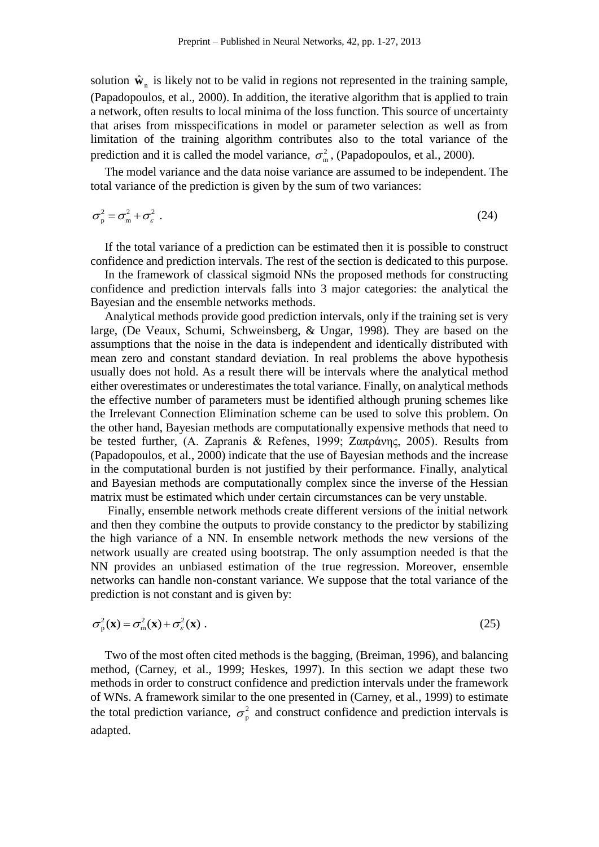solution  $\hat{\mathbf{w}}_n$  is likely not to be valid in regions not represented in the training sample, (Papadopoulos, et al., 2000). In addition, the iterative algorithm that is applied to train a network, often results to local minima of the loss function. This source of uncertainty that arises from misspecifications in model or parameter selection as well as from limitation of the training algorithm contributes also to the total variance of the prediction and it is called the model variance,  $\sigma_{\text{m}}^2$ , (Papadopoulos, et al., 2000).

The model variance and the data noise variance are assumed to be independent. The total variance of the prediction is given by the sum of two variances:

$$
\sigma_{\rm p}^2 = \sigma_{\rm m}^2 + \sigma_{\rm c}^2 \ . \tag{24}
$$

If the total variance of a prediction can be estimated then it is possible to construct confidence and prediction intervals. The rest of the section is dedicated to this purpose.

In the framework of classical sigmoid NNs the proposed methods for constructing confidence and prediction intervals falls into 3 major categories: the analytical the Bayesian and the ensemble networks methods.

Analytical methods provide good prediction intervals, only if the training set is very large, (De Veaux, Schumi, Schweinsberg, & Ungar, 1998). They are based on the assumptions that the noise in the data is independent and identically distributed with mean zero and constant standard deviation. In real problems the above hypothesis usually does not hold. As a result there will be intervals where the analytical method either overestimates or underestimates the total variance. Finally, on analytical methods the effective number of parameters must be identified although pruning schemes like the Irrelevant Connection Elimination scheme can be used to solve this problem. On the other hand, Bayesian methods are computationally expensive methods that need to be tested further, (A. Zapranis & Refenes, 1999;  $Z\alpha\pi\rho\dot{\alpha}\nu\eta\zeta$ , 2005). Results from (Papadopoulos, et al., 2000) indicate that the use of Bayesian methods and the increase in the computational burden is not justified by their performance. Finally, analytical and Bayesian methods are computationally complex since the inverse of the Hessian matrix must be estimated which under certain circumstances can be very unstable.

 Finally, ensemble network methods create different versions of the initial network and then they combine the outputs to provide constancy to the predictor by stabilizing the high variance of a NN. In ensemble network methods the new versions of the network usually are created using bootstrap. The only assumption needed is that the NN provides an unbiased estimation of the true regression. Moreover, ensemble networks can handle non-constant variance. We suppose that the total variance of the prediction is not constant and is given by:

$$
\sigma_{\mathrm{p}}^2(\mathbf{x}) = \sigma_{\mathrm{m}}^2(\mathbf{x}) + \sigma_{\varepsilon}^2(\mathbf{x}) \tag{25}
$$

Two of the most often cited methods is the bagging, (Breiman, 1996), and balancing method, (Carney, et al., 1999; Heskes, 1997). In this section we adapt these two methods in order to construct confidence and prediction intervals under the framework of WNs. A framework similar to the one presented in (Carney, et al., 1999) to estimate the total prediction variance,  $\sigma_{\rm p}^2$  and construct confidence and prediction intervals is adapted.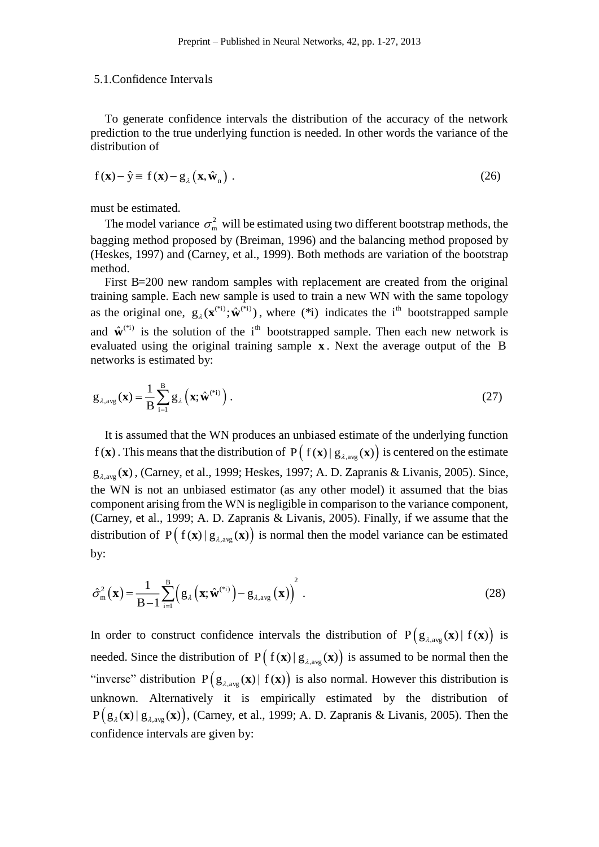#### 5.1.Confidence Intervals

To generate confidence intervals the distribution of the accuracy of the network prediction to the true underlying function is needed. In other words the variance of the distribution of

$$
f(\mathbf{x}) - \hat{\mathbf{y}} \equiv f(\mathbf{x}) - g_{\lambda}(\mathbf{x}, \hat{\mathbf{w}}_{n}).
$$
\n(26)

must be estimated.

The model variance  $\sigma_{\rm m}^2$  will be estimated using two different bootstrap methods, the bagging method proposed by (Breiman, 1996) and the balancing method proposed by (Heskes, 1997) and (Carney, et al., 1999). Both methods are variation of the bootstrap method.

First B=200 new random samples with replacement are created from the original training sample. Each new sample is used to train a new WN with the same topology as the original one,  $g_{\lambda}(\mathbf{x}^{(*i)}; \hat{\mathbf{w}}^{(*)})$ , where (\*i) indicates the i<sup>th</sup> bootstrapped sample and  $\hat{\mathbf{w}}^{(*i)}$  is the solution of the i<sup>th</sup> bootstrapped sample. Then each new network is evaluated using the original training sample **<sup>x</sup>** . Next the average output of the <sup>B</sup> networks is estimated by:

$$
g_{\lambda,\text{avg}}(\mathbf{x}) = \frac{1}{B} \sum_{i=1}^{B} g_{\lambda}(\mathbf{x}; \hat{\mathbf{w}}^{(*)}) .
$$
 (27)

It is assumed that the WN produces an unbiased estimate of the underlying function  $f(\mathbf{x})$ . This means that the distribution of  $P(f(\mathbf{x}) | g_{\lambda, \text{avg}}(\mathbf{x}))$  is centered on the estimate  $g_{\lambda, avg}$ (**x**), (Carney, et al., 1999; Heskes, 1997; A. D. Zapranis & Livanis, 2005). Since, the WN is not an unbiased estimator (as any other model) it assumed that the bias component arising from the WN is negligible in comparison to the variance component, (Carney, et al., 1999; A. D. Zapranis & Livanis, 2005). Finally, if we assume that the distribution of  $P(f(x) | g_{\lambda, avg}(x))$  is normal then the model variance can be estimated by:

$$
\hat{\sigma}_{\mathbf{m}}^{2}(\mathbf{x}) = \frac{1}{\mathbf{B} - 1} \sum_{i=1}^{\mathbf{B}} \left( g_{\lambda}(\mathbf{x}; \hat{\mathbf{w}}^{(*)}) - g_{\lambda, \text{avg}}(\mathbf{x}) \right)^{2} . \tag{28}
$$

In order to construct confidence intervals the distribution of  $P(g_{\lambda, avg}(x) | f(x))$  is needed. Since the distribution of  $P(f(x) | g_{\lambda, avg}(x))$  is assumed to be normal then the "inverse" distribution  $P(g_{\lambda, avg}(x) | f(x))$  is also normal. However this distribution is unknown. Alternatively it is empirically estimated by the distribution of  $P(g_{\lambda}(x) | g_{\lambda, \text{avg}}(x))$ , (Carney, et al., 1999; A. D. Zapranis & Livanis, 2005). Then the confidence intervals are given by: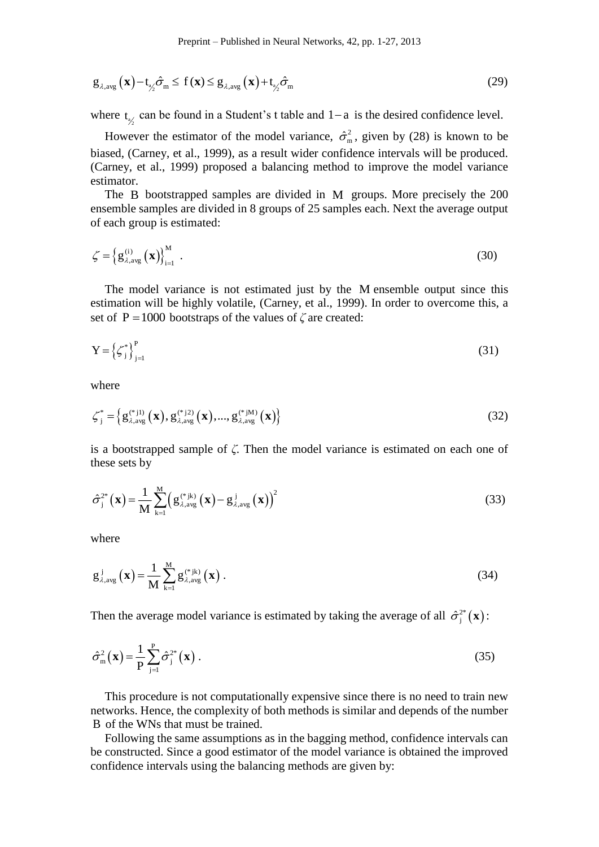$$
g_{\lambda,\text{avg}}\left(\mathbf{x}\right)-t_{\lambda/2}^{\lambda}\hat{\sigma}_{m} \leq f\left(\mathbf{x}\right) \leq g_{\lambda,\text{avg}}\left(\mathbf{x}\right)+t_{\lambda/2}^{\lambda}\hat{\sigma}_{m} \tag{29}
$$

where  $t_{\frac{1}{2}}$  can be found in a Student's t table and  $1 - a$  is the desired confidence level.

However the estimator of the model variance,  $\hat{\sigma}_{m}^{2}$ , given by (28) is known to be biased, (Carney, et al., 1999), as a result wider confidence intervals will be produced. (Carney, et al., 1999) proposed a balancing method to improve the model variance estimator.

The B bootstrapped samples are divided in M groups. More precisely the 200 ensemble samples are divided in 8 groups of 25 samples each. Next the average output of each group is estimated:

$$
\zeta = \left\{ g_{\lambda, \text{avg}}^{(i)} \left( \mathbf{x} \right) \right\}_{i=1}^{M} \tag{30}
$$

The model variance is not estimated just by the <sup>M</sup> ensemble output since this estimation will be highly volatile, (Carney, et al., 1999). In order to overcome this, a set of  $P = 1000$  bootstraps of the values of  $\zeta$  are created:

$$
\mathbf{Y} = \left\{ \boldsymbol{\zeta}^* \right\}_{j=1}^P \tag{31}
$$

where

$$
\boldsymbol{\zeta}_{j}^{*} = \left\{ g_{\lambda,\text{avg}}^{(*\text{ }j1\text{)}}\left(\mathbf{x}\right), g_{\lambda,\text{avg}}^{(*\text{ }j2\text{)}}\left(\mathbf{x}\right), ..., g_{\lambda,\text{avg}}^{(*\text{ }jM)}\left(\mathbf{x}\right) \right\}
$$
(32)

is a bootstrapped sample of *こ*. Then the model variance is estimated on each one of these sets by

$$
\hat{\sigma}_j^{2^*}(\mathbf{x}) = \frac{1}{M} \sum_{k=1}^{M} \left( g_{\lambda, avg}^{(*jk)}(\mathbf{x}) - g_{\lambda, avg}^{j}(\mathbf{x}) \right)^2
$$
(33)

where

$$
g_{\lambda,\text{avg}}^{j}\left(\mathbf{x}\right) = \frac{1}{M} \sum_{k=1}^{M} g_{\lambda,\text{avg}}^{(*jk)}\left(\mathbf{x}\right). \tag{34}
$$

Then the average model variance is estimated by taking the average of all  $\hat{\sigma}^{2*}_{j}(\mathbf{x})$ :

$$
\hat{\sigma}_{\mathbf{m}}^2(\mathbf{x}) = \frac{1}{P} \sum_{j=1}^P \hat{\sigma}_j^{2^*}(\mathbf{x}).
$$
\n(35)

This procedure is not computationally expensive since there is no need to train new networks. Hence, the complexity of both methods is similar and depends of the number <sup>B</sup> of the WNs that must be trained.

Following the same assumptions as in the bagging method, confidence intervals can be constructed. Since a good estimator of the model variance is obtained the improved confidence intervals using the balancing methods are given by: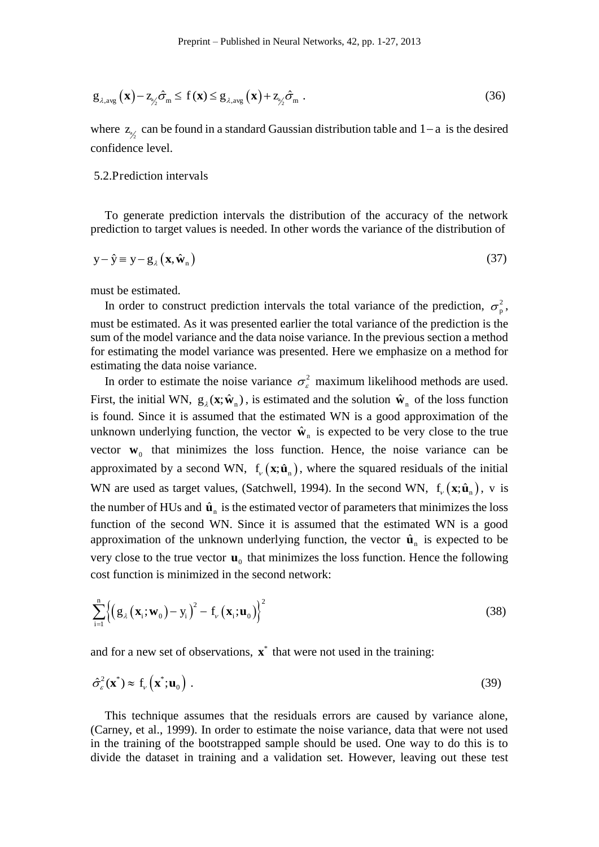$$
g_{\lambda,\text{avg}}\left(\mathbf{x}\right) - z_{\gamma_2} \hat{\sigma}_{\text{m}} \le f\left(\mathbf{x}\right) \le g_{\lambda,\text{avg}}\left(\mathbf{x}\right) + z_{\gamma_2} \hat{\sigma}_{\text{m}}\ .
$$
\n(36)

where  $z_{\gamma}$  can be found in a standard Gaussian distribution table and  $1-a$  is the desired confidence level.

#### 5.2.Prediction intervals

To generate prediction intervals the distribution of the accuracy of the network prediction to target values is needed. In other words the variance of the distribution of

$$
y - \hat{y} = y - g_{\lambda}(\mathbf{x}, \hat{\mathbf{w}}_{n})
$$
\n(37)

must be estimated.

In order to construct prediction intervals the total variance of the prediction,  $\sigma_{\rm p}^2$ , must be estimated. As it was presented earlier the total variance of the prediction is the sum of the model variance and the data noise variance. In the previous section a method for estimating the model variance was presented. Here we emphasize on a method for estimating the data noise variance.

In order to estimate the noise variance  $\sigma_{\varepsilon}^2$  maximum likelihood methods are used. First, the initial WN,  $g_{\lambda}(\mathbf{x}; \hat{\mathbf{w}}_n)$ , is estimated and the solution  $\hat{\mathbf{w}}_n$  of the loss function is found. Since it is assumed that the estimated WN is a good approximation of the unknown underlying function, the vector  $\hat{\mathbf{w}}_n$  is expected to be very close to the true vector  $w_0$  that minimizes the loss function. Hence, the noise variance can be approximated by a second WN,  $f_{\nu}(\mathbf{x}; \hat{\mathbf{u}}_n)$ , where the squared residuals of the initial WN are used as target values, (Satchwell, 1994). In the second WN,  $f_{\nu}(\mathbf{x}; \hat{\mathbf{u}}_n)$ , v is the number of HUs and  $\hat{\mathbf{u}}_n$  is the estimated vector of parameters that minimizes the loss function of the second WN. Since it is assumed that the estimated WN is a good approximation of the unknown underlying function, the vector  $\hat{\mathbf{u}}_n$  is expected to be very close to the true vector  $\mathbf{u}_0$  that minimizes the loss function. Hence the following cost function is minimized in the second network:

$$
\sum_{i=1}^{n} \left\{ \left( \mathbf{g}_{\lambda} \left( \mathbf{x}_{i}; \mathbf{w}_{0} \right) - y_{i} \right)^{2} - f_{\nu} \left( \mathbf{x}_{i}; \mathbf{u}_{0} \right) \right\}^{2} \tag{38}
$$

and for a new set of observations,  $\mathbf{x}^*$  that were not used in the training:

$$
\hat{\sigma}_\varepsilon^2(\mathbf{x}^*) \approx \mathbf{f}_\nu\left(\mathbf{x}^*;\mathbf{u}_0\right). \tag{39}
$$

This technique assumes that the residuals errors are caused by variance alone, (Carney, et al., 1999). In order to estimate the noise variance, data that were not used in the training of the bootstrapped sample should be used. One way to do this is to divide the dataset in training and a validation set. However, leaving out these test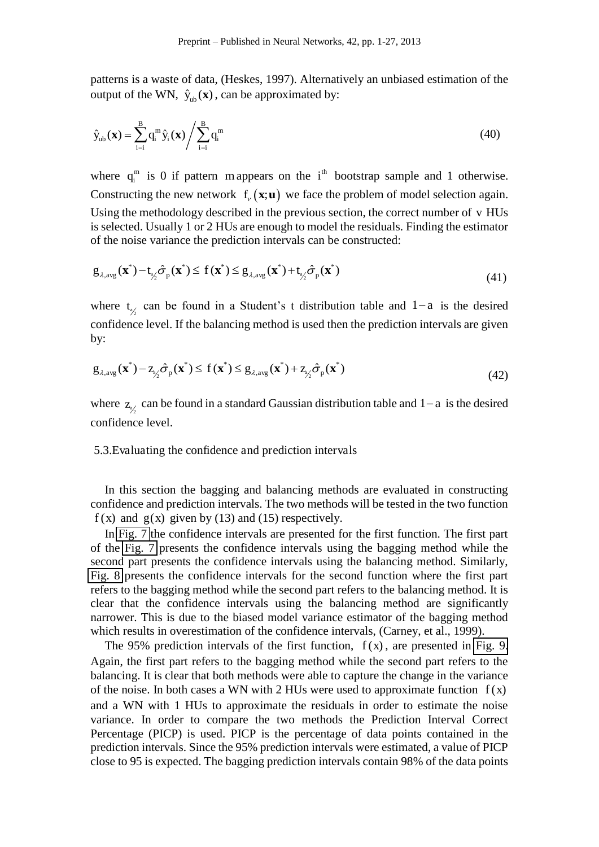patterns is a waste of data, (Heskes, 1997). Alternatively an unbiased estimation of the output of the WN,  $\hat{y}_{ub}(\mathbf{x})$ , can be approximated by:

$$
\hat{y}_{\text{ub}}(\mathbf{x}) = \sum_{i=1}^{B} q_i^m \hat{y}_i(\mathbf{x}) / \sum_{i=1}^{B} q_i^m
$$
\n(40)

where  $q_i^m$  is 0 if pattern mappears on the i<sup>th</sup> bootstrap sample and 1 otherwise. Constructing the new network  $f_{\nu}(\mathbf{x}; \mathbf{u})$  we face the problem of model selection again. Using the methodology described in the previous section, the correct number of v HUs is selected. Usually 1 or 2 HUs are enough to model the residuals. Finding the estimator of the noise variance the prediction intervals can be constructed:

$$
g_{\lambda,\text{avg}}(\mathbf{x}^*) - t_{\lambda/2} \hat{\sigma}_p(\mathbf{x}^*) \le f(\mathbf{x}^*) \le g_{\lambda,\text{avg}}(\mathbf{x}^*) + t_{\lambda/2} \hat{\sigma}_p(\mathbf{x}^*)
$$
\n(41)

where  $t_{\gamma}$  can be found in a Student's t distribution table and  $1-a$  is the desired confidence level. If the balancing method is used then the prediction intervals are given by:

$$
g_{\lambda,\text{avg}}(\mathbf{x}^*) - z_{\gamma_2} \hat{\sigma}_p(\mathbf{x}^*) \le f(\mathbf{x}^*) \le g_{\lambda,\text{avg}}(\mathbf{x}^*) + z_{\gamma_2} \hat{\sigma}_p(\mathbf{x}^*)
$$
\n(42)

where  $z_{\alpha\beta}$  can be found in a standard Gaussian distribution table and  $1-a$  is the desired confidence level.

#### 5.3.Evaluating the confidence and prediction intervals

In this section the bagging and balancing methods are evaluated in constructing confidence and prediction intervals. The two methods will be tested in the two function  $f(x)$  and  $g(x)$  given by (13) and (15) respectively.

In [Fig. 7](#page-44-0) the confidence intervals are presented for the first function. The first part of the [Fig. 7](#page-44-0) presents the confidence intervals using the bagging method while the second part presents the confidence intervals using the balancing method. Similarly, [Fig. 8](#page-44-1) presents the confidence intervals for the second function where the first part refers to the bagging method while the second part refers to the balancing method. It is clear that the confidence intervals using the balancing method are significantly narrower. This is due to the biased model variance estimator of the bagging method which results in overestimation of the confidence intervals, (Carney, et al., 1999).

The 95% prediction intervals of the first function,  $f(x)$ , are presented in [Fig. 9.](#page-44-2) Again, the first part refers to the bagging method while the second part refers to the balancing. It is clear that both methods were able to capture the change in the variance of the noise. In both cases a WN with 2 HUs were used to approximate function  $f(x)$ and a WN with 1 HUs to approximate the residuals in order to estimate the noise variance. In order to compare the two methods the Prediction Interval Correct Percentage (PICP) is used. PICP is the percentage of data points contained in the prediction intervals. Since the 95% prediction intervals were estimated, a value of PICP close to 95 is expected. The bagging prediction intervals contain 98% of the data points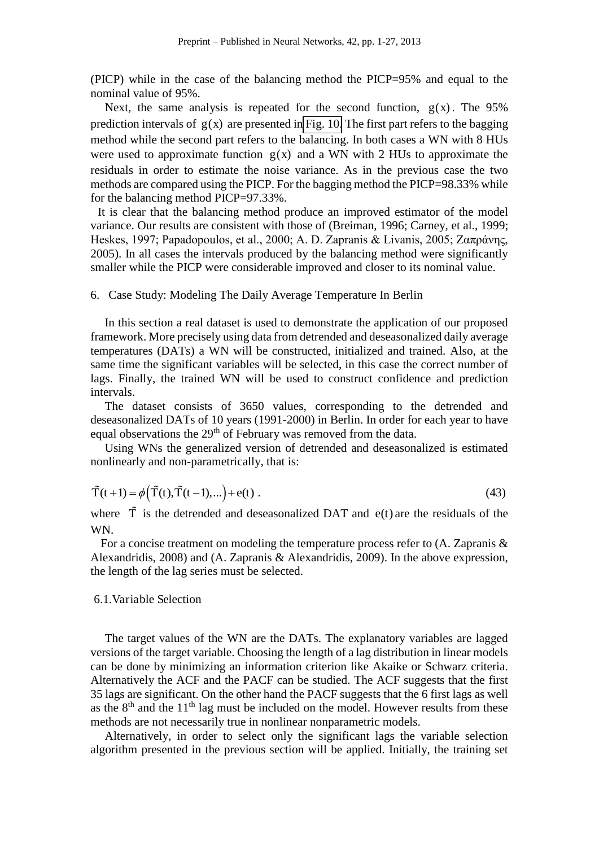(PICP) while in the case of the balancing method the PICP=95% and equal to the nominal value of 95%.

Next, the same analysis is repeated for the second function,  $g(x)$ . The 95% prediction intervals of  $g(x)$  are presented in [Fig. 10.](#page-45-0) The first part refers to the bagging method while the second part refers to the balancing. In both cases a WN with 8 HUs were used to approximate function  $g(x)$  and a WN with 2 HUs to approximate the residuals in order to estimate the noise variance. As in the previous case the two methods are compared using the PICP. For the bagging method the PICP=98.33% while for the balancing method PICP=97.33%.

It is clear that the balancing method produce an improved estimator of the model variance. Our results are consistent with those of (Breiman, 1996; Carney, et al., 1999; Heskes, 1997; Papadopoulos, et al., 2000; A. D. Zapranis & Livanis, 2005; Ζαπράνης, 2005). In all cases the intervals produced by the balancing method were significantly smaller while the PICP were considerable improved and closer to its nominal value.

## 6. Case Study: Modeling The Daily Average Temperature In Berlin

In this section a real dataset is used to demonstrate the application of our proposed framework. More precisely using data from detrended and deseasonalized daily average temperatures (DATs) a WN will be constructed, initialized and trained. Also, at the same time the significant variables will be selected, in this case the correct number of lags. Finally, the trained WN will be used to construct confidence and prediction intervals.

The dataset consists of 3650 values, corresponding to the detrended and deseasonalized DATs of 10 years (1991-2000) in Berlin. In order for each year to have equal observations the 29<sup>th</sup> of February was removed from the data.

Using WNs the generalized version of detrended and deseasonalized is estimated nonlinearly and non-parametrically, that is:

$$
\tilde{\mathbf{T}}(t+1) = \phi\big(\tilde{\mathbf{T}}(t), \tilde{\mathbf{T}}(t-1), \ldots\big) + e(t) \tag{43}
$$

where  $\tilde{T}$  is the detrended and deseasonalized DAT and  $e(t)$  are the residuals of the WN.

For a concise treatment on modeling the temperature process refer to (A. Zapranis & Alexandridis, 2008) and (A. Zapranis & Alexandridis, 2009). In the above expression, the length of the lag series must be selected.

### 6.1.Variable Selection

The target values of the WN are the DATs. The explanatory variables are lagged versions of the target variable. Choosing the length of a lag distribution in linear models can be done by minimizing an information criterion like Akaike or Schwarz criteria. Alternatively the ACF and the PACF can be studied. The ACF suggests that the first 35 lags are significant. On the other hand the PACF suggests that the 6 first lags as well as the  $8<sup>th</sup>$  and the 11<sup>th</sup> lag must be included on the model. However results from these methods are not necessarily true in nonlinear nonparametric models.

Alternatively, in order to select only the significant lags the variable selection algorithm presented in the previous section will be applied. Initially, the training set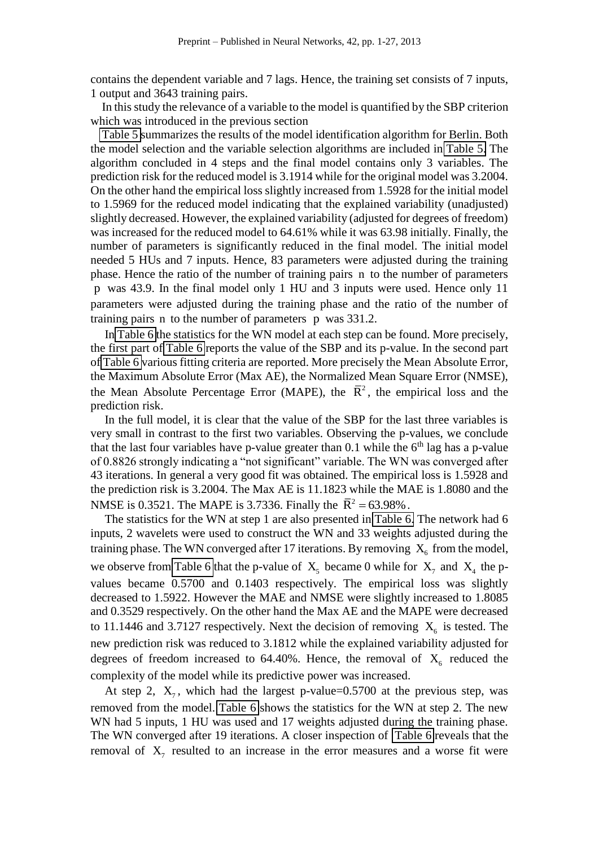contains the dependent variable and 7 lags. Hence, the training set consists of 7 inputs, 1 output and 3643 training pairs.

In this study the relevance of a variable to the model is quantified by the SBP criterion which was introduced in the previous section

[Table 5 s](#page-49-1)ummarizes the results of the model identification algorithm for Berlin. Both the model selection and the variable selection algorithms are included in [Table 5.](#page-49-1) The algorithm concluded in 4 steps and the final model contains only 3 variables. The prediction risk for the reduced model is 3.1914 while for the original model was 3.2004. On the other hand the empirical loss slightly increased from 1.5928 for the initial model to 1.5969 for the reduced model indicating that the explained variability (unadjusted) slightly decreased. However, the explained variability (adjusted for degrees of freedom) was increased for the reduced model to 64.61% while it was 63.98 initially. Finally, the number of parameters is significantly reduced in the final model. The initial model needed 5 HUs and 7 inputs. Hence, 83 parameters were adjusted during the training phase. Hence the ratio of the number of training pairs n to the number of parameters <sup>p</sup> was 43.9. In the final model only 1 HU and 3 inputs were used. Hence only 11 parameters were adjusted during the training phase and the ratio of the number of training pairs n to the number of parameters <sup>p</sup> was 331.2.

In [Table 6](#page-50-0) the statistics for the WN model at each step can be found. More precisely, the first part of [Table 6](#page-50-0) reports the value of the SBP and its p-value. In the second part o[f Table 6 v](#page-50-0)arious fitting criteria are reported. More precisely the Mean Absolute Error, the Maximum Absolute Error (Max AE), the Normalized Mean Square Error (NMSE), the Mean Absolute Percentage Error (MAPE), the  $\overline{R}^2$ , the empirical loss and the prediction risk.

In the full model, it is clear that the value of the SBP for the last three variables is very small in contrast to the first two variables. Observing the p-values, we conclude that the last four variables have p-value greater than  $0.1$  while the  $6<sup>th</sup>$  lag has a p-value of 0.882θ strongly indicating a "not significant" variable. The WN was converged after 43 iterations. In general a very good fit was obtained. The empirical loss is 1.5928 and the prediction risk is 3.2004. The Max AE is 11.1823 while the MAE is 1.8080 and the NMSE is 0.3521. The MAPE is 3.7336. Finally the  $\bar{R}^2 = 63.98\%$ .

The statistics for the WN at step 1 are also presented in [Table 6.](#page-50-0) The network had 6 inputs, 2 wavelets were used to construct the WN and 33 weights adjusted during the training phase. The WN converged after 17 iterations. By removing  $X_6$  from the model, we observe from [Table 6](#page-50-0) that the p-value of  $X_5$  became 0 while for  $X_7$  and  $X_4$  the pvalues became 0.5700 and 0.1403 respectively. The empirical loss was slightly decreased to 1.5922. However the MAE and NMSE were slightly increased to 1.8085 and 0.3529 respectively. On the other hand the Max AE and the MAPE were decreased to 11.1446 and 3.7127 respectively. Next the decision of removing  $X_6$  is tested. The new prediction risk was reduced to 3.1812 while the explained variability adjusted for degrees of freedom increased to 64.40%. Hence, the removal of  $X_6$  reduced the complexity of the model while its predictive power was increased.

At step 2,  $X_7$ , which had the largest p-value=0.5700 at the previous step, was removed from the model. [Table 6](#page-50-0) shows the statistics for the WN at step 2. The new WN had 5 inputs, 1 HU was used and 17 weights adjusted during the training phase. The WN converged after 19 iterations. A closer inspection of [Table 6](#page-50-0) reveals that the removal of  $X_7$  resulted to an increase in the error measures and a worse fit were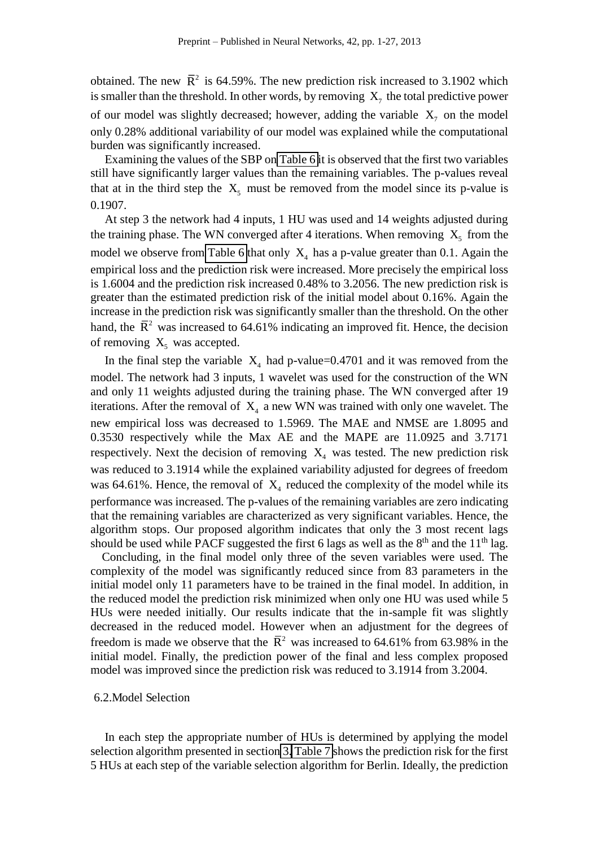obtained. The new  $\overline{R}^2$  is 64.59%. The new prediction risk increased to 3.1902 which is smaller than the threshold. In other words, by removing  $X_7$  the total predictive power of our model was slightly decreased; however, adding the variable  $X_7$  on the model only 0.28% additional variability of our model was explained while the computational burden was significantly increased.

Examining the values of the SBP on [Table 6](#page-50-0) it is observed that the first two variables still have significantly larger values than the remaining variables. The p-values reveal that at in the third step the  $X_5$  must be removed from the model since its p-value is 0.1907.

At step 3 the network had 4 inputs, 1 HU was used and 14 weights adjusted during the training phase. The WN converged after 4 iterations. When removing  $X<sub>5</sub>$  from the model we observe from [Table 6](#page-50-0) that only  $X_4$  has a p-value greater than 0.1. Again the empirical loss and the prediction risk were increased. More precisely the empirical loss is 1.6004 and the prediction risk increased 0.48% to 3.2056. The new prediction risk is greater than the estimated prediction risk of the initial model about 0.16%. Again the increase in the prediction risk was significantly smaller than the threshold. On the other hand, the  $\overline{R}^2$  was increased to 64.61% indicating an improved fit. Hence, the decision of removing  $X_5$  was accepted.

In the final step the variable  $X_4$  had p-value=0.4701 and it was removed from the model. The network had 3 inputs, 1 wavelet was used for the construction of the WN and only 11 weights adjusted during the training phase. The WN converged after 19 iterations. After the removal of  $X_4$  a new WN was trained with only one wavelet. The new empirical loss was decreased to 1.5969. The MAE and NMSE are 1.8095 and 0.3530 respectively while the Max AE and the MAPE are 11.0925 and 3.7171 respectively. Next the decision of removing  $X_4$  was tested. The new prediction risk was reduced to 3.1914 while the explained variability adjusted for degrees of freedom was 64.61%. Hence, the removal of  $X_4$  reduced the complexity of the model while its performance was increased. The p-values of the remaining variables are zero indicating that the remaining variables are characterized as very significant variables. Hence, the algorithm stops. Our proposed algorithm indicates that only the 3 most recent lags should be used while PACF suggested the first 6 lags as well as the  $8<sup>th</sup>$  and the  $11<sup>th</sup>$  lag.

Concluding, in the final model only three of the seven variables were used. The complexity of the model was significantly reduced since from 83 parameters in the initial model only 11 parameters have to be trained in the final model. In addition, in the reduced model the prediction risk minimized when only one HU was used while 5 HUs were needed initially. Our results indicate that the in-sample fit was slightly decreased in the reduced model. However when an adjustment for the degrees of freedom is made we observe that the  $\overline{R}^2$  was increased to 64.61% from 63.98% in the initial model. Finally, the prediction power of the final and less complex proposed model was improved since the prediction risk was reduced to 3.1914 from 3.2004.

#### 6.2.Model Selection

In each step the appropriate number of HUs is determined by applying the model selection algorithm presented in section [3.](#page-11-0) [Table 7](#page-50-1) shows the prediction risk for the first 5 HUs at each step of the variable selection algorithm for Berlin. Ideally, the prediction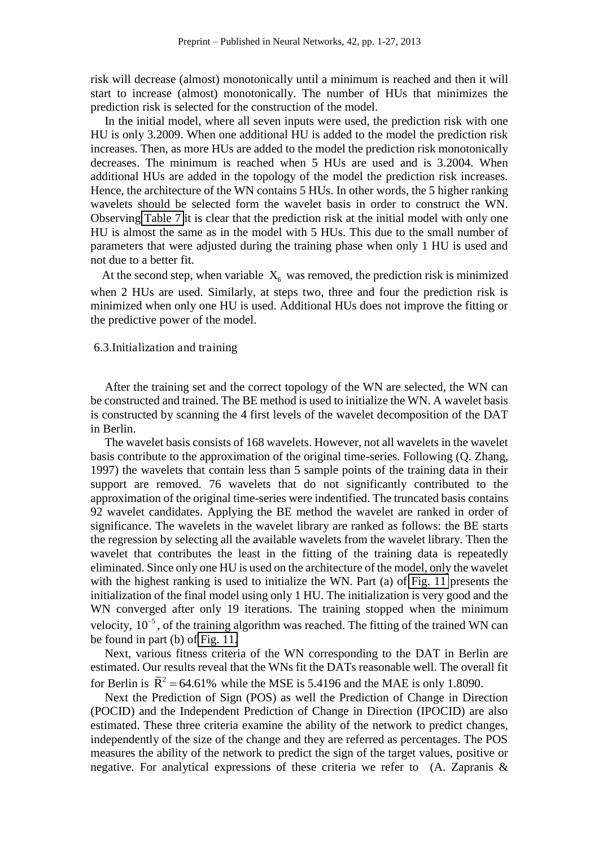risk will decrease (almost) monotonically until a minimum is reached and then it will start to increase (almost) monotonically. The number of HUs that minimizes the prediction risk is selected for the construction of the model.

In the initial model, where all seven inputs were used, the prediction risk with one HU is only 3.2009. When one additional HU is added to the model the prediction risk increases. Then, as more HUs are added to the model the prediction risk monotonically decreases. The minimum is reached when 5 HUs are used and is 3.2004. When additional HUs are added in the topology of the model the prediction risk increases. Hence, the architecture of the WN contains 5 HUs. In other words, the 5 higher ranking wavelets should be selected form the wavelet basis in order to construct the WN. Observing [Table 7](#page-50-1) it is clear that the prediction risk at the initial model with only one HU is almost the same as in the model with 5 HUs. This due to the small number of parameters that were adjusted during the training phase when only 1 HU is used and not due to a better fit.

At the second step, when variable  $X_6$  was removed, the prediction risk is minimized when 2 HUs are used. Similarly, at steps two, three and four the prediction risk is minimized when only one HU is used. Additional HUs does not improve the fitting or the predictive power of the model.

#### 6.3.Initialization and training

<span id="page-31-0"></span>After the training set and the correct topology of the WN are selected, the WN can be constructed and trained. The BE method is used to initialize the WN. A wavelet basis is constructed by scanning the 4 first levels of the wavelet decomposition of the DAT in Berlin.

The wavelet basis consists of 168 wavelets. However, not all wavelets in the wavelet basis contribute to the approximation of the original time-series. Following (Q. Zhang, 1997) the wavelets that contain less than 5 sample points of the training data in their support are removed. 76 wavelets that do not significantly contributed to the approximation of the original time-series were indentified. The truncated basis contains 92 wavelet candidates. Applying the BE method the wavelet are ranked in order of significance. The wavelets in the wavelet library are ranked as follows: the BE starts the regression by selecting all the available wavelets from the wavelet library. Then the wavelet that contributes the least in the fitting of the training data is repeatedly eliminated. Since only one HU is used on the architecture of the model, only the wavelet with the highest ranking is used to initialize the WN. Part (a) of [Fig. 11](#page-45-1) presents the initialization of the final model using only 1 HU. The initialization is very good and the WN converged after only 19 iterations. The training stopped when the minimum velocity,  $10^{-5}$ , of the training algorithm was reached. The fitting of the trained WN can be found in part (b) of [Fig. 11.](#page-45-1)

Next, various fitness criteria of the WN corresponding to the DAT in Berlin are estimated. Our results reveal that the WNs fit the DATs reasonable well. The overall fit for Berlin is  $\overline{R}^2$  = 64.61% while the MSE is 5.4196 and the MAE is only 1.8090.

Next the Prediction of Sign (POS) as well the Prediction of Change in Direction (POCID) and the Independent Prediction of Change in Direction (IPOCID) are also estimated. These three criteria examine the ability of the network to predict changes, independently of the size of the change and they are referred as percentages. The POS measures the ability of the network to predict the sign of the target values, positive or negative. For analytical expressions of these criteria we refer to (A. Zapranis &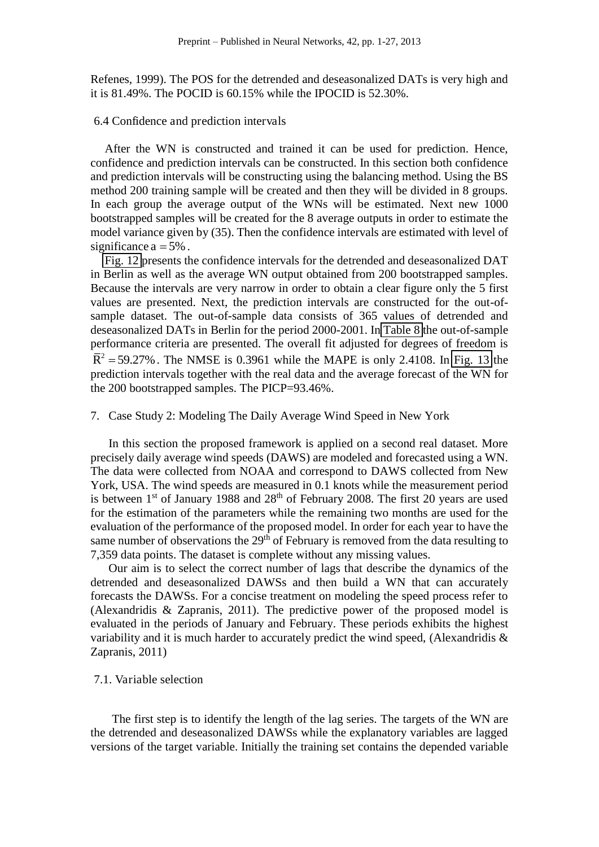Refenes, 1999). The POS for the detrended and deseasonalized DATs is very high and it is 81.49%. The POCID is 60.15% while the IPOCID is 52.30%.

#### 6.4 Confidence and prediction intervals

After the WN is constructed and trained it can be used for prediction. Hence, confidence and prediction intervals can be constructed. In this section both confidence and prediction intervals will be constructing using the balancing method. Using the BS method 200 training sample will be created and then they will be divided in 8 groups. In each group the average output of the WNs will be estimated. Next new 1000 bootstrapped samples will be created for the 8 average outputs in order to estimate the model variance given by (35). Then the confidence intervals are estimated with level of significance  $a = 5%$ .

[Fig. 12](#page-45-2) presents the confidence intervals for the detrended and deseasonalized DAT in Berlin as well as the average WN output obtained from 200 bootstrapped samples. Because the intervals are very narrow in order to obtain a clear figure only the 5 first values are presented. Next, the prediction intervals are constructed for the out-ofsample dataset. The out-of-sample data consists of 365 values of detrended and deseasonalized DATs in Berlin for the period 2000-2001. In [Table 8](#page-50-2) the out-of-sample performance criteria are presented. The overall fit adjusted for degrees of freedom is  $\overline{R}^2$  = 59.27%. The NMSE is 0.3961 while the MAPE is only 2.4108. In [Fig. 13](#page-46-0) the prediction intervals together with the real data and the average forecast of the WN for the 200 bootstrapped samples. The PICP=93.46%.

#### 7. Case Study 2: Modeling The Daily Average Wind Speed in New York

In this section the proposed framework is applied on a second real dataset. More precisely daily average wind speeds (DAWS) are modeled and forecasted using a WN. The data were collected from NOAA and correspond to DAWS collected from New York, USA. The wind speeds are measured in 0.1 knots while the measurement period is between  $1<sup>st</sup>$  of January 1988 and  $28<sup>th</sup>$  of February 2008. The first 20 years are used for the estimation of the parameters while the remaining two months are used for the evaluation of the performance of the proposed model. In order for each year to have the same number of observations the  $29<sup>th</sup>$  of February is removed from the data resulting to 7,359 data points. The dataset is complete without any missing values.

Our aim is to select the correct number of lags that describe the dynamics of the detrended and deseasonalized DAWSs and then build a WN that can accurately forecasts the DAWSs. For a concise treatment on modeling the speed process refer to (Alexandridis & Zapranis, 2011). The predictive power of the proposed model is evaluated in the periods of January and February. These periods exhibits the highest variability and it is much harder to accurately predict the wind speed, (Alexandridis & Zapranis, 2011)

#### 7.1. Variable selection

The first step is to identify the length of the lag series. The targets of the WN are the detrended and deseasonalized DAWSs while the explanatory variables are lagged versions of the target variable. Initially the training set contains the depended variable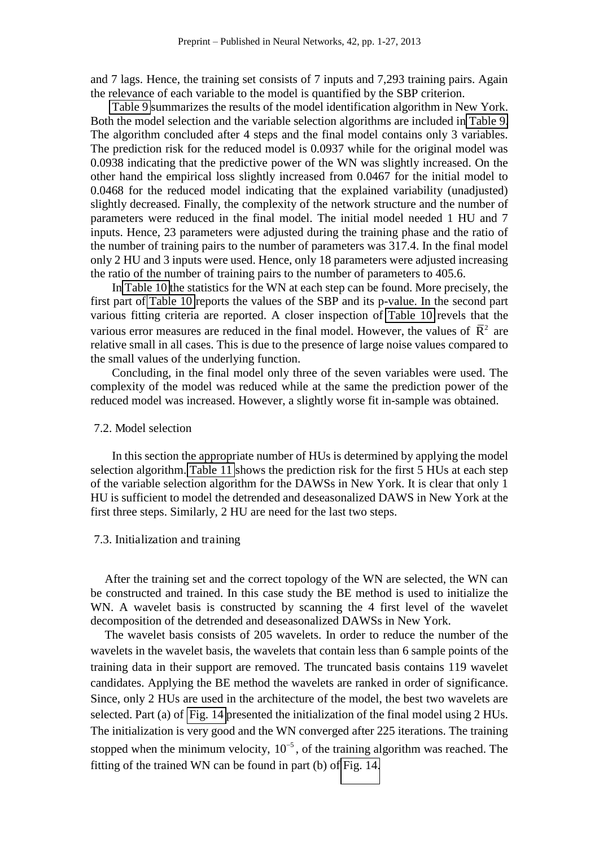and 7 lags. Hence, the training set consists of 7 inputs and 7,293 training pairs. Again the relevance of each variable to the model is quantified by the SBP criterion.

[Table 9](#page-51-0) summarizes the results of the model identification algorithm in New York. Both the model selection and the variable selection algorithms are included in [Table 9.](#page-51-0) The algorithm concluded after 4 steps and the final model contains only 3 variables. The prediction risk for the reduced model is 0.0937 while for the original model was 0.0938 indicating that the predictive power of the WN was slightly increased. On the other hand the empirical loss slightly increased from 0.0467 for the initial model to 0.0468 for the reduced model indicating that the explained variability (unadjusted) slightly decreased. Finally, the complexity of the network structure and the number of parameters were reduced in the final model. The initial model needed 1 HU and 7 inputs. Hence, 23 parameters were adjusted during the training phase and the ratio of the number of training pairs to the number of parameters was 317.4. In the final model only 2 HU and 3 inputs were used. Hence, only 18 parameters were adjusted increasing the ratio of the number of training pairs to the number of parameters to 405.6.

In [Table 10](#page-51-1) the statistics for the WN at each step can be found. More precisely, the first part of [Table 10](#page-51-1) reports the values of the SBP and its p-value. In the second part various fitting criteria are reported. A closer inspection of [Table 10](#page-51-1) revels that the various error measures are reduced in the final model. However, the values of  $\overline{R}^2$  are relative small in all cases. This is due to the presence of large noise values compared to the small values of the underlying function.

Concluding, in the final model only three of the seven variables were used. The complexity of the model was reduced while at the same the prediction power of the reduced model was increased. However, a slightly worse fit in-sample was obtained.

#### 7.2. Model selection

In this section the appropriate number of HUs is determined by applying the model selection algorithm. [Table 11](#page-51-2) shows the prediction risk for the first 5 HUs at each step of the variable selection algorithm for the DAWSs in New York. It is clear that only 1 HU is sufficient to model the detrended and deseasonalized DAWS in New York at the first three steps. Similarly, 2 HU are need for the last two steps.

#### <span id="page-33-0"></span>7.3. Initialization and training

After the training set and the correct topology of the WN are selected, the WN can be constructed and trained. In this case study the BE method is used to initialize the WN. A wavelet basis is constructed by scanning the 4 first level of the wavelet decomposition of the detrended and deseasonalized DAWSs in New York.

The wavelet basis consists of 205 wavelets. In order to reduce the number of the wavelets in the wavelet basis, the wavelets that contain less than 6 sample points of the training data in their support are removed. The truncated basis contains 119 wavelet candidates. Applying the BE method the wavelets are ranked in order of significance. Since, only 2 HUs are used in the architecture of the model, the best two wavelets are selected. Part (a) of [Fig. 14](#page-46-1) presented the initialization of the final model using 2 HUs. The initialization is very good and the WN converged after 225 iterations. The training stopped when the minimum velocity,  $10^{-5}$ , of the training algorithm was reached. The fitting of the trained WN can be found in part (b) of [Fig. 14.](#page-46-1)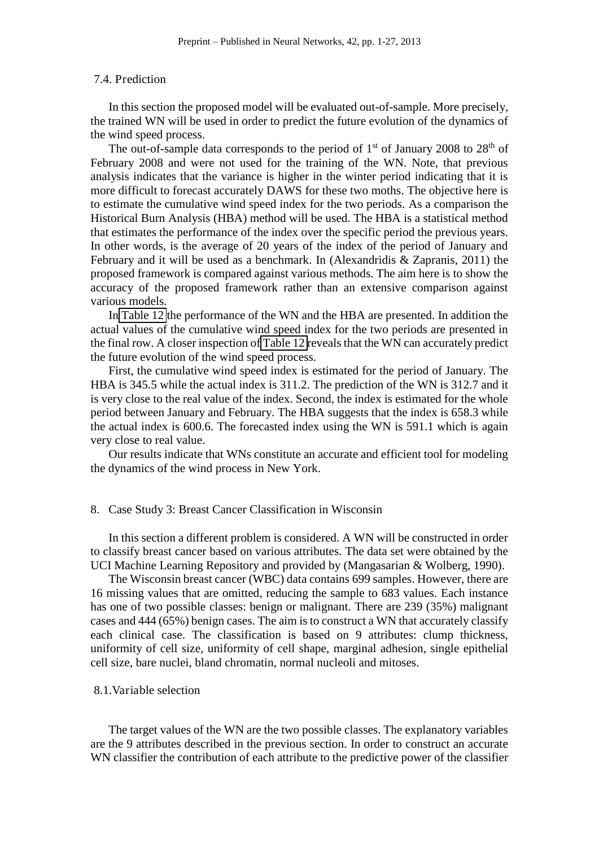#### 7.4. Prediction

In this section the proposed model will be evaluated out-of-sample. More precisely, the trained WN will be used in order to predict the future evolution of the dynamics of the wind speed process.

The out-of-sample data corresponds to the period of  $1<sup>st</sup>$  of January 2008 to  $28<sup>th</sup>$  of February 2008 and were not used for the training of the WN. Note, that previous analysis indicates that the variance is higher in the winter period indicating that it is more difficult to forecast accurately DAWS for these two moths. The objective here is to estimate the cumulative wind speed index for the two periods. As a comparison the Historical Burn Analysis (HBA) method will be used. The HBA is a statistical method that estimates the performance of the index over the specific period the previous years. In other words, is the average of 20 years of the index of the period of January and February and it will be used as a benchmark. In (Alexandridis & Zapranis, 2011) the proposed framework is compared against various methods. The aim here is to show the accuracy of the proposed framework rather than an extensive comparison against various models.

In [Table 12](#page-52-0) the performance of the WN and the HBA are presented. In addition the actual values of the cumulative wind speed index for the two periods are presented in the final row. A closer inspection o[f Table 12](#page-52-0) reveals that the WN can accurately predict the future evolution of the wind speed process.

First, the cumulative wind speed index is estimated for the period of January. The HBA is 345.5 while the actual index is 311.2. The prediction of the WN is 312.7 and it is very close to the real value of the index. Second, the index is estimated for the whole period between January and February. The HBA suggests that the index is 658.3 while the actual index is 600.6. The forecasted index using the WN is 591.1 which is again very close to real value.

Our results indicate that WNs constitute an accurate and efficient tool for modeling the dynamics of the wind process in New York.

#### 8. Case Study 3: Breast Cancer Classification in Wisconsin

In this section a different problem is considered. A WN will be constructed in order to classify breast cancer based on various attributes. The data set were obtained by the UCI Machine Learning Repository and provided by (Mangasarian & Wolberg, 1990).

The Wisconsin breast cancer (WBC) data contains 699 samples. However, there are 16 missing values that are omitted, reducing the sample to 683 values. Each instance has one of two possible classes: benign or malignant. There are 239 (35%) malignant cases and 444 (65%) benign cases. The aim is to construct a WN that accurately classify each clinical case. The classification is based on 9 attributes: clump thickness, uniformity of cell size, uniformity of cell shape, marginal adhesion, single epithelial cell size, bare nuclei, bland chromatin, normal nucleoli and mitoses.

#### 8.1.Variable selection

The target values of the WN are the two possible classes. The explanatory variables are the 9 attributes described in the previous section. In order to construct an accurate WN classifier the contribution of each attribute to the predictive power of the classifier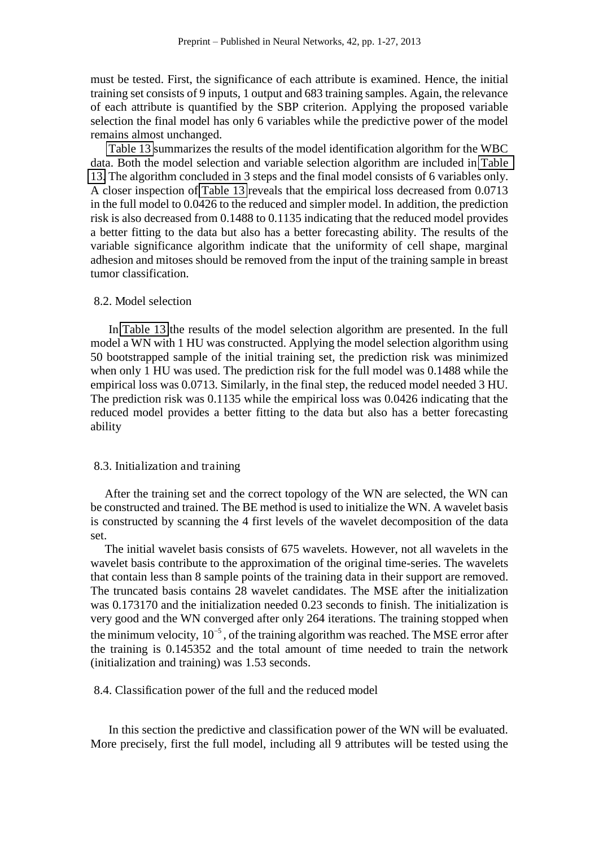must be tested. First, the significance of each attribute is examined. Hence, the initial training set consists of 9 inputs, 1 output and 683 training samples. Again, the relevance of each attribute is quantified by the SBP criterion. Applying the proposed variable selection the final model has only 6 variables while the predictive power of the model remains almost unchanged.

[Table 13](#page-52-1) summarizes the results of the model identification algorithm for the WBC data. Both the model selection and variable selection algorithm are included in [Table](#page-52-1)  [13.](#page-52-1) The algorithm concluded in 3 steps and the final model consists of 6 variables only. A closer inspection of [Table 13](#page-52-1) reveals that the empirical loss decreased from 0.0713 in the full model to 0.0426 to the reduced and simpler model. In addition, the prediction risk is also decreased from 0.1488 to 0.1135 indicating that the reduced model provides a better fitting to the data but also has a better forecasting ability. The results of the variable significance algorithm indicate that the uniformity of cell shape, marginal adhesion and mitoses should be removed from the input of the training sample in breast tumor classification.

#### 8.2. Model selection

In [Table 13](#page-52-1) the results of the model selection algorithm are presented. In the full model a WN with 1 HU was constructed. Applying the model selection algorithm using 50 bootstrapped sample of the initial training set, the prediction risk was minimized when only 1 HU was used. The prediction risk for the full model was 0.1488 while the empirical loss was 0.0713. Similarly, in the final step, the reduced model needed 3 HU. The prediction risk was 0.1135 while the empirical loss was 0.0426 indicating that the reduced model provides a better fitting to the data but also has a better forecasting ability

#### <span id="page-35-0"></span>8.3. Initialization and training

After the training set and the correct topology of the WN are selected, the WN can be constructed and trained. The BE method is used to initialize the WN. A wavelet basis is constructed by scanning the 4 first levels of the wavelet decomposition of the data set.

The initial wavelet basis consists of 675 wavelets. However, not all wavelets in the wavelet basis contribute to the approximation of the original time-series. The wavelets that contain less than 8 sample points of the training data in their support are removed. The truncated basis contains 28 wavelet candidates. The MSE after the initialization was 0.173170 and the initialization needed 0.23 seconds to finish. The initialization is very good and the WN converged after only 264 iterations. The training stopped when the minimum velocity,  $10^{-5}$ , of the training algorithm was reached. The MSE error after the training is 0.145352 and the total amount of time needed to train the network (initialization and training) was 1.53 seconds.

8.4. Classification power of the full and the reduced model

In this section the predictive and classification power of the WN will be evaluated. More precisely, first the full model, including all 9 attributes will be tested using the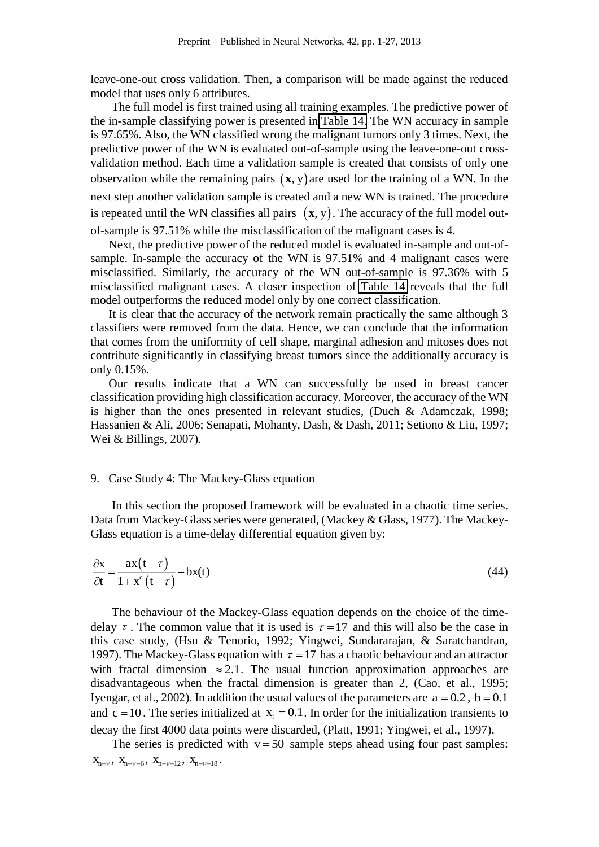leave-one-out cross validation. Then, a comparison will be made against the reduced model that uses only 6 attributes.

 The full model is first trained using all training examples. The predictive power of the in-sample classifying power is presented in [Table 14.](#page-52-2) The WN accuracy in sample is 97.65%. Also, the WN classified wrong the malignant tumors only 3 times. Next, the predictive power of the WN is evaluated out-of-sample using the leave-one-out crossvalidation method. Each time a validation sample is created that consists of only one observation while the remaining pairs  $(x, y)$  are used for the training of a WN. In the next step another validation sample is created and a new WN is trained. The procedure is repeated until the WN classifies all pairs  $(x, y)$ . The accuracy of the full model outof-sample is 97.51% while the misclassification of the malignant cases is 4.

Next, the predictive power of the reduced model is evaluated in-sample and out-ofsample. In-sample the accuracy of the WN is 97.51% and 4 malignant cases were misclassified. Similarly, the accuracy of the WN out-of-sample is 97.36% with 5 misclassified malignant cases. A closer inspection of [Table 14](#page-52-2) reveals that the full model outperforms the reduced model only by one correct classification.

It is clear that the accuracy of the network remain practically the same although 3 classifiers were removed from the data. Hence, we can conclude that the information that comes from the uniformity of cell shape, marginal adhesion and mitoses does not contribute significantly in classifying breast tumors since the additionally accuracy is only 0.15%.

Our results indicate that a WN can successfully be used in breast cancer classification providing high classification accuracy. Moreover, the accuracy of the WN is higher than the ones presented in relevant studies, (Duch & Adamczak, 1998; Hassanien & Ali, 2006; Senapati, Mohanty, Dash, & Dash, 2011; Setiono & Liu, 1997; Wei & Billings, 2007).

#### 9. Case Study 4: The Mackey-Glass equation

In this section the proposed framework will be evaluated in a chaotic time series. Data from Mackey-Glass series were generated, (Mackey & Glass, 1977). The Mackey-Glass equation is a time-delay differential equation given by:

$$
\frac{\partial x}{\partial t} = \frac{ax(t-\tau)}{1+x^c(t-\tau)} - bx(t)
$$
\n(44)

The behaviour of the Mackey-Glass equation depends on the choice of the timedelay  $\tau$ . The common value that it is used is  $\tau = 17$  and this will also be the case in this case study, (Hsu & Tenorio, 1992; Yingwei, Sundararajan, & Saratchandran, 1997). The Mackey-Glass equation with  $\tau = 17$  has a chaotic behaviour and an attractor with fractal dimension  $\approx 2.1$ . The usual function approximation approaches are disadvantageous when the fractal dimension is greater than 2, (Cao, et al., 1995; Iyengar, et al., 2002). In addition the usual values of the parameters are  $a = 0.2$ ,  $b = 0.1$ and  $c = 10$ . The series initialized at  $x_0 = 0.1$ . In order for the initialization transients to decay the first 4000 data points were discarded, (Platt, 1991; Yingwei, et al., 1997).

The series is predicted with  $v = 50$  sample steps ahead using four past samples:  $X_{n-\nu}$ ,  $X_{n-\nu-6}$ ,  $X_{n-\nu-12}$ ,  $X_{n-\nu-18}$ .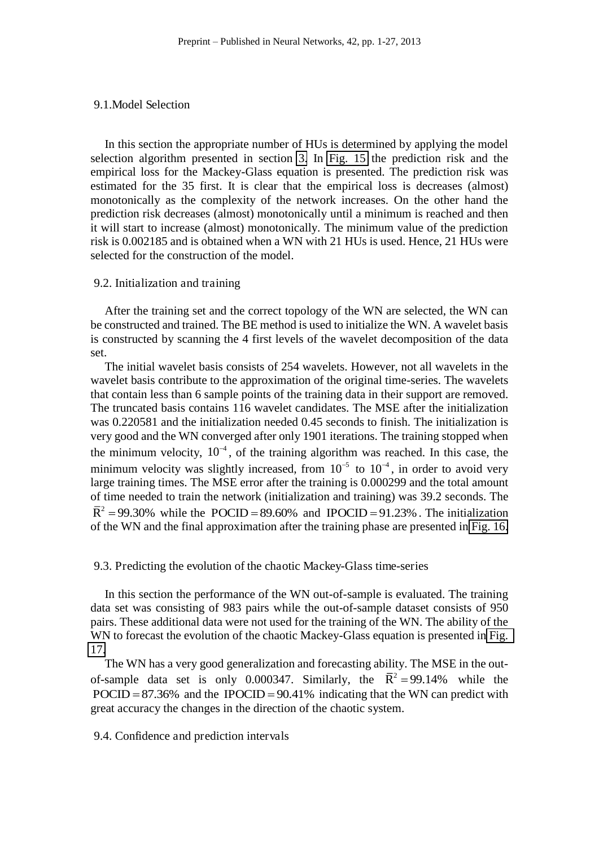#### 9.1.Model Selection

In this section the appropriate number of HUs is determined by applying the model selection algorithm presented in section [3.](#page-11-0) In [Fig. 15](#page-46-2) the prediction risk and the empirical loss for the Mackey-Glass equation is presented. The prediction risk was estimated for the 35 first. It is clear that the empirical loss is decreases (almost) monotonically as the complexity of the network increases. On the other hand the prediction risk decreases (almost) monotonically until a minimum is reached and then it will start to increase (almost) monotonically. The minimum value of the prediction risk is 0.002185 and is obtained when a WN with 21 HUs is used. Hence, 21 HUs were selected for the construction of the model.

#### 9.2. Initialization and training

After the training set and the correct topology of the WN are selected, the WN can be constructed and trained. The BE method is used to initialize the WN. A wavelet basis is constructed by scanning the 4 first levels of the wavelet decomposition of the data set.

The initial wavelet basis consists of 254 wavelets. However, not all wavelets in the wavelet basis contribute to the approximation of the original time-series. The wavelets that contain less than 6 sample points of the training data in their support are removed. The truncated basis contains 116 wavelet candidates. The MSE after the initialization was 0.220581 and the initialization needed 0.45 seconds to finish. The initialization is very good and the WN converged after only 1901 iterations. The training stopped when the minimum velocity,  $10^{-4}$ , of the training algorithm was reached. In this case, the minimum velocity was slightly increased, from  $10^{-5}$  to  $10^{-4}$ , in order to avoid very large training times. The MSE error after the training is 0.000299 and the total amount of time needed to train the network (initialization and training) was 39.2 seconds. The  $\overline{R}^2$  = 99.30% while the POCID = 89.60% and IPOCID = 91.23%. The initialization of the WN and the final approximation after the training phase are presented in [Fig. 16.](#page-47-0)

#### 9.3. Predicting the evolution of the chaotic Mackey-Glass time-series

In this section the performance of the WN out-of-sample is evaluated. The training data set was consisting of 983 pairs while the out-of-sample dataset consists of 950 pairs. These additional data were not used for the training of the WN. The ability of the WN to forecast the evolution of the chaotic Mackey-Glass equation is presented in [Fig.](#page-47-1)  [17.](#page-47-1)

The WN has a very good generalization and forecasting ability. The MSE in the outof-sample data set is only 0.000347. Similarly, the  $\overline{R}^2 = 99.14\%$  while the  $POCID = 87.36\%$  and the  $IPOCID = 90.41\%$  indicating that the WN can predict with great accuracy the changes in the direction of the chaotic system.

9.4. Confidence and prediction intervals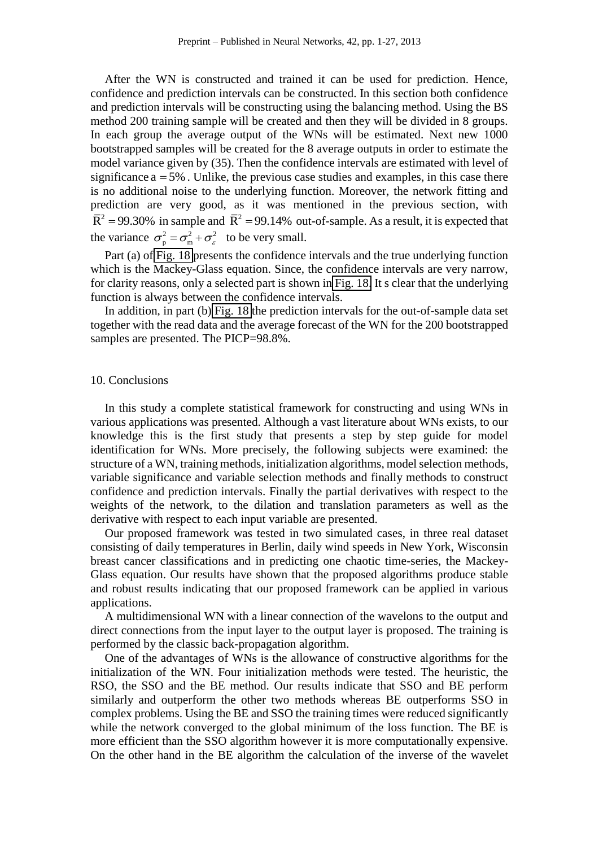After the WN is constructed and trained it can be used for prediction. Hence, confidence and prediction intervals can be constructed. In this section both confidence and prediction intervals will be constructing using the balancing method. Using the BS method 200 training sample will be created and then they will be divided in 8 groups. In each group the average output of the WNs will be estimated. Next new 1000 bootstrapped samples will be created for the 8 average outputs in order to estimate the model variance given by (35). Then the confidence intervals are estimated with level of significance  $a = 5\%$ . Unlike, the previous case studies and examples, in this case there is no additional noise to the underlying function. Moreover, the network fitting and prediction are very good, as it was mentioned in the previous section, with  $\overline{\mathbf{R}}^2$  = 99.30% in sample and  $\overline{\mathbf{R}}^2$  = 99.14% out-of-sample. As a result, it is expected that the variance  $\sigma_p^2 = \sigma_m^2 + \sigma_\varepsilon^2$  to be very small.

Part (a) of [Fig. 18](#page-47-2) presents the confidence intervals and the true underlying function which is the Mackey-Glass equation. Since, the confidence intervals are very narrow, for clarity reasons, only a selected part is shown in [Fig. 18.](#page-47-2) It s clear that the underlying function is always between the confidence intervals.

In addition, in part (b) [Fig. 18](#page-47-2) the prediction intervals for the out-of-sample data set together with the read data and the average forecast of the WN for the 200 bootstrapped samples are presented. The PICP=98.8%.

#### 10. Conclusions

In this study a complete statistical framework for constructing and using WNs in various applications was presented. Although a vast literature about WNs exists, to our knowledge this is the first study that presents a step by step guide for model identification for WNs. More precisely, the following subjects were examined: the structure of a WN, training methods, initialization algorithms, model selection methods, variable significance and variable selection methods and finally methods to construct confidence and prediction intervals. Finally the partial derivatives with respect to the weights of the network, to the dilation and translation parameters as well as the derivative with respect to each input variable are presented.

Our proposed framework was tested in two simulated cases, in three real dataset consisting of daily temperatures in Berlin, daily wind speeds in New York, Wisconsin breast cancer classifications and in predicting one chaotic time-series, the Mackey-Glass equation. Our results have shown that the proposed algorithms produce stable and robust results indicating that our proposed framework can be applied in various applications.

A multidimensional WN with a linear connection of the wavelons to the output and direct connections from the input layer to the output layer is proposed. The training is performed by the classic back-propagation algorithm.

One of the advantages of WNs is the allowance of constructive algorithms for the initialization of the WN. Four initialization methods were tested. The heuristic, the RSO, the SSO and the BE method. Our results indicate that SSO and BE perform similarly and outperform the other two methods whereas BE outperforms SSO in complex problems. Using the BE and SSO the training times were reduced significantly while the network converged to the global minimum of the loss function. The BE is more efficient than the SSO algorithm however it is more computationally expensive. On the other hand in the BE algorithm the calculation of the inverse of the wavelet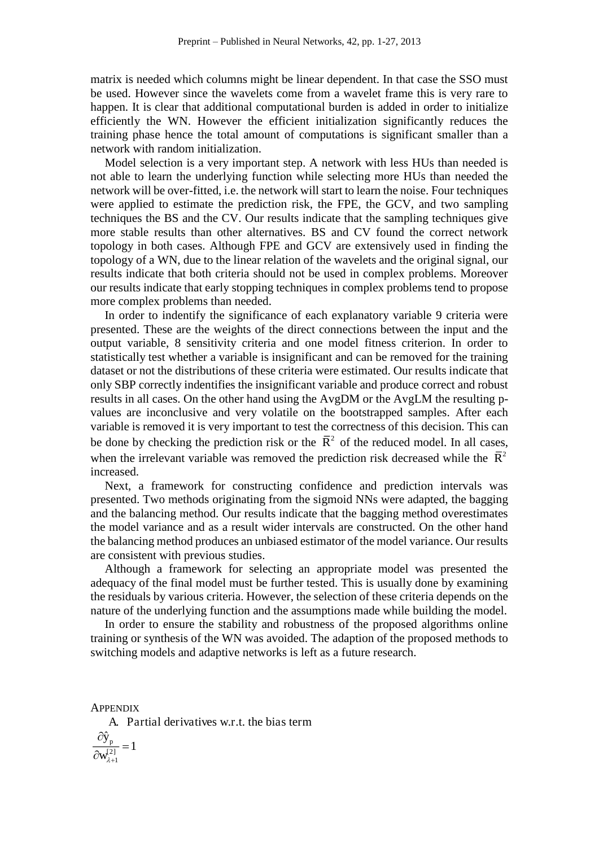matrix is needed which columns might be linear dependent. In that case the SSO must be used. However since the wavelets come from a wavelet frame this is very rare to happen. It is clear that additional computational burden is added in order to initialize efficiently the WN. However the efficient initialization significantly reduces the training phase hence the total amount of computations is significant smaller than a network with random initialization.

Model selection is a very important step. A network with less HUs than needed is not able to learn the underlying function while selecting more HUs than needed the network will be over-fitted, i.e. the network will start to learn the noise. Four techniques were applied to estimate the prediction risk, the FPE, the GCV, and two sampling techniques the BS and the CV. Our results indicate that the sampling techniques give more stable results than other alternatives. BS and CV found the correct network topology in both cases. Although FPE and GCV are extensively used in finding the topology of a WN, due to the linear relation of the wavelets and the original signal, our results indicate that both criteria should not be used in complex problems. Moreover our results indicate that early stopping techniques in complex problems tend to propose more complex problems than needed.

In order to indentify the significance of each explanatory variable 9 criteria were presented. These are the weights of the direct connections between the input and the output variable, 8 sensitivity criteria and one model fitness criterion. In order to statistically test whether a variable is insignificant and can be removed for the training dataset or not the distributions of these criteria were estimated. Our results indicate that only SBP correctly indentifies the insignificant variable and produce correct and robust results in all cases. On the other hand using the AvgDM or the AvgLM the resulting pvalues are inconclusive and very volatile on the bootstrapped samples. After each variable is removed it is very important to test the correctness of this decision. This can be done by checking the prediction risk or the  $\overline{R}^2$  of the reduced model. In all cases, when the irrelevant variable was removed the prediction risk decreased while the  $\overline{R}^2$ increased.

Next, a framework for constructing confidence and prediction intervals was presented. Two methods originating from the sigmoid NNs were adapted, the bagging and the balancing method. Our results indicate that the bagging method overestimates the model variance and as a result wider intervals are constructed. On the other hand the balancing method produces an unbiased estimator of the model variance. Our results are consistent with previous studies.

Although a framework for selecting an appropriate model was presented the adequacy of the final model must be further tested. This is usually done by examining the residuals by various criteria. However, the selection of these criteria depends on the nature of the underlying function and the assumptions made while building the model.

In order to ensure the stability and robustness of the proposed algorithms online training or synthesis of the WN was avoided. The adaption of the proposed methods to switching models and adaptive networks is left as a future research.

**APPENDIX** 

A. Partial derivatives w.r.t. the bias term

[2] 1  $\frac{\hat{y}_p}{\hat{y}_p} = 1$  $\mathrm{W}_{\lambda+}$  $\frac{\partial \hat{\mathbf{y}}_{\text{p}}}{\partial \mathbf{w}^{[2]}_{\text{p}1}} =$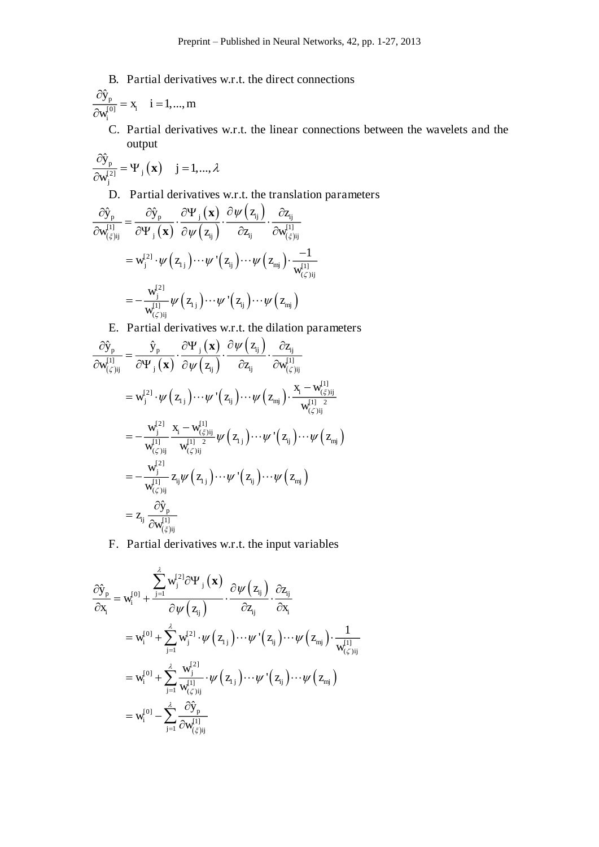B. Partial derivatives w.r.t. the direct connections

$$
\frac{\partial \hat{y}_p}{\partial w_i^{[0]}} = x_i \quad i = 1, ..., m
$$

C. Partial derivatives w.r.t. the linear connections between the wavelets and the output

$$
\frac{\partial \hat{\mathbf{y}}_{\mathrm{p}}}{\partial \mathbf{w}_{\mathrm{j}}^{[2]}} = \mathbf{\Psi}_{\mathrm{j}}(\mathbf{x}) \quad \mathrm{j} = 1, ..., \lambda
$$

D. Partial derivatives w.r.t. the translation parameters

$$
\begin{aligned} \frac{\partial \hat{y}_p}{\partial w_{(\xi)ij}^{[1]}} &= \frac{\partial \hat{y}_p}{\partial \Psi_j(\mathbf{x})} \cdot \frac{\partial \Psi_j(\mathbf{x})}{\partial \psi(z_{ij})} \cdot \frac{\partial \psi(z_{ij})}{\partial z_{ij}} \cdot \frac{\partial z_{ij}}{\partial w_{(\xi)ij}^{[1]}} \\ &= w_j^{[2]} \cdot \psi(z_{1j}) \cdots \psi'(z_{ij}) \cdots \psi(z_{mj}) \cdot \frac{-1}{w_{(\zeta)ij}^{[1]}} \\ &= -\frac{w_j^{[2]}}{w_{(\zeta)ij}^{[1]}} \psi(z_{1j}) \cdots \psi'(z_{ij}) \cdots \psi(z_{mj}) \end{aligned}
$$

E. Partial derivatives w.r.t. the dilation parameters

<span id="page-40-0"></span>
$$
\begin{aligned} \frac{\partial \hat{y}_p}{\partial w_{(\zeta)ij}^{[1]}} &= \frac{\hat{y}_p}{\partial \Psi_j(\mathbf{x})} \cdot \frac{\partial \Psi_j(\mathbf{x})}{\partial \psi(z_{ij})} \cdot \frac{\partial \psi(z_{ij})}{\partial z_{ij}} \cdot \frac{\partial z_{ij}}{\partial w_{(\zeta)ij}^{[1]}} \\ &= w_j^{[2]} \cdot \psi(z_{1j}) \cdots \psi'(z_{ij}) \cdots \psi(z_{mj}) \cdot \frac{x_i - w_{(\zeta)ij}^{[1]}}{w_{(\zeta)ij}^{[1]}} \\ &= - \frac{w_j^{[2]}}{w_{(\zeta)ij}^{[1]}} \frac{x_i - w_{(\zeta)ij}^{[1]}}{w_{(\zeta)ij}^{[1]}} \psi(z_{1j}) \cdots \psi'(z_{ij}) \cdots \psi(z_{mj}) \\ &= - \frac{w_j^{[2]}}{w_{(\zeta)ij}^{[1]}} z_{ij} \psi(z_{1j}) \cdots \psi'(z_{ij}) \cdots \psi(z_{mj}) \\ &= z_{ij} \frac{\partial \hat{y}_p}{\partial w_{(\zeta)ij}^{[1]}} \end{aligned}
$$

## F. Partial derivatives w.r.t. the input variables

<span id="page-40-1"></span>
$$
\begin{aligned} \frac{\partial \hat{y}_p}{\partial x_i} &= w_i^{[0]} + \frac{\displaystyle\sum_{j=1}^{\lambda}w_j^{[2]}\partial \Psi_{j}\left(\boldsymbol{x}\right)}{\partial \psi\left(z_{ij}\right)}\cdot \frac{\partial \psi\left(z_{ij}\right)}{\partial z_{ij}}\cdot \frac{\partial z_{ij}}{\partial x_i} \\ &= w_i^{[0]} + \sum_{j=1}^{\lambda}w_j^{[2]}\cdot \psi\left(z_{1j}\right)\!\cdots\!\psi^{\top}\!\!\left(z_{ij}\right)\!\cdots\!\psi\left(z_{mj}\right)\!\cdot\!\frac{1}{w_{(\zeta)ij}^{[1]}} \\ &= w_i^{[0]} + \sum_{j=1}^{\lambda}\frac{w_j^{[2]}}{w_{(\zeta)ij}^{[1]}}\cdot \psi\left(z_{1j}\right)\!\cdots\!\psi^{\top}\!\!\left(z_{ij}\right)\!\cdots\!\psi\left(z_{mj}\right) \\ &= w_i^{[0]} - \sum_{j=1}^{\lambda}\frac{\partial \hat{y}_p}{\partial w_{(\zeta)ij}^{[1]}} \end{aligned}
$$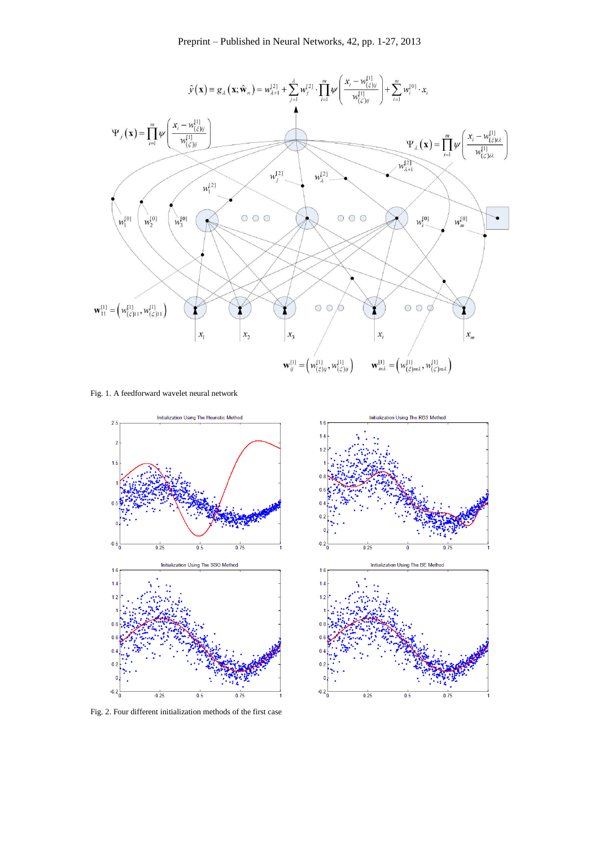

<span id="page-41-0"></span>Fig. 1. A feedforward wavelet neural network



<span id="page-41-1"></span>Fig. 2. Four different initialization methods of the first case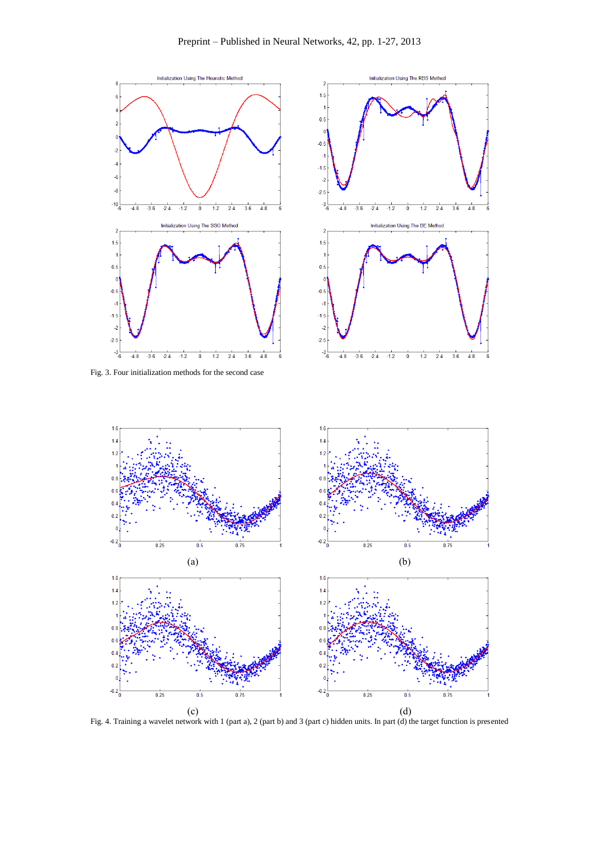<span id="page-42-0"></span>

Fig. 4. Training a wavelet network with 1 (part a), 2 (part b) and 3 (part c) hidden units. In part (d) the target function is presented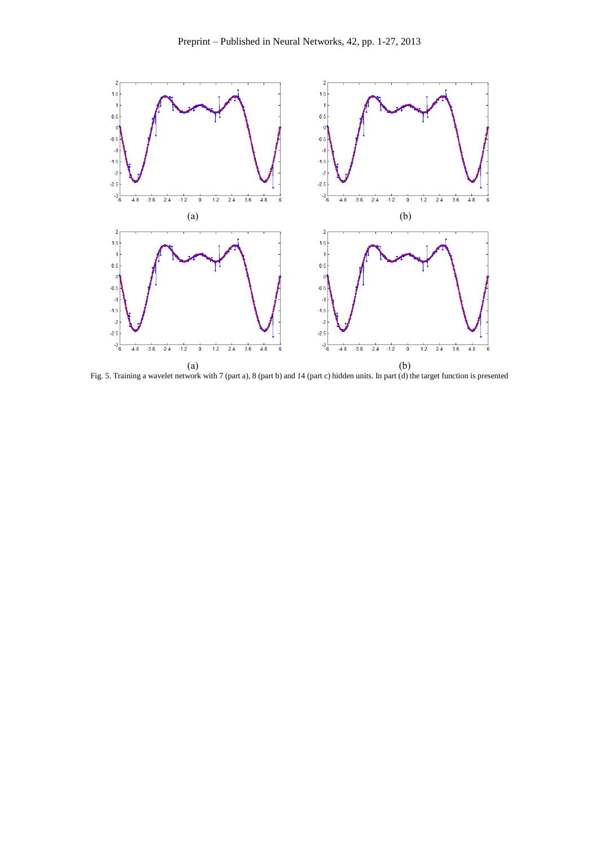

<span id="page-43-0"></span>Fig. 5. Training a wavelet network with 7 (part a), 8 (part b) and 14 (part c) hidden units. In part (d) the target function is presented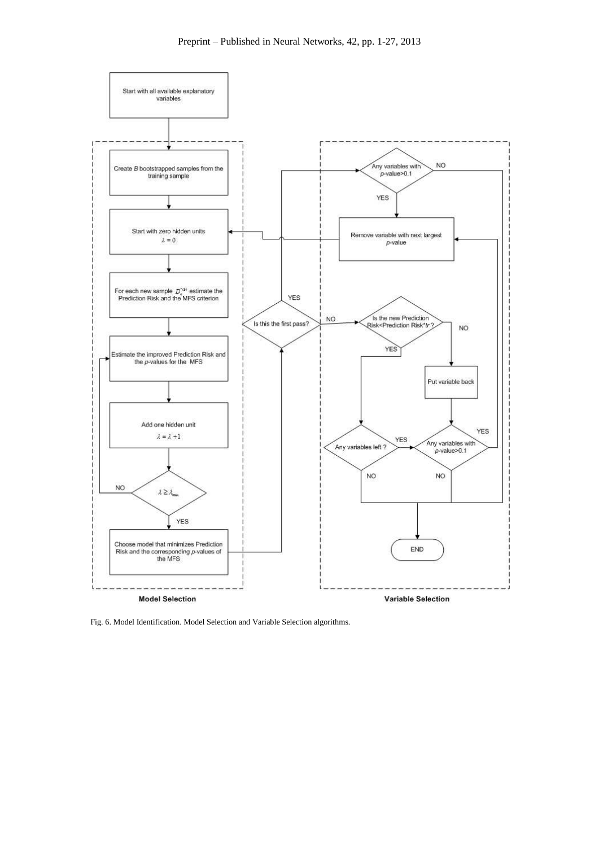<span id="page-44-0"></span>

<span id="page-44-2"></span><span id="page-44-1"></span>Fig. 6. Model Identification. Model Selection and Variable Selection algorithms.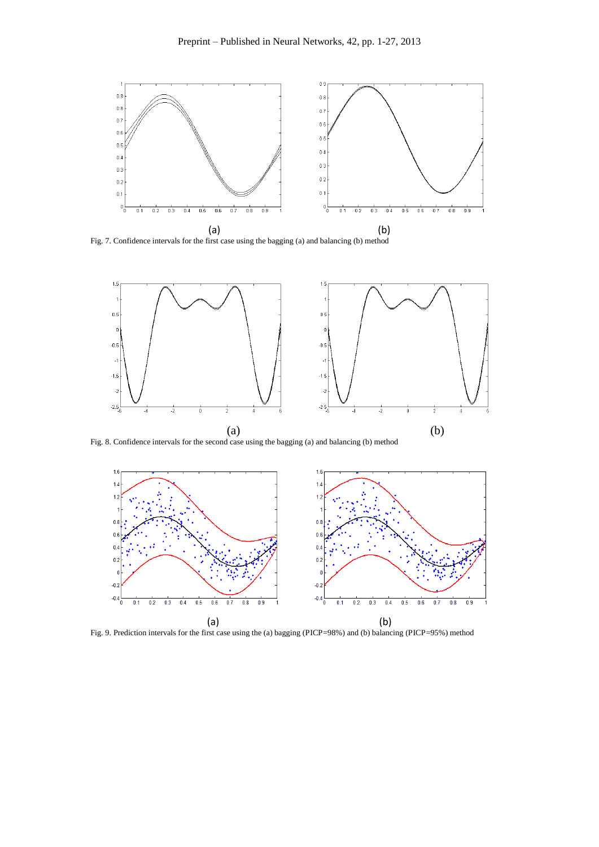

<span id="page-45-0"></span>Fig. 7. Confidence intervals for the first case using the bagging (a) and balancing (b) method



<span id="page-45-1"></span>Fig. 8. Confidence intervals for the second case using the bagging (a) and balancing (b) method



<span id="page-45-2"></span>Fig. 9. Prediction intervals for the first case using the (a) bagging (PICP=98%) and (b) balancing (PICP=95%) method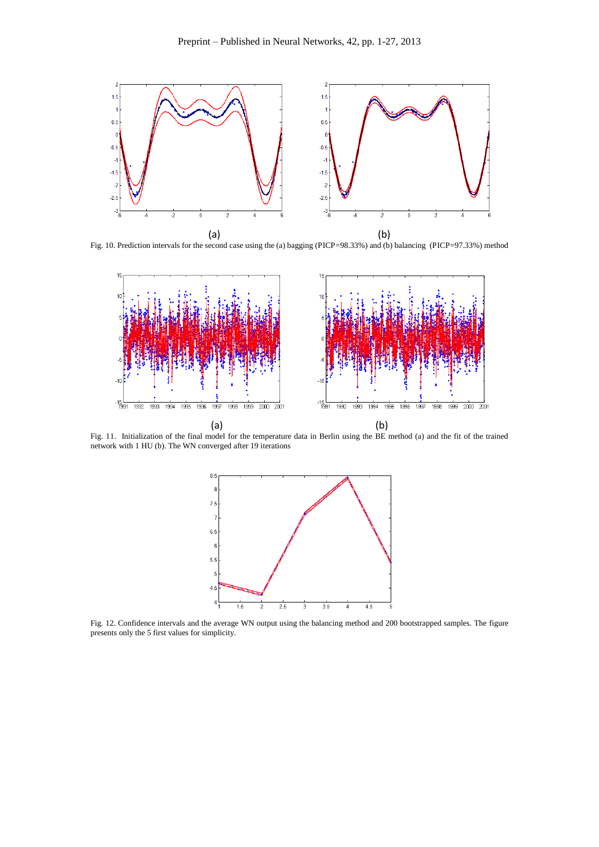

<span id="page-46-0"></span>Fig. 10. Prediction intervals for the second case using the (a) bagging (PICP=98.33%) and (b) balancing (PICP=97.33%) method



<span id="page-46-1"></span>Fig. 11. Initialization of the final model for the temperature data in Berlin using the BE method (a) and the fit of the trained network with 1 HU (b). The WN converged after 19 iterations



<span id="page-46-2"></span>Fig. 12. Confidence intervals and the average WN output using the balancing method and 200 bootstrapped samples. The figure presents only the 5 first values for simplicity.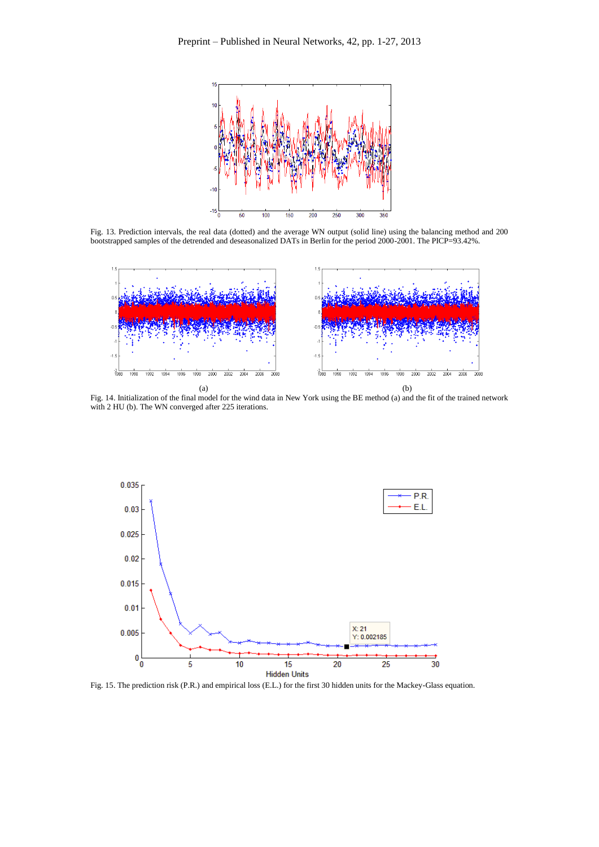

<span id="page-47-0"></span>Fig. 13. Prediction intervals, the real data (dotted) and the average WN output (solid line) using the balancing method and 200 bootstrapped samples of the detrended and deseasonalized DATs in Berlin for the period 2000-2001. The PICP=93.42%.



<span id="page-47-1"></span>Fig. 14. Initialization of the final model for the wind data in New York using the BE method (a) and the fit of the trained network with 2 HU (b). The WN converged after 225 iterations.

<span id="page-47-2"></span>

Fig. 15. The prediction risk (P.R.) and empirical loss (E.L.) for the first 30 hidden units for the Mackey-Glass equation.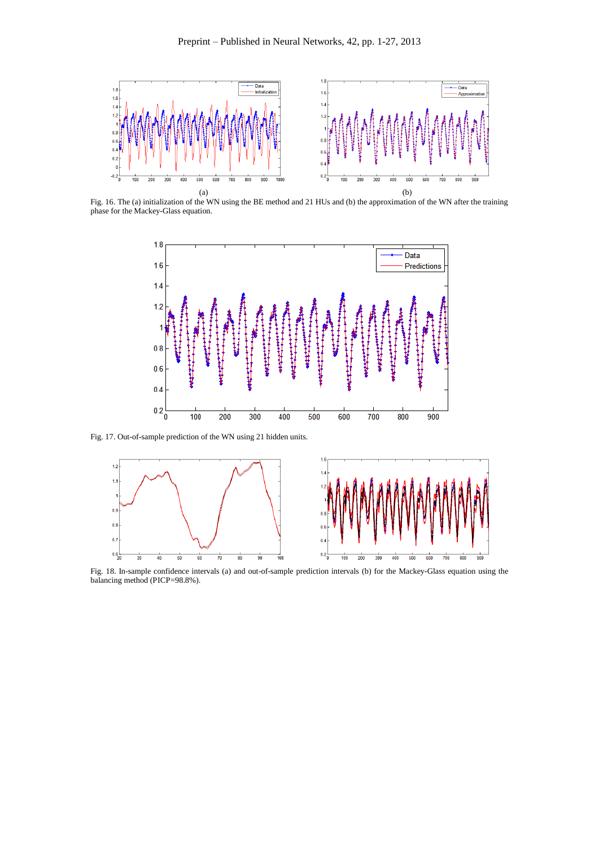<span id="page-48-0"></span>

Fig. 16. The (a) initialization of the WN using the BE method and 21 HUs and (b) the approximation of the WN after the training phase for the Mackey-Glass equation.



<span id="page-48-1"></span>Fig. 17. Out-of-sample prediction of the WN using 21 hidden units.



<span id="page-48-2"></span>Fig. 18. In-sample confidence intervals (a) and out-of-sample prediction intervals (b) for the Mackey-Glass equation using the balancing method (PICP=98.8%).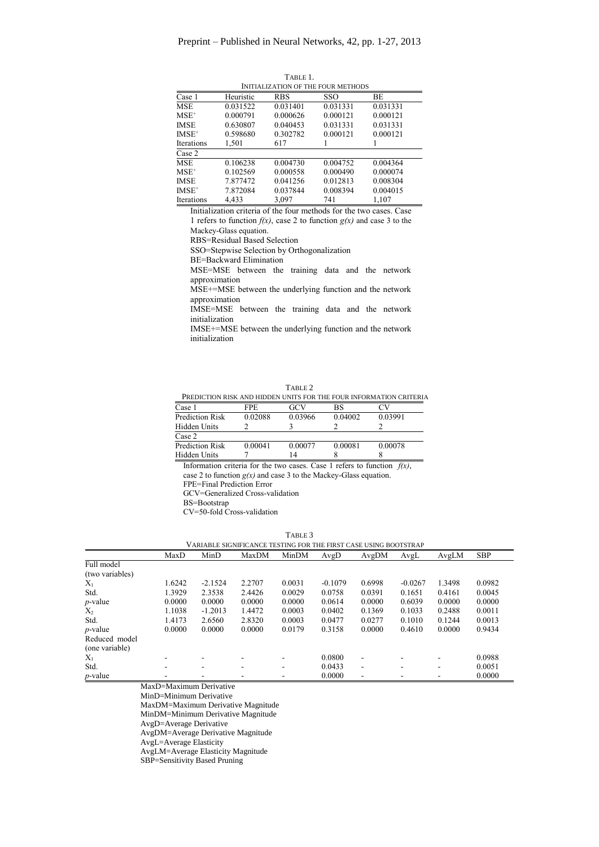<span id="page-49-0"></span>

| TABLE 1.                                  |           |            |          |          |  |  |  |  |  |
|-------------------------------------------|-----------|------------|----------|----------|--|--|--|--|--|
| <b>INITIALIZATION OF THE FOUR METHODS</b> |           |            |          |          |  |  |  |  |  |
| Case 1                                    | Heuristic | <b>RBS</b> | SSO      | BE.      |  |  |  |  |  |
| <b>MSE</b>                                | 0.031522  | 0.031401   | 0.031331 | 0.031331 |  |  |  |  |  |
| $MSE^+$                                   | 0.000791  | 0.000626   | 0.000121 | 0.000121 |  |  |  |  |  |
| <b>IMSE</b>                               | 0.630807  | 0.040453   | 0.031331 | 0.031331 |  |  |  |  |  |
| $IMSE^+$                                  | 0.598680  | 0.302782   | 0.000121 | 0.000121 |  |  |  |  |  |
| Iterations                                | 1.501     | 617        |          |          |  |  |  |  |  |
| Case 2                                    |           |            |          |          |  |  |  |  |  |
| <b>MSE</b>                                | 0.106238  | 0.004730   | 0.004752 | 0.004364 |  |  |  |  |  |
| $MSE^{+}$                                 | 0.102569  | 0.000558   | 0.000490 | 0.000074 |  |  |  |  |  |
| <b>IMSE</b>                               | 7.877472  | 0.041256   | 0.012813 | 0.008304 |  |  |  |  |  |
| $IMSE^+$                                  | 7.872084  | 0.037844   | 0.008394 | 0.004015 |  |  |  |  |  |
| <b>Iterations</b>                         | 4.433     | 3.097      | 741      | 1.107    |  |  |  |  |  |

Initialization criteria of the four methods for the two cases. Case 1 refers to function  $f(x)$ , case 2 to function  $g(x)$  and case 3 to the Mackey-Glass equation.

RBS=Residual Based Selection

SSO=Stepwise Selection by Orthogonalization

BE=Backward Elimination

MSE=MSE between the training data and the network approximation

MSE+=MSE between the underlying function and the network approximation

IMSE=MSE between the training data and the network initialization

<span id="page-49-1"></span>IMSE+=MSE between the underlying function and the network initialization

TABLE 2

PREDICTION RISK AND HIDDEN UNITS FOR THE FOUR INFORMATION CRITERIA

| Case 1                 | FPE     | GCV     | BS      |         |
|------------------------|---------|---------|---------|---------|
| Prediction Risk        | 0.02088 | 0.03966 | 0.04002 | 0.03991 |
| Hidden Units           |         |         |         |         |
| Case 2                 |         |         |         |         |
| <b>Prediction Risk</b> | 0.00041 | 0.00077 | 0.00081 | 0.00078 |
| Hidden Units           |         | 14      |         |         |

Information criteria for the two cases. Case 1 refers to function  $f(x)$ , case 2 to function *g(x)* and case 3 to the Mackey-Glass equation. FPE=Final Prediction Error

GCV=Generalized Cross-validation

BS=Bootstrap

CV=50-fold Cross-validation

TABLE 3

|                 | VARIABLE SIGNIFICANCE TESTING FOR THE FIRST CASE USING BOOTSTRAP |           |        |        |           |        |           |        |            |  |
|-----------------|------------------------------------------------------------------|-----------|--------|--------|-----------|--------|-----------|--------|------------|--|
|                 | MaxD                                                             | MinD      | MaxDM  | MinDM  | AvgD      | AvgDM  | AvgL      | AvgLM  | <b>SBP</b> |  |
| Full model      |                                                                  |           |        |        |           |        |           |        |            |  |
| (two variables) |                                                                  |           |        |        |           |        |           |        |            |  |
| $X_1$           | 1.6242                                                           | $-2.1524$ | 2.2707 | 0.0031 | $-0.1079$ | 0.6998 | $-0.0267$ | 1.3498 | 0.0982     |  |
| Std.            | 1.3929                                                           | 2.3538    | 2.4426 | 0.0029 | 0.0758    | 0.0391 | 0.1651    | 0.4161 | 0.0045     |  |
| $p$ -value      | 0.0000                                                           | 0.0000    | 0.0000 | 0.0000 | 0.0614    | 0.0000 | 0.6039    | 0.0000 | 0.0000     |  |
| $X_2$           | 1.1038                                                           | $-1.2013$ | 1.4472 | 0.0003 | 0.0402    | 0.1369 | 0.1033    | 0.2488 | 0.0011     |  |
| Std.            | 1.4173                                                           | 2.6560    | 2.8320 | 0.0003 | 0.0477    | 0.0277 | 0.1010    | 0.1244 | 0.0013     |  |
| $p$ -value      | 0.0000                                                           | 0.0000    | 0.0000 | 0.0179 | 0.3158    | 0.0000 | 0.4610    | 0.0000 | 0.9434     |  |
| Reduced model   |                                                                  |           |        |        |           |        |           |        |            |  |
| (one variable)  |                                                                  |           |        |        |           |        |           |        |            |  |
| $X_1$           |                                                                  |           |        |        | 0.0800    | ۰      |           |        | 0.0988     |  |
| Std.            |                                                                  |           | ۰      |        | 0.0433    | ۰      |           |        | 0.0051     |  |
| $p$ -value      |                                                                  |           |        |        | 0.0000    | ۰      |           |        | 0.0000     |  |

MaxD=Maximum Derivative

MinD=Minimum Derivative

MaxDM=Maximum Derivative Magnitude

MinDM=Minimum Derivative Magnitude

AvgD=Average Derivative

AvgDM=Average Derivative Magnitude

AvgL=Average Elasticity

AvgLM=Average Elasticity Magnitude

SBP=Sensitivity Based Pruning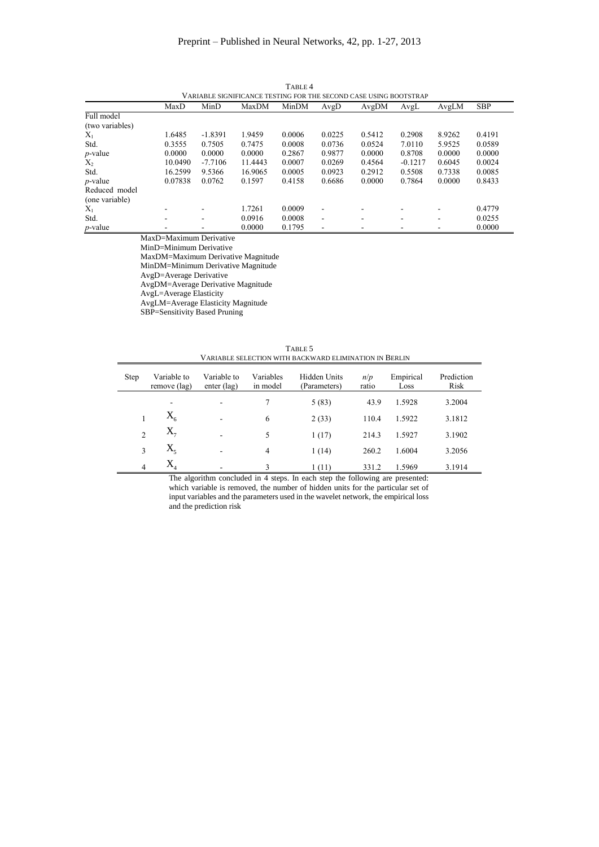<span id="page-50-0"></span>

|                 | VARIABLE SIGNIFICANCE TESTING FOR THE SECOND CASE USING BOOTSTRAP |           |         |        |                          |        |           |        |            |
|-----------------|-------------------------------------------------------------------|-----------|---------|--------|--------------------------|--------|-----------|--------|------------|
|                 | MaxD                                                              | MinD      | MaxDM   | MinDM  | AvgD                     | AvgDM  | AvgL      | AvgLM  | <b>SBP</b> |
| Full model      |                                                                   |           |         |        |                          |        |           |        |            |
| (two variables) |                                                                   |           |         |        |                          |        |           |        |            |
| $X_1$           | 1.6485                                                            | $-1.8391$ | 1.9459  | 0.0006 | 0.0225                   | 0.5412 | 0.2908    | 8.9262 | 0.4191     |
| Std.            | 0.3555                                                            | 0.7505    | 0.7475  | 0.0008 | 0.0736                   | 0.0524 | 7.0110    | 5.9525 | 0.0589     |
| $p$ -value      | 0.0000                                                            | 0.0000    | 0.0000  | 0.2867 | 0.9877                   | 0.0000 | 0.8708    | 0.0000 | 0.0000     |
| $X_2$           | 10.0490                                                           | $-7.7106$ | 11.4443 | 0.0007 | 0.0269                   | 0.4564 | $-0.1217$ | 0.6045 | 0.0024     |
| Std.            | 16.2599                                                           | 9.5366    | 16.9065 | 0.0005 | 0.0923                   | 0.2912 | 0.5508    | 0.7338 | 0.0085     |
| $p$ -value      | 0.07838                                                           | 0.0762    | 0.1597  | 0.4158 | 0.6686                   | 0.0000 | 0.7864    | 0.0000 | 0.8433     |
| Reduced model   |                                                                   |           |         |        |                          |        |           |        |            |
| (one variable)  |                                                                   |           |         |        |                          |        |           |        |            |
| $X_1$           |                                                                   |           | 1.7261  | 0.0009 |                          |        |           |        | 0.4779     |
| Std.            |                                                                   |           | 0.0916  | 0.0008 | $\overline{\phantom{a}}$ |        |           |        | 0.0255     |
| $p$ -value      |                                                                   |           | 0.0000  | 0.1795 | ۰                        |        |           |        | 0.0000     |

TABLE 4

MaxD=Maximum Derivative

MinD=Minimum Derivative

MaxDM=Maximum Derivative Magnitude

MinDM=Minimum Derivative Magnitude

AvgD=Average Derivative

AvgDM=Average Derivative Magnitude AvgL=Average Elasticity

AvgLM=Average Elasticity Magnitude

SBP=Sensitivity Based Pruning

| TABLE 5                                                |
|--------------------------------------------------------|
| VARIABLE SELECTION WITH BACKWARD ELIMINATION IN BERLIN |

| <b>Step</b>    | Variable to<br>remove (lag) | Variable to<br>enter (lag) | Variables<br>in model | Hidden Units<br>(Parameters) | n/p<br>ratio | Empirical<br>Loss | Prediction<br>Risk |
|----------------|-----------------------------|----------------------------|-----------------------|------------------------------|--------------|-------------------|--------------------|
|                | $\overline{\phantom{0}}$    | $\overline{\phantom{0}}$   |                       | 5(83)                        | 43.9         | 1.5928            | 3.2004             |
|                | $X_{6}$                     | $\overline{\phantom{a}}$   | 6                     | 2(33)                        | 110.4        | 1.5922            | 3.1812             |
| $\mathfrak{D}$ | $X_{\tau}$                  | $\blacksquare$             | 5                     | 1(17)                        | 214.3        | 1.5927            | 3.1902             |
| 3              | $X_{\varsigma}$             | $\overline{\phantom{a}}$   | $\overline{4}$        | 1(14)                        | 260.2        | 1.6004            | 3.2056             |
| 4              | $X_{4}$                     | $\overline{\phantom{0}}$   | 3                     | 1(11)                        | 331.2        | 1.5969            | 3.1914             |

<span id="page-50-2"></span><span id="page-50-1"></span>The algorithm concluded in 4 steps. In each step the following are presented: which variable is removed, the number of hidden units for the particular set of input variables and the parameters used in the wavelet network, the empirical loss and the prediction risk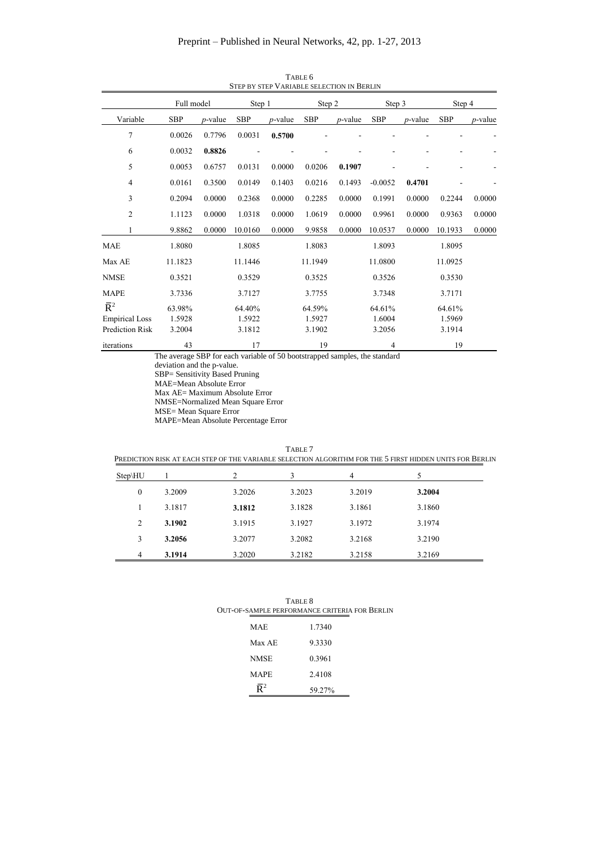<span id="page-51-0"></span>

|                           | STEP BY STEP VARIABLE SELECTION IN DERLIN |                      |            |            |            |            |            |            |            |            |  |
|---------------------------|-------------------------------------------|----------------------|------------|------------|------------|------------|------------|------------|------------|------------|--|
|                           |                                           | Full model<br>Step 1 |            |            | Step 2     |            | Step 3     | Step 4     |            |            |  |
| Variable                  | <b>SBP</b>                                | <i>p</i> -value      | <b>SBP</b> | $p$ -value | <b>SBP</b> | $p$ -value | <b>SBP</b> | $p$ -value | <b>SBP</b> | $p$ -value |  |
| 7                         | 0.0026                                    | 0.7796               | 0.0031     | 0.5700     |            |            |            |            |            |            |  |
| 6                         | 0.0032                                    | 0.8826               |            |            |            |            |            |            |            |            |  |
| 5                         | 0.0053                                    | 0.6757               | 0.0131     | 0.0000     | 0.0206     | 0.1907     |            |            |            |            |  |
| 4                         | 0.0161                                    | 0.3500               | 0.0149     | 0.1403     | 0.0216     | 0.1493     | $-0.0052$  | 0.4701     |            |            |  |
| 3                         | 0.2094                                    | 0.0000               | 0.2368     | 0.0000     | 0.2285     | 0.0000     | 0.1991     | 0.0000     | 0.2244     | 0.0000     |  |
| $\overline{c}$            | 1.1123                                    | 0.0000               | 1.0318     | 0.0000     | 1.0619     | 0.0000     | 0.9961     | 0.0000     | 0.9363     | 0.0000     |  |
| 1                         | 9.8862                                    | 0.0000               | 10.0160    | 0.0000     | 9.9858     | 0.0000     | 10.0537    | 0.0000     | 10.1933    | 0.0000     |  |
| <b>MAE</b>                | 1.8080                                    |                      | 1.8085     |            | 1.8083     |            | 1.8093     |            | 1.8095     |            |  |
| Max AE                    | 11.1823                                   |                      | 11.1446    |            | 11.1949    |            | 11.0800    |            | 11.0925    |            |  |
| <b>NMSE</b>               | 0.3521                                    |                      | 0.3529     |            | 0.3525     |            | 0.3526     |            | 0.3530     |            |  |
| <b>MAPE</b>               | 3.7336                                    |                      | 3.7127     |            | 3.7755     |            | 3.7348     |            | 3.7171     |            |  |
| $\overline{\mathsf{R}}^2$ | 63.98%                                    |                      | 64.40%     |            | 64.59%     |            | 64.61%     |            | 64.61%     |            |  |
| <b>Empirical Loss</b>     | 1.5928                                    |                      | 1.5922     |            | 1.5927     |            | 1.6004     |            | 1.5969     |            |  |
| Prediction Risk           | 3.2004                                    |                      | 3.1812     |            | 3.1902     |            | 3.2056     |            | 3.1914     |            |  |
| iterations                | 43                                        |                      | 17         |            | 19         |            | 4          |            | 19         |            |  |

TABLE 6 I ABLE U<br>Sted by step Vadiable eel ection in Redi in

<span id="page-51-1"></span>The average SBP for each variable of 50 bootstrapped samples, the standard deviation and the p-value. SBP= Sensitivity Based Pruning

MAE=Mean Absolute Error

Max AE= Maximum Absolute Error

NMSE=Normalized Mean Square Error

MSE= Mean Square Error

MAPE=Mean Absolute Percentage Error

|                | TABLE 7<br>PREDICTION RISK AT EACH STEP OF THE VARIABLE SELECTION ALGORITHM FOR THE 5 FIRST HIDDEN UNITS FOR BERLIN |        |        |        |        |  |  |  |  |  |  |
|----------------|---------------------------------------------------------------------------------------------------------------------|--------|--------|--------|--------|--|--|--|--|--|--|
| Step\HU        |                                                                                                                     | 2      | 3      | 4      | 5      |  |  |  |  |  |  |
| $\mathbf{0}$   | 3.2009                                                                                                              | 3.2026 | 3.2023 | 3.2019 | 3.2004 |  |  |  |  |  |  |
|                | 3.1817                                                                                                              | 3.1812 | 3.1828 | 3.1861 | 3.1860 |  |  |  |  |  |  |
| $\mathfrak{D}$ | 3.1902                                                                                                              | 3.1915 | 3.1927 | 3.1972 | 3.1974 |  |  |  |  |  |  |
| 3              | 3.2056                                                                                                              | 3.2077 | 3.2082 | 3.2168 | 3.2190 |  |  |  |  |  |  |
| $\overline{4}$ | 3.1914                                                                                                              | 3.2020 | 3.2182 | 3.2158 | 3.2169 |  |  |  |  |  |  |

<span id="page-51-2"></span>

| TABLE 8                                       |             |        |  |  |  |  |  |  |  |
|-----------------------------------------------|-------------|--------|--|--|--|--|--|--|--|
| OUT-OF-SAMPLE PERFORMANCE CRITERIA FOR BERLIN |             |        |  |  |  |  |  |  |  |
|                                               | MAE         | 1.7340 |  |  |  |  |  |  |  |
|                                               | Max AE      | 9.3330 |  |  |  |  |  |  |  |
|                                               | <b>NMSE</b> | 0.3961 |  |  |  |  |  |  |  |
|                                               | MAPE        | 2.4108 |  |  |  |  |  |  |  |

 $\overline{\mathbf{R}}^2$ 59.27%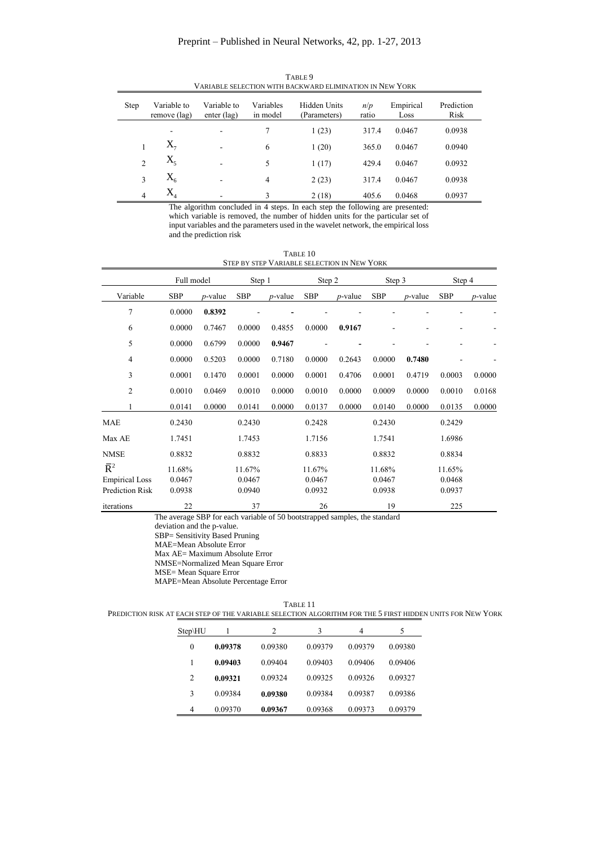<span id="page-52-0"></span>

|                | VARIABLE SELECTION WITH BACKWARD ELIMINATION IN NEW YORK. |                                     |                       |                              |              |                   |                    |  |  |  |  |
|----------------|-----------------------------------------------------------|-------------------------------------|-----------------------|------------------------------|--------------|-------------------|--------------------|--|--|--|--|
| <b>Step</b>    | Variable to<br>remove (lag)                               | Variable to<br>enter $(\text{lag})$ | Variables<br>in model | Hidden Units<br>(Parameters) | n/p<br>ratio | Empirical<br>Loss | Prediction<br>Risk |  |  |  |  |
|                | $\overline{\phantom{a}}$                                  |                                     |                       | 1(23)                        | 317.4        | 0.0467            | 0.0938             |  |  |  |  |
|                | $X_{\tau}$                                                | $\overline{\phantom{0}}$            | 6                     | 1(20)                        | 365.0        | 0.0467            | 0.0940             |  |  |  |  |
| 2              | $X_5$                                                     |                                     | 5                     | 1(17)                        | 429.4        | 0.0467            | 0.0932             |  |  |  |  |
| 3              | $X_{6}$                                                   |                                     | $\overline{4}$        | 2(23)                        | 317.4        | 0.0467            | 0.0938             |  |  |  |  |
| $\overline{4}$ | $X_4$                                                     |                                     |                       | 2(18)                        | 405.6        | 0.0468            | 0.0937             |  |  |  |  |

TABLE 9 VARIABLE SELECTION WITH BACKWARD ELIMINATION IN NEW YORK

<span id="page-52-1"></span>The algorithm concluded in 4 steps. In each step the following are presented: which variable is removed, the number of hidden units for the particular set of input variables and the parameters used in the wavelet network, the empirical loss and the prediction risk

TABLE 10 STEP BY STEP VARIABLE SELECTION IN NEW YORK

<span id="page-52-2"></span>

|                           |            | Full model      |            | Step 1     | Step 2     |            | Step 3     |            | Step 4     |            |
|---------------------------|------------|-----------------|------------|------------|------------|------------|------------|------------|------------|------------|
| Variable                  | <b>SBP</b> | <i>p</i> -value | <b>SBP</b> | $p$ -value | <b>SBP</b> | $p$ -value | <b>SBP</b> | $p$ -value | <b>SBP</b> | $p$ -value |
| 7                         | 0.0000     | 0.8392          |            |            |            |            |            |            |            |            |
| 6                         | 0.0000     | 0.7467          | 0.0000     | 0.4855     | 0.0000     | 0.9167     |            |            |            |            |
| 5                         | 0.0000     | 0.6799          | 0.0000     | 0.9467     |            |            |            |            |            |            |
| $\overline{4}$            | 0.0000     | 0.5203          | 0.0000     | 0.7180     | 0.0000     | 0.2643     | 0.0000     | 0.7480     |            |            |
| 3                         | 0.0001     | 0.1470          | 0.0001     | 0.0000     | 0.0001     | 0.4706     | 0.0001     | 0.4719     | 0.0003     | 0.0000     |
| 2                         | 0.0010     | 0.0469          | 0.0010     | 0.0000     | 0.0010     | 0.0000     | 0.0009     | 0.0000     | 0.0010     | 0.0168     |
| 1                         | 0.0141     | 0.0000          | 0.0141     | 0.0000     | 0.0137     | 0.0000     | 0.0140     | 0.0000     | 0.0135     | 0.0000     |
| <b>MAE</b>                | 0.2430     |                 | 0.2430     |            | 0.2428     |            | 0.2430     |            | 0.2429     |            |
| Max AE                    | 1.7451     |                 | 1.7453     |            | 1.7156     |            | 1.7541     |            | 1.6986     |            |
| <b>NMSE</b>               | 0.8832     |                 | 0.8832     |            | 0.8833     |            | 0.8832     |            | 0.8834     |            |
| $\overline{\mathrm{R}}^2$ | 11.68%     |                 | 11.67%     |            | 11.67%     |            | 11.68%     |            | 11.65%     |            |
| <b>Empirical Loss</b>     | 0.0467     |                 | 0.0467     |            | 0.0467     |            | 0.0467     |            | 0.0468     |            |
| <b>Prediction Risk</b>    | 0.0938     |                 | 0.0940     |            | 0.0932     |            | 0.0938     |            | 0.0937     |            |
| iterations                | 22         |                 | 37         |            | 26         |            | 19         |            | 225        |            |

The average SBP for each variable of 50 bootstrapped samples, the standard

deviation and the p-value.

SBP= Sensitivity Based Pruning

MAE=Mean Absolute Error

Max AE= Maximum Absolute Error

NMSE=Normalized Mean Square Error

MSE= Mean Square Error

MAPE=Mean Absolute Percentage Error

TABLE 11

PREDICTION RISK AT EACH STEP OF THE VARIABLE SELECTION ALGORITHM FOR THE 5 FIRST HIDDEN UNITS FOR NEW YORK

| $Step\H$ U |         | 2       | 3       | 4       | 5       |
|------------|---------|---------|---------|---------|---------|
| 0          | 0.09378 | 0.09380 | 0.09379 | 0.09379 | 0.09380 |
|            | 0.09403 | 0.09404 | 0.09403 | 0.09406 | 0.09406 |
| 2          | 0.09321 | 0.09324 | 0.09325 | 0.09326 | 0.09327 |
| 3          | 0.09384 | 0.09380 | 0.09384 | 0.09387 | 0.09386 |
| 4          | 0.09370 | 0.09367 | 0.09368 | 0.09373 | 0.09379 |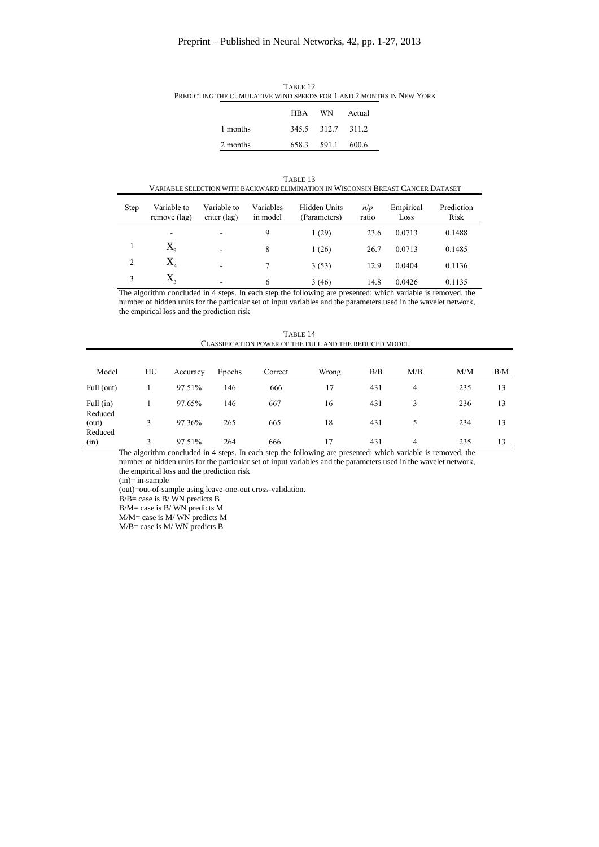#### Preprint – Published in Neural Networks, 42, pp. 1-27, 2013

|                                                                      | TABLE 12 |               |  |
|----------------------------------------------------------------------|----------|---------------|--|
| PREDICTING THE CUMULATIVE WIND SPEEDS FOR 1 AND 2 MONTHS IN NEW YORK |          |               |  |
|                                                                      |          | HBA WN Actual |  |
|                                                                      |          |               |  |

| 1 months | 345.5 312.7 311.2 |  |
|----------|-------------------|--|
| 2 months | 658.3 591.1 600.6 |  |

| TABLE 13                                                                        |  |
|---------------------------------------------------------------------------------|--|
| VARIABLE SELECTION WITH BACKWARD ELIMINATION IN WISCONSIN BREAST CANCER DATASET |  |

| Step | Variable to<br>remove (lag)        | Variable to<br>enter $(\text{lag})$ | Variables<br>in model | Hidden Units<br>(Parameters) | n/p<br>ratio | Empirical<br>Loss | Prediction<br>Risk |
|------|------------------------------------|-------------------------------------|-----------------------|------------------------------|--------------|-------------------|--------------------|
|      | $\blacksquare$                     | $\overline{\phantom{a}}$            | 9                     | 1(29)                        | 23.6         | 0.0713            | 0.1488             |
|      | $X_{\scriptscriptstyle 9}$         | $\blacksquare$                      | 8                     | 1(26)                        | 26.7         | 0.0713            | 0.1485             |
| 2    | $\rm X_4$                          | $\sim$                              | 7                     | 3(53)                        | 12.9         | 0.0404            | 0.1136             |
|      | $X_{\scriptscriptstyle\mathsf{3}}$ |                                     | 6                     | 3(46)                        | 14.8         | 0.0426            | 0.1135             |

The algorithm concluded in 4 steps. In each step the following are presented: which variable is removed, the number of hidden units for the particular set of input variables and the parameters used in the wavelet network, the empirical loss and the prediction risk

TABLE 14 CLASSIFICATION POWER OF THE FULL AND THE REDUCED MODEL

| Model            | HU | Accuracy | Epochs | Correct | Wrong | B/B | M/B | M/M | B/M |
|------------------|----|----------|--------|---------|-------|-----|-----|-----|-----|
| Full (out)       |    | 97.51%   | 146    | 666     | 17    | 431 | 4   | 235 | 13  |
| Full $(in)$      |    | 97.65%   | 146    | 667     | 16    | 431 |     | 236 | 13  |
| Reduced<br>(out) |    | 97.36%   | 265    | 665     | 18    | 431 |     | 234 | 13  |
| Reduced          |    |          |        |         |       |     |     |     |     |
| (in)             |    | 97.51%   | 264    | 666     | 17    | 431 | 4   | 235 | 13  |

The algorithm concluded in 4 steps. In each step the following are presented: which variable is removed, the number of hidden units for the particular set of input variables and the parameters used in the wavelet network, the empirical loss and the prediction risk

 $(in)=$  in-sample

(out)=out-of-sample using leave-one-out cross-validation.

 $B/B = \cose$  is  $B/\overline{WN}$  predicts B

B/M= case is B/ WN predicts M

M/M= case is M/ WN predicts M

M/B= case is M/ WN predicts B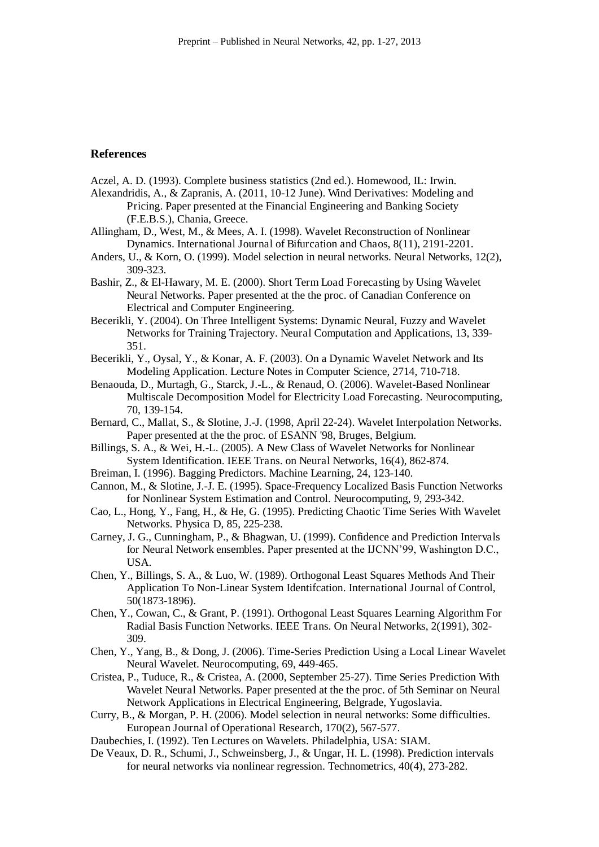#### **References**

- Aczel, A. D. (1993). Complete business statistics (2nd ed.). Homewood, IL: Irwin.
- Alexandridis, A., & Zapranis, A. (2011, 10-12 June). Wind Derivatives: Modeling and Pricing. Paper presented at the Financial Engineering and Banking Society (F.E.B.S.), Chania, Greece.
- Allingham, D., West, M., & Mees, A. I. (1998). Wavelet Reconstruction of Nonlinear Dynamics. International Journal of Bifurcation and Chaos, 8(11), 2191-2201.
- Anders, U., & Korn, O. (1999). Model selection in neural networks. Neural Networks, 12(2), 309-323.
- Bashir, Z., & El-Hawary, M. E. (2000). Short Term Load Forecasting by Using Wavelet Neural Networks. Paper presented at the the proc. of Canadian Conference on Electrical and Computer Engineering.
- Becerikli, Y. (2004). On Three Intelligent Systems: Dynamic Neural, Fuzzy and Wavelet Networks for Training Trajectory. Neural Computation and Applications, 13, 339- 351.
- Becerikli, Y., Oysal, Y., & Konar, A. F. (2003). On a Dynamic Wavelet Network and Its Modeling Application. Lecture Notes in Computer Science, 2714, 710-718.
- Benaouda, D., Murtagh, G., Starck, J.-L., & Renaud, O. (2006). Wavelet-Based Nonlinear Multiscale Decomposition Model for Electricity Load Forecasting. Neurocomputing, 70, 139-154.
- Bernard, C., Mallat, S., & Slotine, J.-J. (1998, April 22-24). Wavelet Interpolation Networks. Paper presented at the the proc. of ESANN '98, Bruges, Belgium.
- Billings, S. A., & Wei, H.-L. (2005). A New Class of Wavelet Networks for Nonlinear System Identification. IEEE Trans. on Neural Networks, 16(4), 862-874.
- Breiman, I. (1996). Bagging Predictors. Machine Learning, 24, 123-140.
- Cannon, M., & Slotine, J.-J. E. (1995). Space-Frequency Localized Basis Function Networks for Nonlinear System Estimation and Control. Neurocomputing, 9, 293-342.
- Cao, L., Hong, Y., Fang, H., & He, G. (1995). Predicting Chaotic Time Series With Wavelet Networks. Physica D, 85, 225-238.
- Carney, J. G., Cunningham, P., & Bhagwan, U. (1999). Confidence and Prediction Intervals for Neural Network ensembles. Paper presented at the IJCNN'99, Washington D.C., USA.
- Chen, Y., Billings, S. A., & Luo, W. (1989). Orthogonal Least Squares Methods And Their Application To Non-Linear System Identifcation. International Journal of Control, 50(1873-1896).
- Chen, Y., Cowan, C., & Grant, P. (1991). Orthogonal Least Squares Learning Algorithm For Radial Basis Function Networks. IEEE Trans. On Neural Networks, 2(1991), 302- 309.
- Chen, Y., Yang, B., & Dong, J. (2006). Time-Series Prediction Using a Local Linear Wavelet Neural Wavelet. Neurocomputing, 69, 449-465.
- Cristea, P., Tuduce, R., & Cristea, A. (2000, September 25-27). Time Series Prediction With Wavelet Neural Networks. Paper presented at the the proc. of 5th Seminar on Neural Network Applications in Electrical Engineering, Belgrade, Yugoslavia.
- Curry, B., & Morgan, P. H. (2006). Model selection in neural networks: Some difficulties. European Journal of Operational Research, 170(2), 567-577.
- Daubechies, I. (1992). Ten Lectures on Wavelets. Philadelphia, USA: SIAM.
- De Veaux, D. R., Schumi, J., Schweinsberg, J., & Ungar, H. L. (1998). Prediction intervals for neural networks via nonlinear regression. Technometrics, 40(4), 273-282.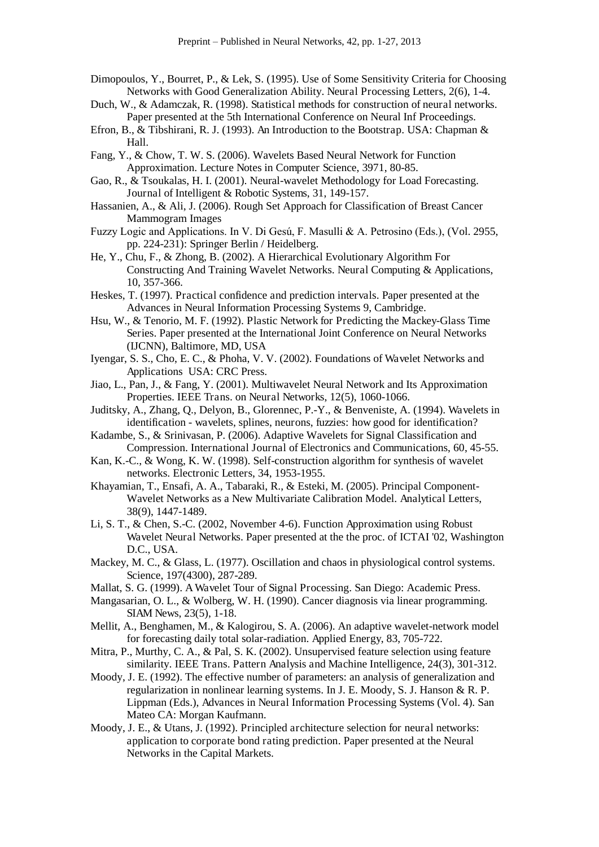- Dimopoulos, Y., Bourret, P., & Lek, S. (1995). Use of Some Sensitivity Criteria for Choosing Networks with Good Generalization Ability. Neural Processing Letters, 2(6), 1-4.
- Duch, W., & Adamczak, R. (1998). Statistical methods for construction of neural networks. Paper presented at the 5th International Conference on Neural Inf Proceedings.
- Efron, B., & Tibshirani, R. J. (1993). An Introduction to the Bootstrap. USA: Chapman & Hall.
- Fang, Y., & Chow, T. W. S. (2006). Wavelets Based Neural Network for Function Approximation. Lecture Notes in Computer Science, 3971, 80-85.
- Gao, R., & Tsoukalas, H. I. (2001). Neural-wavelet Methodology for Load Forecasting. Journal of Intelligent & Robotic Systems, 31, 149-157.
- Hassanien, A., & Ali, J. (2006). Rough Set Approach for Classification of Breast Cancer Mammogram Images
- Fuzzy Logic and Applications. In V. Di Gesú, F. Masulli & A. Petrosino (Eds.), (Vol. 2955, pp. 224-231): Springer Berlin / Heidelberg.
- He, Y., Chu, F., & Zhong, B. (2002). A Hierarchical Evolutionary Algorithm For Constructing And Training Wavelet Networks. Neural Computing & Applications, 10, 357-366.
- Heskes, T. (1997). Practical confidence and prediction intervals. Paper presented at the Advances in Neural Information Processing Systems 9, Cambridge.
- Hsu, W., & Tenorio, M. F. (1992). Plastic Network for Predicting the Mackey-Glass Time Series. Paper presented at the International Joint Conference on Neural Networks (IJCNN), Baltimore, MD, USA
- Iyengar, S. S., Cho, E. C., & Phoha, V. V. (2002). Foundations of Wavelet Networks and Applications USA: CRC Press.
- Jiao, L., Pan, J., & Fang, Y. (2001). Multiwavelet Neural Network and Its Approximation Properties. IEEE Trans. on Neural Networks, 12(5), 1060-1066.
- Juditsky, A., Zhang, Q., Delyon, B., Glorennec, P.-Y., & Benveniste, A. (1994). Wavelets in identification - wavelets, splines, neurons, fuzzies: how good for identification?
- Kadambe, S., & Srinivasan, P. (2006). Adaptive Wavelets for Signal Classification and Compression. International Journal of Electronics and Communications, 60, 45-55.
- Kan, K.-C., & Wong, K. W. (1998). Self-construction algorithm for synthesis of wavelet networks. Electronic Letters, 34, 1953-1955.
- Khayamian, T., Ensafi, A. A., Tabaraki, R., & Esteki, M. (2005). Principal Component-Wavelet Networks as a New Multivariate Calibration Model. Analytical Letters, 38(9), 1447-1489.
- Li, S. T., & Chen, S.-C. (2002, November 4-6). Function Approximation using Robust Wavelet Neural Networks. Paper presented at the the proc. of ICTAI '02, Washington D.C., USA.
- Mackey, M. C., & Glass, L. (1977). Oscillation and chaos in physiological control systems. Science, 197(4300), 287-289.
- Mallat, S. G. (1999). A Wavelet Tour of Signal Processing. San Diego: Academic Press.
- Mangasarian, O. L., & Wolberg, W. H. (1990). Cancer diagnosis via linear programming. SIAM News, 23(5), 1-18.
- Mellit, A., Benghamen, M., & Kalogirou, S. A. (2006). An adaptive wavelet-network model for forecasting daily total solar-radiation. Applied Energy, 83, 705-722.
- Mitra, P., Murthy, C. A., & Pal, S. K. (2002). Unsupervised feature selection using feature similarity. IEEE Trans. Pattern Analysis and Machine Intelligence, 24(3), 301-312.
- Moody, J. E. (1992). The effective number of parameters: an analysis of generalization and regularization in nonlinear learning systems. In J. E. Moody, S. J. Hanson & R. P. Lippman (Eds.), Advances in Neural Information Processing Systems (Vol. 4). San Mateo CA: Morgan Kaufmann.
- Moody, J. E., & Utans, J. (1992). Principled architecture selection for neural networks: application to corporate bond rating prediction. Paper presented at the Neural Networks in the Capital Markets.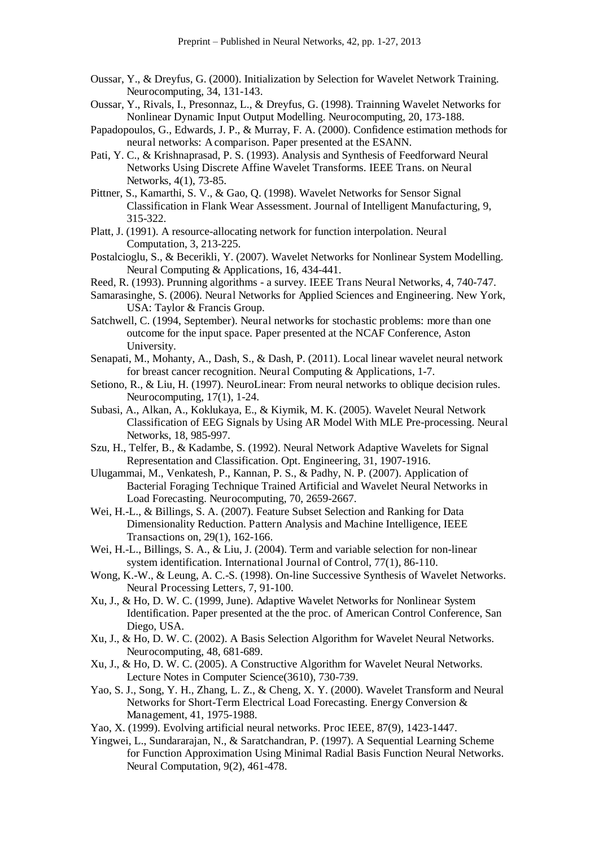- Oussar, Y., & Dreyfus, G. (2000). Initialization by Selection for Wavelet Network Training. Neurocomputing, 34, 131-143.
- Oussar, Y., Rivals, I., Presonnaz, L., & Dreyfus, G. (1998). Trainning Wavelet Networks for Nonlinear Dynamic Input Output Modelling. Neurocomputing, 20, 173-188.
- Papadopoulos, G., Edwards, J. P., & Murray, F. A. (2000). Confidence estimation methods for neural networks: A comparison. Paper presented at the ESANN.
- Pati, Y. C., & Krishnaprasad, P. S. (1993). Analysis and Synthesis of Feedforward Neural Networks Using Discrete Affine Wavelet Transforms. IEEE Trans. on Neural Networks, 4(1), 73-85.
- Pittner, S., Kamarthi, S. V., & Gao, Q. (1998). Wavelet Networks for Sensor Signal Classification in Flank Wear Assessment. Journal of Intelligent Manufacturing, 9, 315-322.
- Platt, J. (1991). A resource-allocating network for function interpolation. Neural Computation, 3, 213-225.
- Postalcioglu, S., & Becerikli, Y. (2007). Wavelet Networks for Nonlinear System Modelling. Neural Computing & Applications, 16, 434-441.
- Reed, R. (1993). Prunning algorithms a survey. IEEE Trans Neural Networks, 4, 740-747.
- Samarasinghe, S. (2006). Neural Networks for Applied Sciences and Engineering. New York, USA: Taylor & Francis Group.
- Satchwell, C. (1994, September). Neural networks for stochastic problems: more than one outcome for the input space. Paper presented at the NCAF Conference, Aston University.
- Senapati, M., Mohanty, A., Dash, S., & Dash, P. (2011). Local linear wavelet neural network for breast cancer recognition. Neural Computing & Applications, 1-7.
- Setiono, R., & Liu, H. (1997). NeuroLinear: From neural networks to oblique decision rules. Neurocomputing, 17(1), 1-24.
- Subasi, A., Alkan, A., Koklukaya, E., & Kiymik, M. K. (2005). Wavelet Neural Network Classification of EEG Signals by Using AR Model With MLE Pre-processing. Neural Networks, 18, 985-997.
- Szu, H., Telfer, B., & Kadambe, S. (1992). Neural Network Adaptive Wavelets for Signal Representation and Classification. Opt. Engineering, 31, 1907-1916.
- Ulugammai, M., Venkatesh, P., Kannan, P. S., & Padhy, N. P. (2007). Application of Bacterial Foraging Technique Trained Artificial and Wavelet Neural Networks in Load Forecasting. Neurocomputing, 70, 2659-2667.
- Wei, H.-L., & Billings, S. A. (2007). Feature Subset Selection and Ranking for Data Dimensionality Reduction. Pattern Analysis and Machine Intelligence, IEEE Transactions on, 29(1), 162-166.
- Wei, H.-L., Billings, S. A., & Liu, J. (2004). Term and variable selection for non-linear system identification. International Journal of Control, 77(1), 86-110.
- Wong, K.-W., & Leung, A. C.-S. (1998). On-line Successive Synthesis of Wavelet Networks. Neural Processing Letters, 7, 91-100.
- Xu, J., & Ho, D. W. C. (1999, June). Adaptive Wavelet Networks for Nonlinear System Identification. Paper presented at the the proc. of American Control Conference, San Diego, USA.
- Xu, J., & Ho, D. W. C. (2002). A Basis Selection Algorithm for Wavelet Neural Networks. Neurocomputing, 48, 681-689.
- Xu, J., & Ho, D. W. C. (2005). A Constructive Algorithm for Wavelet Neural Networks. Lecture Notes in Computer Science(3610), 730-739.
- Yao, S. J., Song, Y. H., Zhang, L. Z., & Cheng, X. Y. (2000). Wavelet Transform and Neural Networks for Short-Term Electrical Load Forecasting. Energy Conversion & Management, 41, 1975-1988.
- Yao, X. (1999). Evolving artificial neural networks. Proc IEEE, 87(9), 1423-1447.
- Yingwei, L., Sundararajan, N., & Saratchandran, P. (1997). A Sequential Learning Scheme for Function Approximation Using Minimal Radial Basis Function Neural Networks. Neural Computation, 9(2), 461-478.